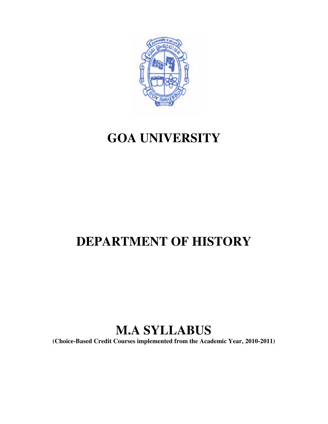

# **GOA UNIVERSITY**

# **DEPARTMENT OF HISTORY**

# **M.A SYLLABUS**

**(Choice-Based Credit Courses implemented from the Academic Year, 2010-2011)**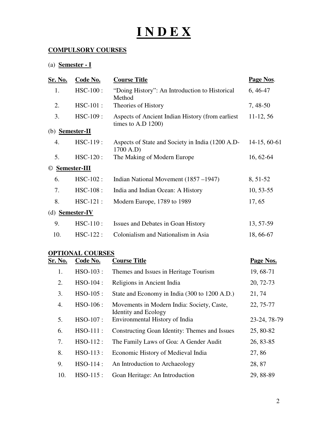# **I N D E X**

# **COMPULSORY COURSES**

# (a) **Semester - I**

| <b>Sr. No.</b>         | Code No.           | <b>Course Title</b>                                                        | Page Nos.      |
|------------------------|--------------------|----------------------------------------------------------------------------|----------------|
| 1.                     | $HSC-100$ :        | "Doing History": An Introduction to Historical<br>Method                   | $6,46-47$      |
| 2.                     | $HSC-101$ :        | Theories of History                                                        | 7, 48-50       |
| 3.                     | $HSC-109:$         | Aspects of Ancient Indian History (from earliest)<br>times to A.D $1200$ ) | $11-12, 56$    |
| (b)                    | <b>Semester-II</b> |                                                                            |                |
| 4.                     | $HSC-119:$         | Aspects of State and Society in India (1200 A.D-<br>1700 A.D)              | $14-15, 60-61$ |
| 5.                     | $HSC-120$ :        | The Making of Modern Europe                                                | 16, 62-64      |
| $\odot$                | Semester-III       |                                                                            |                |
| 6.                     | HSC-102:           | Indian National Movement (1857–1947)                                       | 8, 51-52       |
| 7.                     | HSC-108:           | India and Indian Ocean: A History                                          | $10, 53 - 55$  |
| 8.                     | $HSC-121$ :        | Modern Europe, 1789 to 1989                                                | 17, 65         |
| (d) <b>Semester-IV</b> |                    |                                                                            |                |
| 9.                     | $HSC-110$ :        | Issues and Debates in Goan History                                         | 13, 57-59      |
| 10.                    | $HSC-122$ :        | Colonialism and Nationalism in Asia                                        | 18, 66-67      |

| Sr. No. | Code No.    | <b>Course Title</b>                                                       | Page Nos.    |
|---------|-------------|---------------------------------------------------------------------------|--------------|
| 1.      | HSO-103:    | Themes and Issues in Heritage Tourism                                     | 19, 68-71    |
| 2.      | HSO-104:    | Religions in Ancient India                                                | 20, 72-73    |
| 3.      | $HSO-105$ : | State and Economy in India (300 to 1200 A.D.)                             | 21, 74       |
| 4.      | $HSO-106$ : | Movements in Modern India: Society, Caste,<br><b>Identity and Ecology</b> | 22, 75-77    |
| 5.      | HSO-107:    | Environmental History of India                                            | 23-24, 78-79 |
| 6.      | $HSO-111$ : | Constructing Goan Identity: Themes and Issues                             | 25, 80-82    |
| 7.      | $HSO-112$ : | The Family Laws of Goa: A Gender Audit                                    | 26, 83-85    |
| 8.      | $HSO-113$ : | Economic History of Medieval India                                        | 27,86        |
| 9.      | $HSO-114$ : | An Introduction to Archaeology                                            | 28,87        |
| 10.     | $HSO-115$ : | Goan Heritage: An Introduction                                            | 29, 88-89    |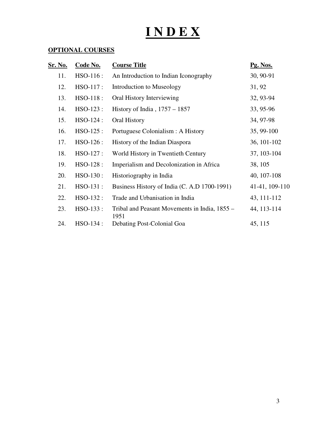# **I N D E X**

| Sr. No. | Code No.    | <b>Course Title</b>                                   | Pg. Nos.       |
|---------|-------------|-------------------------------------------------------|----------------|
| 11.     | $HSO-116$ : | An Introduction to Indian Iconography                 | 30, 90-91      |
| 12.     | HSO-117:    | Introduction to Museology                             | 31, 92         |
| 13.     | HSO-118:    | Oral History Interviewing                             | 32, 93-94      |
| 14.     | HSO-123:    | History of India, $1757 - 1857$                       | 33, 95-96      |
| 15.     | HSO-124:    | Oral History                                          | 34, 97-98      |
| 16.     | HSO-125:    | Portuguese Colonialism : A History                    | 35, 99-100     |
| 17.     | HSO-126:    | History of the Indian Diaspora                        | 36, 101-102    |
| 18.     | HSO-127:    | World History in Twentieth Century                    | 37, 103-104    |
| 19.     | $HSO-128$ : | Imperialism and Decolonization in Africa              | 38, 105        |
| 20.     | HSO-130:    | Historiography in India                               | 40, 107-108    |
| 21.     | HSO-131 :   | Business History of India (C. A.D 1700-1991)          | 41-41, 109-110 |
| 22.     | HSO-132:    | Trade and Urbanisation in India                       | 43, 111-112    |
| 23.     | $HSO-133$ : | Tribal and Peasant Movements in India, 1855 –<br>1951 | 44, 113-114    |
| 24.     | HSO-134 :   | Debating Post-Colonial Goa                            | 45, 115        |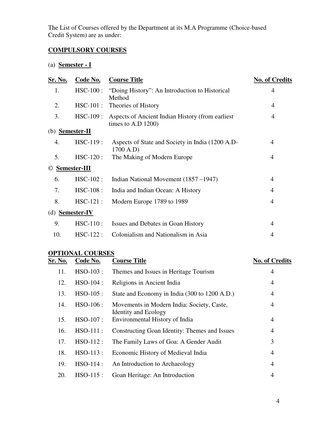The List of Courses offered by the Department at its M.A Programme (Choice-based Credit System) are as under:

# **COMPULSORY COURSES**

# (a) **Semester - I**

| <u>Sr. No.</u> | Code No.           | <b>Course Title</b>                                                       | <b>No. of Credits</b> |
|----------------|--------------------|---------------------------------------------------------------------------|-----------------------|
| 1.             | $HSC-100$ :        | "Doing History": An Introduction to Historical<br>Method                  | $\overline{4}$        |
| 2.             | $HSC-101$ :        | Theories of History                                                       | 4                     |
| 3.             | $HSC-109:$         | Aspects of Ancient Indian History (from earliest<br>times to A.D $1200$ ) | 4                     |
| (b)            | <b>Semester-II</b> |                                                                           |                       |
| 4.             | $HSC-119$ :        | Aspects of State and Society in India (1200 A.D-<br>1700 A.D)             | 4                     |
| 5.             | $HSC-120$ :        | The Making of Modern Europe                                               | 4                     |
| $\circled{c}$  | Semester-III       |                                                                           |                       |
| 6.             | $HSC-102$ :        | Indian National Movement (1857–1947)                                      | $\overline{4}$        |
| 7.             | $HSC-108:$         | India and Indian Ocean: A History                                         | 4                     |
| 8.             | $HSC-121$ :        | Modern Europe 1789 to 1989                                                | 4                     |
| (d)            | <b>Semester-IV</b> |                                                                           |                       |
| 9.             | $HSC-110$ :        | Issues and Debates in Goan History                                        | $\overline{4}$        |
| 10.            | $HSC-122$ :        | Colonialism and Nationalism in Asia                                       | $\overline{4}$        |
|                |                    |                                                                           |                       |

| <u>Sr. No.</u> | Code No.    | <b>Course Title</b>                                                       | <b>No. of Credits</b> |
|----------------|-------------|---------------------------------------------------------------------------|-----------------------|
| 11.            | HSO-103:    | Themes and Issues in Heritage Tourism                                     | 4                     |
| 12.            | $HSO-104$ : | Religions in Ancient India                                                | 4                     |
| 13.            | $HSO-105$ : | State and Economy in India (300 to 1200 A.D.)                             | 4                     |
| 14.            | $HSO-106$ : | Movements in Modern India: Society, Caste,<br><b>Identity and Ecology</b> | 4                     |
| 15.            | HSO-107:    | Environmental History of India                                            | 4                     |
| 16.            | $HSO-111$ : | Constructing Goan Identity: Themes and Issues                             | 4                     |
| 17.            | $HSO-112$ : | The Family Laws of Goa: A Gender Audit                                    | 3                     |
| 18.            | $HSO-113$ : | Economic History of Medieval India                                        | 4                     |
| 19.            | HSO-114 :   | An Introduction to Archaeology                                            | 4                     |
| 20.            | $HSO-115$ : | Goan Heritage: An Introduction                                            | 4                     |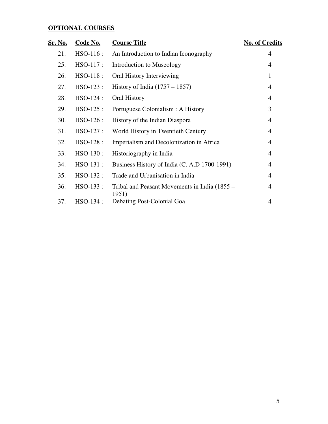| <u>Sr. No.</u> | Code No.    | <b>Course Title</b>                                    | <b>No. of Credits</b> |
|----------------|-------------|--------------------------------------------------------|-----------------------|
| 21.            | HSO-116:    | An Introduction to Indian Iconography                  | 4                     |
| 25.            | HSO-117:    | Introduction to Museology                              | 4                     |
| 26.            | HSO-118:    | Oral History Interviewing                              | 1                     |
| 27.            | $HSO-123$ : | History of India $(1757 – 1857)$                       | 4                     |
| 28.            | HSO-124:    | Oral History                                           | 4                     |
| 29.            | HSO-125:    | Portuguese Colonialism : A History                     | 3                     |
| 30.            | HSO-126:    | History of the Indian Diaspora                         | 4                     |
| 31.            | HSO-127 :   | World History in Twentieth Century                     | 4                     |
| 32.            | HSO-128:    | Imperialism and Decolonization in Africa               | 4                     |
| 33.            | HSO-130:    | Historiography in India                                | 4                     |
| 34.            | HSO-131:    | Business History of India (C. A.D 1700-1991)           | 4                     |
| 35.            | HSO-132:    | Trade and Urbanisation in India                        | 4                     |
| 36.            | $HSO-133$ : | Tribal and Peasant Movements in India (1855 –<br>1951) | 4                     |
| 37.            | HSO-134 :   | Debating Post-Colonial Goa                             | 4                     |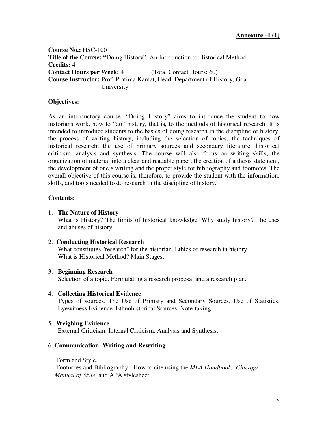**Course No.:** HSC-100 **Title of the Course: "**Doing History": An Introduction to Historical Method **Credits:** 4 **Contact Hours per Week: 4** (Total Contact Hours: 60) **Course Instructor:** Prof. Pratima Kamat, Head, Department of History, Goa University

#### **Objectives:**

As an introductory course, "Doing History" aims to introduce the student to how historians work, how to "do" history, that is, to the methods of historical research. It is intended to introduce students to the basics of doing research in the discipline of history, the process of writing history, including the selection of topics, the techniques of historical research, the use of primary sources and secondary literature, historical criticism, analysis and synthesis. The course will also focus on writing skills; the organization of material into a clear and readable paper; the creation of a thesis statement, the development of one's writing and the proper style for bibliography and footnotes. The overall objective of this course is, therefore, to provide the student with the information, skills, and tools needed to do research in the discipline of history.

#### **Contents:**

#### 1. **The Nature of History**

What is History? The limits of historical knowledge. Why study history? The uses and abuses of history.

#### 2. **Conducting Historical Research**

What constitutes "research" for the historian. Ethics of research in history. What is Historical Method? Main Stages.

#### 3. **Beginning Research**

Selection of a topic. Formulating a research proposal and a research plan.

#### 4. **Collecting Historical Evidence**

Types of sources. The Use of Primary and Secondary Sources. Use of Statistics. Eyewitness Evidence. Ethnohistorical Sources. Note-taking.

#### 5. **Weighing Evidence**

External Criticism. Internal Criticism. Analysis and Synthesis.

#### 6. **Communication: Writing and Rewriting**

Form and Style.

 Footnotes and Bibliography - How to cite using the *MLA Handbook, Chicago Manual of Style*, and APA stylesheet.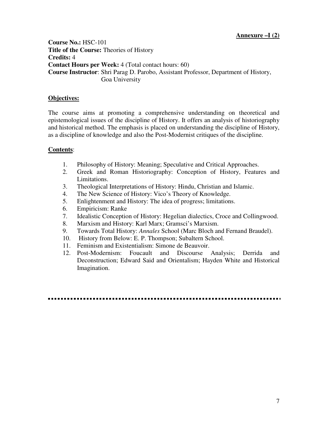**Course No.:** HSC-101 **Title of the Course:** Theories of History **Credits:** 4 **Contact Hours per Week:** 4 (Total contact hours: 60) **Course Instructor**: Shri Parag D. Parobo, Assistant Professor, Department of History, Goa University

# **Objectives:**

The course aims at promoting a comprehensive understanding on theoretical and epistemological issues of the discipline of History. It offers an analysis of historiography and historical method. The emphasis is placed on understanding the discipline of History, as a discipline of knowledge and also the Post-Modernist critiques of the discipline.

- 1. Philosophy of History: Meaning; Speculative and Critical Approaches.
- 2. Greek and Roman Historiography: Conception of History, Features and Limitations.
- 3. Theological Interpretations of History: Hindu, Christian and Islamic.
- 4. The New Science of History: Vico's Theory of Knowledge.
- 5. Enlightenment and History: The idea of progress; limitations.
- 6. Empiricism: Ranke
- 7. Idealistic Conception of History: Hegelian dialectics, Croce and Collingwood.
- 8. Marxism and History: Karl Marx; Gramsci's Marxism.
- 9. Towards Total History: *Annales* School (Marc Bloch and Fernand Braudel).
- 10. History from Below: E. P. Thompson; Subaltern School.
- 11. Feminism and Existentialism: Simone de Beauvoir.
- 12. Post-Modernism: Foucault and Discourse Analysis; Derrida and Deconstruction; Edward Said and Orientalism; Hayden White and Historical Imagination.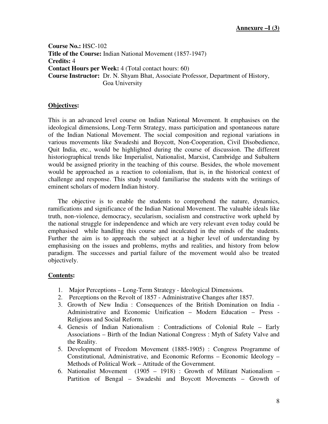**Course No.:** HSC-102 **Title of the Course:** Indian National Movement (1857-1947) **Credits:** 4 **Contact Hours per Week:** 4 (Total contact hours: 60) **Course Instructor:** Dr. N. Shyam Bhat, Associate Professor, Department of History, Goa University

#### **Objectives:**

This is an advanced level course on Indian National Movement. It emphasises on the ideological dimensions, Long-Term Strategy, mass participation and spontaneous nature of the Indian National Movement. The social composition and regional variations in various movements like Swadeshi and Boycott, Non-Cooperation, Civil Disobedience, Quit India, etc., would be highlighted during the course of discussion. The different historiographical trends like Imperialist, Nationalist, Marxist, Cambridge and Subaltern would be assigned priority in the teaching of this course. Besides, the whole movement would be approached as a reaction to colonialism, that is, in the historical context of challenge and response. This study would familiarise the students with the writings of eminent scholars of modern Indian history.

 The objective is to enable the students to comprehend the nature, dynamics, ramifications and significance of the Indian National Movement. The valuable ideals like truth, non-violence, democracy, secularism, socialism and constructive work upheld by the national struggle for independence and which are very relevant even today could be emphasised while handling this course and inculcated in the minds of the students. Further the aim is to approach the subject at a higher level of understanding by emphasising on the issues and problems, myths and realities, and history from below paradigm. The successes and partial failure of the movement would also be treated objectively.

- 1. Major Perceptions Long-Term Strategy Ideological Dimensions.
- 2. Perceptions on the Revolt of 1857 Administrative Changes after 1857.
- 3. Growth of New India : Consequences of the British Domination on India Administrative and Economic Unification – Modern Education – Press - Religious and Social Reform.
- 4. Genesis of Indian Nationalism : Contradictions of Colonial Rule Early Associations – Birth of the Indian National Congress : Myth of Safety Valve and the Reality.
- 5. Development of Freedom Movement (1885-1905) : Congress Programme of Constitutional, Administrative, and Economic Reforms – Economic Ideology – Methods of Political Work – Attitude of the Government.
- 6. Nationalist Movement (1905 1918) : Growth of Militant Nationalism Partition of Bengal – Swadeshi and Boycott Movements – Growth of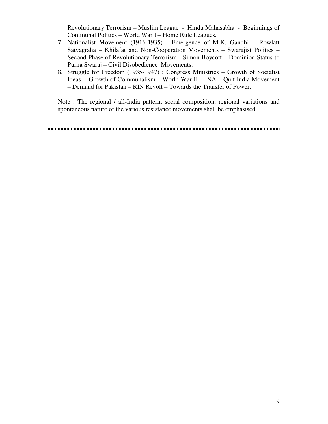Revolutionary Terrorism – Muslim League - Hindu Mahasabha - Beginnings of Communal Politics – World War I – Home Rule Leagues.

- 7. Nationalist Movement (1916-1935) : Emergence of M.K. Gandhi Rowlatt Satyagraha – Khilafat and Non-Cooperation Movements – Swarajist Politics – Second Phase of Revolutionary Terrorism - Simon Boycott – Dominion Status to Purna Swaraj – Civil Disobedience Movements.
- 8. Struggle for Freedom (1935-1947) : Congress Ministries Growth of Socialist Ideas - Growth of Communalism – World War II – INA – Quit India Movement – Demand for Pakistan – RIN Revolt – Towards the Transfer of Power.

Note : The regional / all-India pattern, social composition, regional variations and spontaneous nature of the various resistance movements shall be emphasised.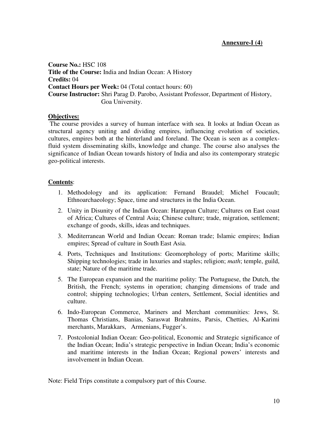**Course No.:** HSC 108 **Title of the Course:** India and Indian Ocean: A History **Credits:** 04 **Contact Hours per Week:** 04 (Total contact hours: 60) **Course Instructor:** Shri Parag D. Parobo, Assistant Professor, Department of History, Goa University.

#### **Objectives:**

 The course provides a survey of human interface with sea. It looks at Indian Ocean as structural agency uniting and dividing empires, influencing evolution of societies, cultures, empires both at the hinterland and foreland. The Ocean is seen as a complexfluid system disseminating skills, knowledge and change. The course also analyses the significance of Indian Ocean towards history of India and also its contemporary strategic geo-political interests.

#### **Contents**:

- 1. Methodology and its application: Fernand Braudel; Michel Foucault; Ethnoarchaeology; Space, time and structures in the India Ocean.
- 2. Unity in Disunity of the Indian Ocean: Harappan Culture; Cultures on East coast of Africa; Cultures of Central Asia; Chinese culture; trade, migration, settlement; exchange of goods, skills, ideas and techniques.
- 3. Mediterranean World and Indian Ocean: Roman trade; Islamic empires; Indian empires; Spread of culture in South East Asia.
- 4. Ports, Techniques and Institutions: Geomorphology of ports; Maritime skills; Shipping technologies; trade in luxuries and staples; religion; *math*; temple, guild, state; Nature of the maritime trade.
- 5. The European expansion and the maritime polity: The Portuguese, the Dutch, the British, the French; systems in operation; changing dimensions of trade and control; shipping technologies; Urban centers, Settlement, Social identities and culture.
- 6. Indo-European Commerce, Mariners and Merchant communities: Jews, St. Thomas Christians, Banias, Saraswat Brahmins, Parsis, Chetties, Al-Karimi merchants, Marakkars, Armenians, Fugger's.
- 7. Postcolonial Indian Ocean: Geo-political, Economic and Strategic significance of the Indian Ocean; India's strategic perspective in Indian Ocean; India's economic and maritime interests in the Indian Ocean; Regional powers' interests and involvement in Indian Ocean.

Note: Field Trips constitute a compulsory part of this Course.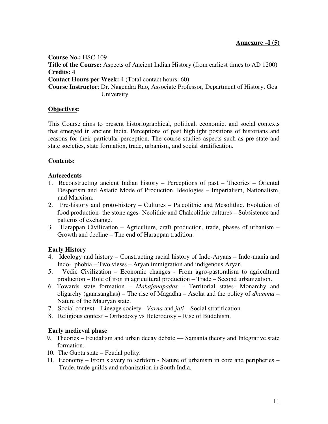**Course No.:** HSC-109 **Title of the Course:** Aspects of Ancient Indian History (from earliest times to AD 1200) **Credits:** 4 **Contact Hours per Week:** 4 (Total contact hours: 60) **Course Instructor**: Dr. Nagendra Rao, Associate Professor, Department of History, Goa University

# **Objectives:**

This Course aims to present historiographical, political, economic, and social contexts that emerged in ancient India. Perceptions of past highlight positions of historians and reasons for their particular perception. The course studies aspects such as pre state and state societies, state formation, trade, urbanism, and social stratification.

# **Contents:**

#### **Antecedents**

- 1. Reconstructing ancient Indian history Perceptions of past Theories Oriental Despotism and Asiatic Mode of Production. Ideologies – Imperialism, Nationalism, and Marxism.
- 2. Pre-history and proto-history Cultures Paleolithic and Mesolithic. Evolution of food production- the stone ages- Neolithic and Chalcolithic cultures – Subsistence and patterns of exchange.
- 3. Harappan Civilization Agriculture, craft production, trade, phases of urbanism Growth and decline – The end of Harappan tradition.

# **Early History**

- 4. Ideology and history Constructing racial history of Indo-Aryans Indo-mania and Indo- phobia – Two views – Aryan immigration and indigenous Aryan.
- 5. Vedic Civilization Economic changes From agro-pastoralism to agricultural production – Role of iron in agricultural production – Trade – Second urbanization.
- 6. Towards state formation *Mahajanapadas* Territorial states- Monarchy and oligarchy (ganasanghas) – The rise of Magadha – Asoka and the policy of *dhamma* – Nature of the Mauryan state.
- 7. Social context Lineage society *Varna* and *jati* Social stratification.
- 8. Religious context Orthodoxy vs Heterodoxy Rise of Buddhism.

# **Early medieval phase**

- 9. Theories Feudalism and urban decay debate Samanta theory and Integrative state formation.
- 10. The Gupta state Feudal polity.
- 11. Economy From slavery to serfdom Nature of urbanism in core and peripheries Trade, trade guilds and urbanization in South India.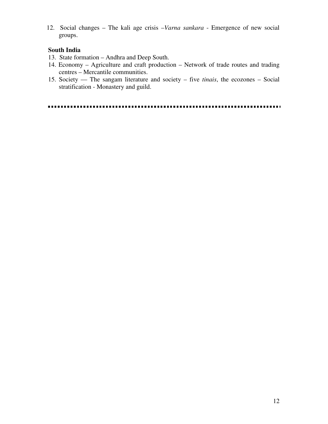12. Social changes – The kali age crisis –*Varna sankara* - Emergence of new social groups.

# **South India**

- 13. State formation Andhra and Deep South.
- 14. Economy Agriculture and craft production Network of trade routes and trading centres – Mercantile communities.
- 15. Society –– The sangam literature and society five *tinais*, the ecozones Social stratification - Monastery and guild.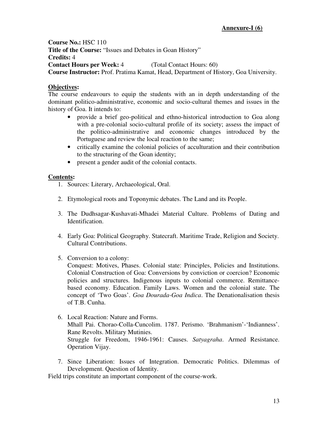**Course No.:** HSC 110 **Title of the Course:** "Issues and Debates in Goan History" **Credits:** 4 **Contact Hours per Week:** 4 (Total Contact Hours: 60) **Course Instructor:** Prof. Pratima Kamat, Head, Department of History, Goa University.

# **Objectives:**

The course endeavours to equip the students with an in depth understanding of the dominant politico-administrative, economic and socio-cultural themes and issues in the history of Goa. It intends to:

- provide a brief geo-political and ethno-historical introduction to Goa along with a pre-colonial socio-cultural profile of its society; assess the impact of the politico-administrative and economic changes introduced by the Portuguese and review the local reaction to the same;
- critically examine the colonial policies of acculturation and their contribution to the structuring of the Goan identity;
- present a gender audit of the colonial contacts.

# **Contents:**

- 1. Sources: Literary, Archaeological, Oral.
- 2. Etymological roots and Toponymic debates. The Land and its People.
- 3. The Dudhsagar-Kushavati-Mhadei Material Culture. Problems of Dating and Identification.
- 4. Early Goa: Political Geography. Statecraft. Maritime Trade, Religion and Society. Cultural Contributions.
- 5. Conversion to a colony:

Conquest: Motives, Phases. Colonial state: Principles, Policies and Institutions. Colonial Construction of Goa: Conversions by conviction or coercion? Economic policies and structures. Indigenous inputs to colonial commerce. Remittancebased economy. Education. Family Laws. Women and the colonial state. The concept of 'Two Goas'. *Goa Dourada-Goa Indica*. The Denationalisation thesis of T.B. Cunha.

- 6. Local Reaction: Nature and Forms. Mhall Pai. Chorao-Colla-Cuncolim. 1787. Perismo. 'Brahmanism'-'Indianness'. Rane Revolts. Military Mutinies. Struggle for Freedom, 1946-1961: Causes. *Satyagraha*. Armed Resistance. Operation Vijay.
- 7. Since Liberation: Issues of Integration. Democratic Politics. Dilemmas of Development. Question of Identity.

Field trips constitute an important component of the course-work.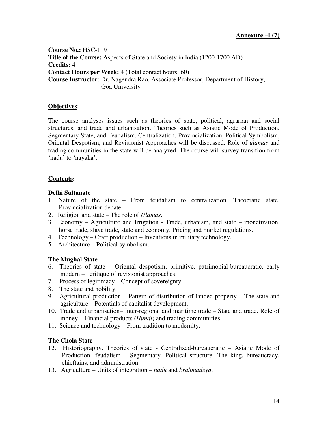**Course No.:** HSC-119 **Title of the Course:** Aspects of State and Society in India (1200-1700 AD) **Credits:** 4 **Contact Hours per Week:** 4 (Total contact hours: 60) **Course Instructor**: Dr. Nagendra Rao, Associate Professor, Department of History, Goa University

# **Objectives**:

The course analyses issues such as theories of state, political, agrarian and social structures, and trade and urbanisation. Theories such as Asiatic Mode of Production, Segmentary State, and Feudalism, Centralization, Provincialization, Political Symbolism, Oriental Despotism, and Revisionist Approaches will be discussed. Role of *ulamas* and trading communities in the state will be analyzed. The course will survey transition from 'nadu' to 'nayaka'.

# **Contents:**

# **Delhi Sultanate**

- 1. Nature of the state From feudalism to centralization. Theocratic state. Provincialization debate.
- 2. Religion and state The role of *Ulamas*.
- 3. Economy Agriculture and Irrigation Trade, urbanism, and state monetization, horse trade, slave trade, state and economy. Pricing and market regulations.
- 4. Technology Craft production Inventions in military technology.
- 5. Architecture Political symbolism.

# **The Mughal State**

- 6. Theories of state Oriental despotism, primitive, patrimonial-bureaucratic, early modern – critique of revisionist approaches.
- 7. Process of legitimacy Concept of sovereignty.
- 8. The state and nobility.
- 9. Agricultural production Pattern of distribution of landed property The state and agriculture – Potentials of capitalist development.
- 10. Trade and urbanisation– Inter-regional and maritime trade State and trade. Role of money - Financial products (*Hundi*) and trading communities.
- 11. Science and technology From tradition to modernity.

# **The Chola State**

- 12. Historiography. Theories of state Centralized-bureaucratic Asiatic Mode of Production- feudalism – Segmentary. Political structure- The king, bureaucracy, chieftains, and administration.
- 13. Agriculture Units of integration *nadu* and *brahmadeya*.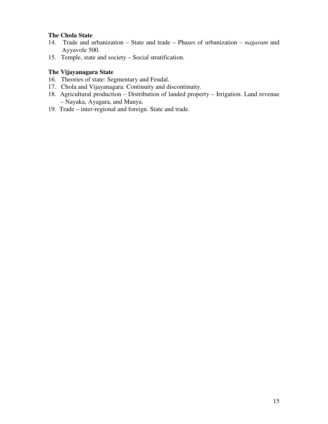#### **The Chola State**

- 14. Trade and urbanization State and trade Phases of urbanization *nagaram* and Ayyavole 500.
- 15. Temple, state and society Social stratification.

# **The Vijayanagara State**

- 16. Theories of state: Segmentary and Feudal.
- 17. Chola and Vijayanagara: Continuity and discontinuity.
- 18. Agricultural production Distribution of landed property Irrigation. Land revenue – Nayaka, Ayagara, and Manya.
- 19. Trade inter-regional and foreign. State and trade.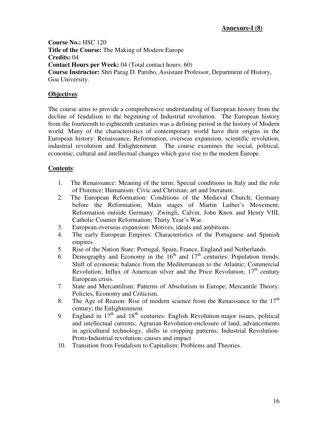**Course No.:** HSC 120 **Title of the Course:** The Making of Modern Europe **Credits:** 04 **Contact Hours per Week:** 04 (Total contact hours: 60) **Course Instructor:** Shri Parag D. Parobo, Assistant Professor, Department of History, Goa University.

# **Objectives**:

The course aims to provide a comprehensive understanding of European history from the decline of feudalism to the beginning of Industrial revolution. The European history from the fourteenth to eighteenth centuries was a defining period in the history of Modern world. Many of the characteristics of contemporary world have their origins in the European history: Renaissance, Reformation, overseas expansion, scientific revolution, industrial revolution and Enlightenment. The course examines the social, political, economic, cultural and intellectual changes which gave rise to the modern Europe.

- 1. The Renaissance: Meaning of the term; Special conditions in Italy and the role of Florence; Humanism: Civic and Christian; art and literature.
- 2. The European Reformation: Conditions of the Medieval Church; Germany before the Reformation; Main stages of Martin Luther's Movement; Reformation outside Germany: Zwingli, Calvin, John Knox and Henry VIII; Catholic Counter Reformation; Thirty Year's War.
- 3. European overseas expansion: Motives, ideals and ambitions.
- 4. The early European Empires: Characteristics of the Portuguese and Spanish empires.
- 5. Rise of the Nation State: Portugal, Spain, France, England and Netherlands.
- 6. Demography and Economy in the  $16<sup>th</sup>$  and  $17<sup>th</sup>$  centuries: Population trends; Shift of economic balance from the Mediterranean to the Atlantic; Commercial Revolution; Influx of American silver and the Price Revolution;  $17<sup>th</sup>$  century European crisis.
- 7. State and Mercantilism: Patterns of Absolutism in Europe; Mercantile Theory: Policies, Economy and Criticism.
- 8. The Age of Reason: Rise of modern science from the Renaissance to the  $17<sup>th</sup>$ century; the Enlightenment.
- 9. England in  $17<sup>th</sup>$  and  $18<sup>th</sup>$  centuries: English Revolution-major issues, political and intellectual currents; Agrarian Revolution-enclosure of land, advancements in agricultural technology, shifts in cropping patterns; Industrial Revolution-Proto-Industrial revolution; causes and impact
- 10. Transition from Feudalism to Capitalism: Problems and Theories.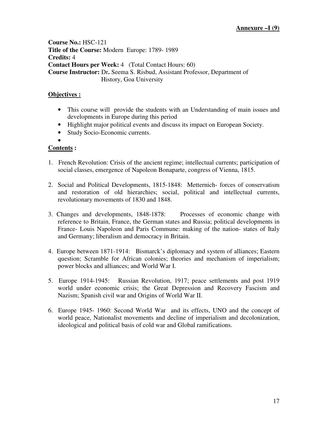**Course No.:** HSC-121 **Title of the Course:** Modern Europe: 1789- 1989 **Credits:** 4 **Contact Hours per Week:** 4 (Total Contact Hours: 60) **Course Instructor:** Dr**.** Seema S. Risbud, Assistant Professor, Department of History, Goa University

# **Objectives :**

- This course will provide the students with an Understanding of main issues and developments in Europe during this period
- Highlight major political events and discuss its impact on European Society.
- Study Socio-Economic currents. •

- 1. French Revolution: Crisis of the ancient regime; intellectual currents; participation of social classes, emergence of Napoleon Bonaparte, congress of Vienna, 1815.
- 2. Social and Political Developments, 1815-1848: Metternich- forces of conservatism and restoration of old hierarchies; social, political and intellectual currents, revolutionary movements of 1830 and 1848.
- 3. Changes and developments, 1848-1878: Processes of economic change with reference to Britain, France, the German states and Russia; political developments in France- Louis Napoleon and Paris Commune: making of the nation- states of Italy and Germany; liberalism and democracy in Britain.
- 4. Europe between 1871-1914: Bismarck's diplomacy and system of alliances; Eastern question; Scramble for African colonies; theories and mechanism of imperialism; power blocks and alliances; and World War I.
- 5. Europe 1914-1945: Russian Revolution, 1917; peace settlements and post 1919 world under economic crisis; the Great Depression and Recovery Fascism and Nazism; Spanish civil war and Origins of World War II.
- 6. Europe 1945- 1960: Second World War and its effects, UNO and the concept of world peace, Nationalist movements and decline of imperialism and decolonization, ideological and political basis of cold war and Global ramifications.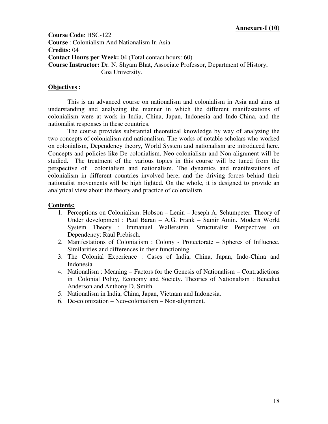**Course Code**: HSC-122 **Course** : Colonialism And Nationalism In Asia **Credits:** 04 **Contact Hours per Week:** 04 (Total contact hours: 60) **Course Instructor:** Dr. N. Shyam Bhat, Associate Professor, Department of History, Goa University.

#### **Objectives :**

This is an advanced course on nationalism and colonialism in Asia and aims at understanding and analyzing the manner in which the different manifestations of colonialism were at work in India, China, Japan, Indonesia and Indo-China, and the nationalist responses in these countries.

The course provides substantial theoretical knowledge by way of analyzing the two concepts of colonialism and nationalism. The works of notable scholars who worked on colonialism, Dependency theory, World System and nationalism are introduced here. Concepts and policies like De-colonialism, Neo-colonialism and Non-alignment will be studied. The treatment of the various topics in this course will be tuned from the perspective of colonialism and nationalism. The dynamics and manifestations of colonialism in different countries involved here, and the driving forces behind their nationalist movements will be high lighted. On the whole, it is designed to provide an analytical view about the theory and practice of colonialism.

- 1. Perceptions on Colonialism: Hobson Lenin Joseph A. Schumpeter. Theory of Under development : Paul Baran – A.G. Frank – Samir Amin. Modern World System Theory : Immanuel Wallerstein. Structuralist Perspectives on Dependency: Raul Prebisch.
- 2. Manifestations of Colonialism : Colony Protectorate Spheres of Influence. Similarities and differences in their functioning.
- 3. The Colonial Experience : Cases of India, China, Japan, Indo-China and Indonesia.
- 4. Nationalism : Meaning Factors for the Genesis of Nationalism Contradictions in Colonial Polity, Economy and Society. Theories of Nationalism : Benedict Anderson and Anthony D. Smith.
- 5. Nationalism in India, China, Japan, Vietnam and Indonesia.
- 6. De-colonization Neo-colonialism Non-alignment.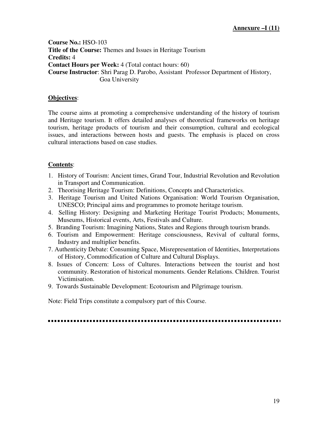**Course No.:** HSO-103 **Title of the Course:** Themes and Issues in Heritage Tourism **Credits:** 4 **Contact Hours per Week:** 4 (Total contact hours: 60) **Course Instructor**: Shri Parag D. Parobo, Assistant Professor Department of History, Goa University

#### **Objectives**:

The course aims at promoting a comprehensive understanding of the history of tourism and Heritage tourism. It offers detailed analyses of theoretical frameworks on heritage tourism, heritage products of tourism and their consumption, cultural and ecological issues, and interactions between hosts and guests. The emphasis is placed on cross cultural interactions based on case studies.

# **Contents**:

- 1. History of Tourism: Ancient times, Grand Tour, Industrial Revolution and Revolution in Transport and Communication.
- 2. Theorising Heritage Tourism: Definitions, Concepts and Characteristics.
- 3. Heritage Tourism and United Nations Organisation: World Tourism Organisation, UNESCO; Principal aims and programmes to promote heritage tourism.
- 4. Selling History: Designing and Marketing Heritage Tourist Products; Monuments, Museums, Historical events, Arts, Festivals and Culture.
- 5. Branding Tourism: Imagining Nations, States and Regions through tourism brands.
- 6. Tourism and Empowerment: Heritage consciousness, Revival of cultural forms, Industry and multiplier benefits.
- 7. Authenticity Debate: Consuming Space, Misrepresentation of Identities, Interpretations of History, Commodification of Culture and Cultural Displays.
- 8. Issues of Concern: Loss of Cultures. Interactions between the tourist and host community. Restoration of historical monuments. Gender Relations. Children. Tourist Victimisation.
- 9. Towards Sustainable Development: Ecotourism and Pilgrimage tourism.

Note: Field Trips constitute a compulsory part of this Course.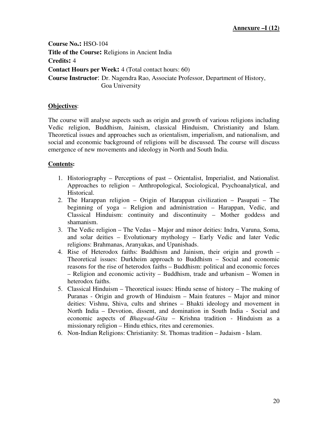**Course No.:** HSO-104 **Title of the Course:** Religions in Ancient India **Credits:** 4 **Contact Hours per Week:** 4 (Total contact hours: 60) **Course Instructor**: Dr. Nagendra Rao, Associate Professor, Department of History, Goa University

# **Objectives**:

The course will analyse aspects such as origin and growth of various religions including Vedic religion, Buddhism, Jainism, classical Hinduism, Christianity and Islam. Theoretical issues and approaches such as orientalism, imperialism, and nationalism, and social and economic background of religions will be discussed. The course will discuss emergence of new movements and ideology in North and South India.

- 1. Historiography Perceptions of past Orientalist, Imperialist, and Nationalist. Approaches to religion – Anthropological, Sociological, Psychoanalytical, and Historical.
- 2. The Harappan religion Origin of Harappan civilization Pasupati The beginning of yoga – Religion and administration – Harappan, Vedic, and Classical Hinduism: continuity and discontinuity – Mother goddess and shamanism.
- 3. The Vedic religion The Vedas Major and minor deities: Indra, Varuna, Soma, and solar deities – Evolutionary mythology – Early Vedic and later Vedic religions: Brahmanas, Aranyakas, and Upanishads.
- 4. Rise of Heterodox faiths: Buddhism and Jainism, their origin and growth Theoretical issues: Durkheim approach to Buddhism – Social and economic reasons for the rise of heterodox faiths – Buddhism: political and economic forces – Religion and economic activity – Buddhism, trade and urbanism – Women in heterodox faiths.
- 5. Classical Hinduism Theoretical issues: Hindu sense of history The making of Puranas - Origin and growth of Hinduism – Main features – Major and minor deities: Vishnu, Shiva, cults and shrines – Bhakti ideology and movement in North India – Devotion, dissent, and domination in South India - Social and economic aspects of *Bhagwad-Gita* – Krishna tradition - Hinduism as a missionary religion – Hindu ethics, rites and ceremonies.
- 6. Non-Indian Religions: Christianity: St. Thomas tradition Judaism Islam.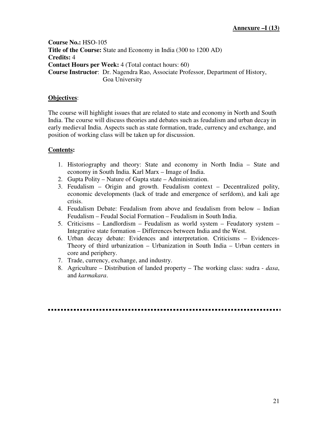**Course No.:** HSO-105 **Title of the Course:** State and Economy in India (300 to 1200 AD) **Credits:** 4 **Contact Hours per Week:** 4 (Total contact hours: 60) **Course Instructor**: Dr. Nagendra Rao, Associate Professor, Department of History, Goa University

#### **Objectives**:

The course will highlight issues that are related to state and economy in North and South India. The course will discuss theories and debates such as feudalism and urban decay in early medieval India. Aspects such as state formation, trade, currency and exchange, and position of working class will be taken up for discussion.

- 1. Historiography and theory: State and economy in North India State and economy in South India. Karl Marx – Image of India.
- 2. Gupta Polity Nature of Gupta state Administration.
- 3. Feudalism Origin and growth. Feudalism context Decentralized polity, economic developments (lack of trade and emergence of serfdom), and kali age crisis.
- 4. Feudalism Debate: Feudalism from above and feudalism from below Indian Feudalism – Feudal Social Formation – Feudalism in South India.
- 5. Criticisms Landlordism Feudalism as world system Feudatory system Integrative state formation – Differences between India and the West.
- 6. Urban decay debate: Evidences and interpretation. Criticisms Evidences-Theory of third urbanization – Urbanization in South India – Urban centers in core and periphery.
- 7. Trade, currency, exchange, and industry.
- 8. Agriculture Distribution of landed property The working class: sudra *dasa*, and *karmakara*.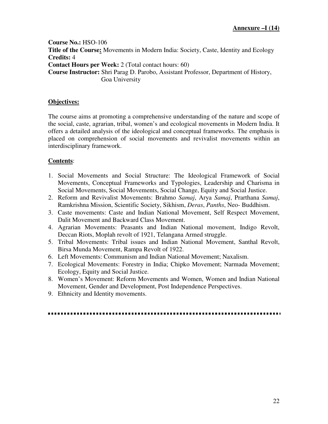**Course No.:** HSO-106 Title of the Course: Movements in Modern India: Society, Caste, Identity and Ecology **Credits:** 4 **Contact Hours per Week:** 2 (Total contact hours: 60) **Course Instructor:** Shri Parag D. Parobo, Assistant Professor, Department of History, Goa University

# **Objectives:**

The course aims at promoting a comprehensive understanding of the nature and scope of the social, caste, agrarian, tribal, women's and ecological movements in Modern India. It offers a detailed analysis of the ideological and conceptual frameworks. The emphasis is placed on comprehension of social movements and revivalist movements within an interdisciplinary framework.

# **Contents**:

- 1. Social Movements and Social Structure: The Ideological Framework of Social Movements, Conceptual Frameworks and Typologies, Leadership and Charisma in Social Movements, Social Movements, Social Change, Equity and Social Justice.
- 2. Reform and Revivalist Movements: Brahmo *Samaj*, Arya *Samaj*, Prarthana *Samaj*, Ramkrishna Mission, Scientific Society, Sikhism, *Deras*, *Panths*, Neo- Buddhism.
- 3. Caste movements: Caste and Indian National Movement, Self Respect Movement, Dalit Movement and Backward Class Movement.
- 4. Agrarian Movements: Peasants and Indian National movement, Indigo Revolt, Deccan Riots, Moplah revolt of 1921, Telangana Armed struggle.
- 5. Tribal Movements: Tribal issues and Indian National Movement, Santhal Revolt, Birsa Munda Movement, Rampa Revolt of 1922.
- 6. Left Movements: Communism and Indian National Movement; Naxalism.
- 7. Ecological Movements: Forestry in India; Chipko Movement; Narmada Movement; Ecology, Equity and Social Justice.
- 8. Women's Movement: Reform Movements and Women, Women and Indian National Movement, Gender and Development, Post Independence Perspectives.
- 9. Ethnicity and Identity movements.

####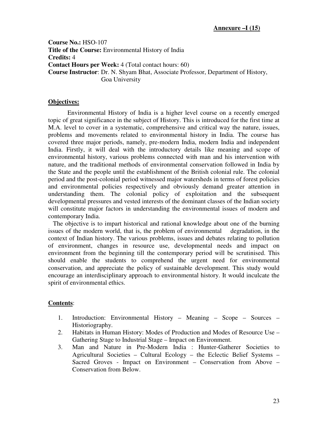**Course No.:** HSO-107 **Title of the Course:** Environmental History of India **Credits:** 4 **Contact Hours per Week:** 4 (Total contact hours: 60) **Course Instructor**: Dr. N. Shyam Bhat, Associate Professor, Department of History, Goa University

#### **Objectives:**

Environmental History of India is a higher level course on a recently emerged topic of great significance in the subject of History. This is introduced for the first time at M.A. level to cover in a systematic, comprehensive and critical way the nature, issues, problems and movements related to environmental history in India. The course has covered three major periods, namely, pre-modern India, modern India and independent India. Firstly, it will deal with the introductory details like meaning and scope of environmental history, various problems connected with man and his intervention with nature, and the traditional methods of environmental conservation followed in India by the State and the people until the establishment of the British colonial rule. The colonial period and the post-colonial period witnessed major watersheds in terms of forest policies and environmental policies respectively and obviously demand greater attention in understanding them. The colonial policy of exploitation and the subsequent developmental pressures and vested interests of the dominant classes of the Indian society will constitute major factors in understanding the environmental issues of modern and contemporary India.

 The objective is to impart historical and rational knowledge about one of the burning issues of the modern world, that is, the problem of environmental degradation, in the context of Indian history. The various problems, issues and debates relating to pollution of environment, changes in resource use, developmental needs and impact on environment from the beginning till the contemporary period will be scrutinised. This should enable the students to comprehend the urgent need for environmental conservation, and appreciate the policy of sustainable development. This study would encourage an interdisciplinary approach to environmental history. It would inculcate the spirit of environmental ethics.

- 1. Introduction: Environmental History Meaning Scope Sources Historiography.
- 2. Habitats in Human History: Modes of Production and Modes of Resource Use Gathering Stage to Industrial Stage – Impact on Environment.
- 3. Man and Nature in Pre-Modern India : Hunter-Gatherer Societies to Agricultural Societies – Cultural Ecology – the Eclectic Belief Systems – Sacred Groves - Impact on Environment – Conservation from Above – Conservation from Below.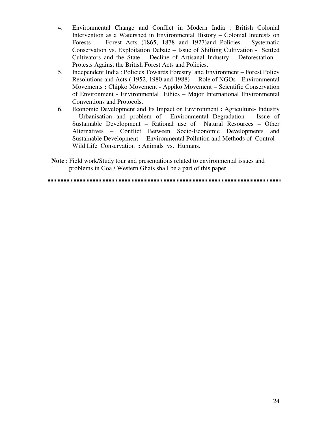- 4. Environmental Change and Conflict in Modern India : British Colonial Intervention as a Watershed in Environmental History – Colonial Interests on Forests – Forest Acts (1865, 1878 and 1927)and Policies – Systematic Conservation vs. Exploitation Debate – Issue of Shifting Cultivation - Settled Cultivators and the State – Decline of Artisanal Industry – Deforestation – Protests Against the British Forest Acts and Policies.
- 5. Independent India : Policies Towards Forestry and Environment Forest Policy Resolutions and Acts ( 1952, 1980 and 1988) – Role of NGOs - Environmental Movements **:** Chipko Movement - Appiko Movement – Scientific Conservation of Environment - Environmental Ethics – Major International Environmental Conventions and Protocols.
- 6. Economic Development and Its Impact on Environment **:** Agriculture- Industry - Urbanisation and problem of Environmental Degradation – Issue of Sustainable Development – Rational use of Natural Resources – Other Alternatives – Conflict Between Socio-Economic Developments and Sustainable Development – Environmental Pollution and Methods of Control – Wild Life Conservation **:** Animals vs. Humans.
- **Note** : Field work/Study tour and presentations related to environmental issues and problems in Goa / Western Ghats shall be a part of this paper.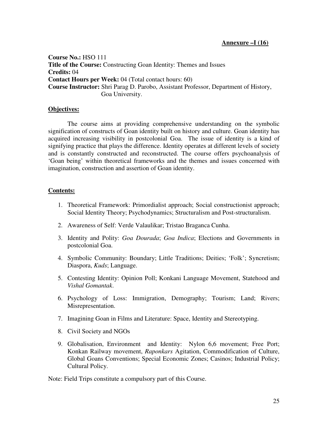**Course No.:** HSO 111 **Title of the Course:** Constructing Goan Identity: Themes and Issues **Credits:** 04 **Contact Hours per Week:** 04 (Total contact hours: 60) **Course Instructor:** Shri Parag D. Parobo, Assistant Professor, Department of History, Goa University.

#### **Objectives:**

The course aims at providing comprehensive understanding on the symbolic signification of constructs of Goan identity built on history and culture. Goan identity has acquired increasing visibility in postcolonial Goa. The issue of identity is a kind of signifying practice that plays the difference. Identity operates at different levels of society and is constantly constructed and reconstructed. The course offers psychoanalysis of 'Goan being' within theoretical frameworks and the themes and issues concerned with imagination, construction and assertion of Goan identity.

#### **Contents:**

- 1. Theoretical Framework: Primordialist approach; Social constructionist approach; Social Identity Theory; Psychodynamics; Structuralism and Post-structuralism.
- 2. Awareness of Self: Verde Valaulikar; Tristao Braganca Cunha.
- 3. Identity and Polity: *Goa Dourada*; *Goa Indica*; Elections and Governments in postcolonial Goa.
- 4. Symbolic Community: Boundary; Little Traditions; Deities; 'Folk'; Syncretism; Diaspora, *Kuds*; Language.
- 5. Contesting Identity: Opinion Poll; Konkani Language Movement, Statehood and *Vishal Gomantak*.
- 6. Psychology of Loss: Immigration, Demography; Tourism; Land; Rivers; Misrepresentation.
- 7. Imagining Goan in Films and Literature: Space, Identity and Stereotyping.
- 8. Civil Society and NGOs
- 9. Globalisation, Environment and Identity: Nylon 6,6 movement; Free Port; Konkan Railway movement, *Raponkars* Agitation, Commodification of Culture, Global Goans Conventions; Special Economic Zones; Casinos; Industrial Policy; Cultural Policy.

Note: Field Trips constitute a compulsory part of this Course.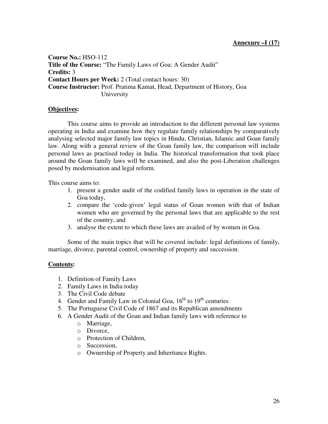**Course No.:** HSO-112 **Title of the Course:** "The Family Laws of Goa: A Gender Audit" **Credits:** 3 **Contact Hours per Week:** 2 (Total contact hours: 30) **Course Instructor:** Prof. Pratima Kamat, Head, Department of History, Goa University

# **Objectives:**

This course aims to provide an introduction to the different personal law systems operating in India and examine how they regulate family relationships by comparatively analysing selected major family law topics in Hindu, Christian, Islamic and Goan family law. Along with a general review of the Goan family law, the comparison will include personal laws as practised today in India. The historical transformation that took place around the Goan family laws will be examined, and also the post-Liberation challenges posed by modernisation and legal reform.

This course aims to:

- 1. present a gender audit of the codified family laws in operation in the state of Goa today,
- 2. compare the 'code-given' legal status of Goan women with that of Indian women who are governed by the personal laws that are applicable to the rest of the country, and
- 3. analyse the extent to which these laws are availed of by women in Goa.

Some of the main topics that will be covered include: legal definitions of family, marriage, divorce, parental control, ownership of property and succession.

- 1. Definition of Family Laws
- 2. Family Laws in India today
- 3. The Civil Code debate
- 4. Gender and Family Law in Colonial Goa,  $16<sup>th</sup>$  to  $19<sup>th</sup>$  centuries
- 5. The Portuguese Civil Code of 1867 and its Republican amendments
- 6. A Gender Audit of the Goan and Indian family laws with reference to
	- o Marriage,
	- o Divorce,
	- o Protection of Children,
	- o Succession,
	- o Ownership of Property and Inheritance Rights.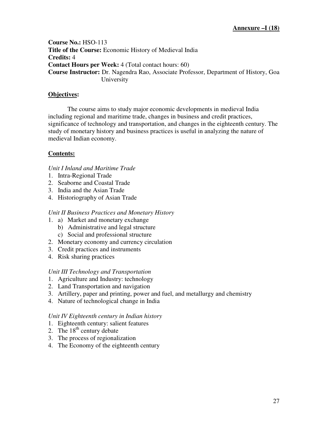**Course No.:** HSO-113 **Title of the Course:** Economic History of Medieval India **Credits:** 4 **Contact Hours per Week:** 4 (Total contact hours: 60) **Course Instructor:** Dr. Nagendra Rao, Associate Professor, Department of History, Goa University

# **Objectives:**

The course aims to study major economic developments in medieval India including regional and maritime trade, changes in business and credit practices, significance of technology and transportation, and changes in the eighteenth century. The study of monetary history and business practices is useful in analyzing the nature of medieval Indian economy.

# **Contents:**

# *Unit I Inland and Maritime Trade*

- 1. Intra-Regional Trade
- 2. Seaborne and Coastal Trade
- 3. India and the Asian Trade
- 4. Historiography of Asian Trade

#### *Unit II Business Practices and Monetary History*

- 1. a) Market and monetary exchange
	- b) Administrative and legal structure
		- c) Social and professional structure
- 2. Monetary economy and currency circulation
- 3. Credit practices and instruments
- 4. Risk sharing practices

# *Unit III Technology and Transportation*

- 1. Agriculture and Industry: technology
- 2. Land Transportation and navigation
- 3. Artillery, paper and printing, power and fuel, and metallurgy and chemistry
- 4. Nature of technological change in India

#### *Unit IV Eighteenth century in Indian history*

- 1. Eighteenth century: salient features
- 2. The  $18<sup>th</sup>$  century debate
- 3. The process of regionalization
- 4. The Economy of the eighteenth century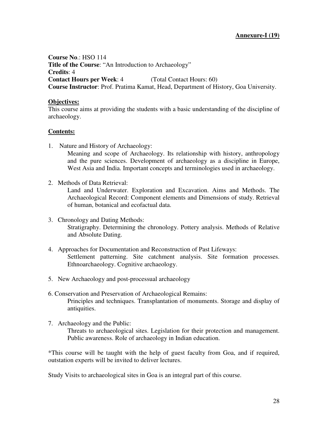**Course No**.: HSO 114 **Title of the Course**: "An Introduction to Archaeology" **Credits**: 4 **Contact Hours per Week**: 4 (Total Contact Hours: 60) **Course Instructor**: Prof. Pratima Kamat, Head, Department of History, Goa University.

#### **Objectives:**

This course aims at providing the students with a basic understanding of the discipline of archaeology.

#### **Contents:**

1. Nature and History of Archaeology:

Meaning and scope of Archaeology. Its relationship with history, anthropology and the pure sciences. Development of archaeology as a discipline in Europe, West Asia and India. Important concepts and terminologies used in archaeology.

2. Methods of Data Retrieval:

Land and Underwater. Exploration and Excavation. Aims and Methods. The Archaeological Record: Component elements and Dimensions of study. Retrieval of human, botanical and ecofactual data.

- 3. Chronology and Dating Methods: Stratigraphy. Determining the chronology. Pottery analysis. Methods of Relative and Absolute Dating.
- 4. Approaches for Documentation and Reconstruction of Past Lifeways: Settlement patterning. Site catchment analysis. Site formation processes. Ethnoarchaeology. Cognitive archaeology.
- 5. New Archaeology and post-processual archaeology
- 6. Conservation and Preservation of Archaeological Remains: Principles and techniques. Transplantation of monuments. Storage and display of antiquities.
- 7. Archaeology and the Public:

Threats to archaeological sites. Legislation for their protection and management. Public awareness. Role of archaeology in Indian education.

\*This course will be taught with the help of guest faculty from Goa, and if required, outstation experts will be invited to deliver lectures.

Study Visits to archaeological sites in Goa is an integral part of this course.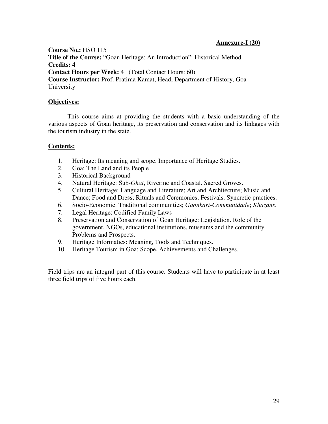#### **Annexure-I (20)**

**Course No.:** HSO 115 **Title of the Course:** "Goan Heritage: An Introduction": Historical Method **Credits: 4 Contact Hours per Week: 4** (Total Contact Hours: 60) **Course Instructor:** Prof. Pratima Kamat, Head, Department of History, Goa University

#### **Objectives:**

This course aims at providing the students with a basic understanding of the various aspects of Goan heritage, its preservation and conservation and its linkages with the tourism industry in the state.

#### **Contents:**

- 1. Heritage: Its meaning and scope. Importance of Heritage Studies.
- 2. Goa: The Land and its People
- 3. Historical Background
- 4. Natural Heritage: Sub-*Ghat*, Riverine and Coastal. Sacred Groves.
- 5. Cultural Heritage: Language and Literature; Art and Architecture; Music and Dance; Food and Dress; Rituals and Ceremonies; Festivals. Syncretic practices.
- 6. Socio-Economic: Traditional communities; *Gaonkari*-*Communidade*; *Khazans*.
- 7. Legal Heritage: Codified Family Laws
- 8. Preservation and Conservation of Goan Heritage: Legislation. Role of the government, NGOs, educational institutions, museums and the community. Problems and Prospects.
- 9. Heritage Informatics: Meaning, Tools and Techniques.
- 10. Heritage Tourism in Goa: Scope, Achievements and Challenges.

Field trips are an integral part of this course. Students will have to participate in at least three field trips of five hours each.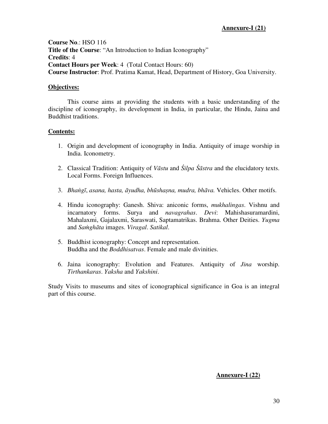**Course No**.: HSO 116 **Title of the Course**: "An Introduction to Indian Iconography" **Credits**: 4 **Contact Hours per Week**: 4 (Total Contact Hours: 60) **Course Instructor**: Prof. Pratima Kamat, Head, Department of History, Goa University.

#### **Objectives:**

This course aims at providing the students with a basic understanding of the discipline of iconography, its development in India, in particular, the Hindu, Jaina and Buddhist traditions.

#### **Contents:**

- 1. Origin and development of iconography in India. Antiquity of image worship in India. Iconometry.
- 2. Classical Tradition: Antiquity of *V*ā*stu* and Ś*ilpa* Śā*stra* and the elucidatory texts. Local Forms. Foreign Influences.
- 3. *Bha*ṅ*g*ῑ, *asana, hasta,* ā*yudha, bh*ū*sha*ṣ*na, mudra, bh*ā*va.* Vehicles. Other motifs.
- 4. Hindu iconography: Ganesh. Shiva: aniconic forms, *mukhalingas*. Vishnu and incarnatory forms. Surya and *navagrahas*. *Devi*: Mahishasuramardini, Mahalaxmi, Gajalaxmi, Saraswati, Saptamatrikas. Brahma. Other Deities. *Yugma* and *Sa*ṁ*gh*ā*ta* images. *Viragal*. *Satikal*.
- 5. Buddhist iconography: Concept and representation. Buddha and the *Boddhisatvas*. Female and male divinities.
- 6. Jaina iconography: Evolution and Features. Antiquity of *Jina* worship. *Tirthankaras*. *Yaksha* and *Yakshini*.

Study Visits to museums and sites of iconographical significance in Goa is an integral part of this course.

# **Annexure-I (22)**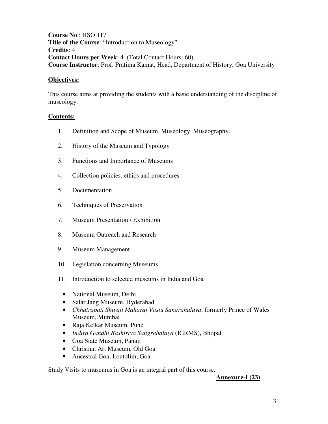**Course No**.: HSO 117 **Title of the Course**: "Introduction to Museology" **Credits**: 4 **Contact Hours per Week**: 4 (Total Contact Hours: 60) **Course Instructor**: Prof. Pratima Kamat, Head, Department of History, Goa University

#### **Objectives:**

This course aims at providing the students with a basic understanding of the discipline of museology.

#### **Contents:**

- 1. Definition and Scope of Museum. Museology. Museography.
- 2. History of the Museum and Typology
- 3. Functions and Importance of Museums
- 4. Collection policies, ethics and procedures
- 5. Documentation
- 6. Techniques of Preservation
- 7. Museum Presentation / Exhibition
- 8. Museum Outreach and Research
- 9. Museum Management
- 10. Legislation concerning Museums
- 11. Introduction to selected museums in India and Goa
	- National Museum, Delhi
	- Salar Jang Museum, Hyderabad
	- *Chhatrapati Shivaji Maharaj Vastu Sangrahalaya*, formerly Prince of Wales Museum, Mumbai
	- Raja Kelkar Museum, Pune
	- *Indira Gandhi Rashtriya Sangrahalaya* (IGRMS), Bhopal
	- Goa State Museum, Panaji
	- Christian Art Museum, Old Goa
	- Ancestral Goa, Loutolim, Goa.

Study Visits to museums in Goa is an integral part of this course.

#### **Annexure-I (23)**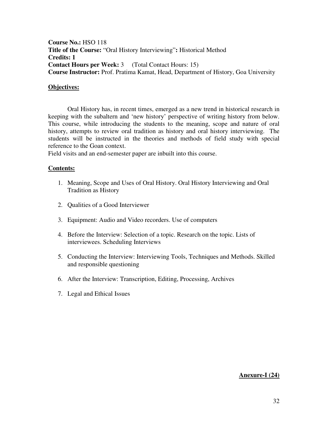**Course No.:** HSO 118 **Title of the Course:** "Oral History Interviewing"**:** Historical Method **Credits: 1 Contact Hours per Week:** 3 (Total Contact Hours: 15) **Course Instructor:** Prof. Pratima Kamat, Head, Department of History, Goa University

#### **Objectives:**

Oral History has, in recent times, emerged as a new trend in historical research in keeping with the subaltern and 'new history' perspective of writing history from below. This course, while introducing the students to the meaning, scope and nature of oral history, attempts to review oral tradition as history and oral history interviewing. The students will be instructed in the theories and methods of field study with special reference to the Goan context.

Field visits and an end-semester paper are inbuilt into this course.

#### **Contents:**

- 1. Meaning, Scope and Uses of Oral History. Oral History Interviewing and Oral Tradition as History
- 2. Qualities of a Good Interviewer
- 3. Equipment: Audio and Video recorders. Use of computers
- 4. Before the Interview: Selection of a topic. Research on the topic. Lists of interviewees. Scheduling Interviews
- 5. Conducting the Interview: Interviewing Tools, Techniques and Methods. Skilled and responsible questioning
- 6. After the Interview: Transcription, Editing, Processing, Archives
- 7. Legal and Ethical Issues

# **Anexure-I (24)**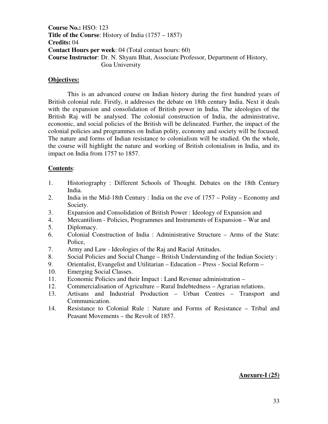**Course No.:** HSO: 123 **Title of the Course**: History of India (1757 – 1857) **Credits:** 04 **Contact Hours per week**: 04 (Total contact hours: 60) **Course Instructor**: Dr. N. Shyam Bhat, Associate Professor, Department of History, Goa University

#### **Objectives:**

This is an advanced course on Indian history during the first hundred years of British colonial rule. Firstly, it addresses the debate on 18th century India. Next it deals with the expansion and consolidation of British power in India. The ideologies of the British Raj will be analysed. The colonial construction of India, the administrative, economic, and social policies of the British will be delineated. Further, the impact of the colonial policies and programmes on Indian polity, economy and society will be focused. The nature and forms of Indian resistance to colonialism will be studied. On the whole, the course will highlight the nature and working of British colonialism in India, and its impact on India from 1757 to 1857.

#### **Contents**:

- 1. Historiography : Different Schools of Thought. Debates on the 18th Century India.
- 2. India in the Mid-18th Century : India on the eve of 1757 Polity Economy and Society.
- 3. Expansion and Consolidation of British Power : Ideology of Expansion and
- 4. Mercantilism Policies, Programmes and Instruments of Expansion War and
- 5. Diplomacy.
- 6. Colonial Construction of India : Administrative Structure Arms of the State: Police,
- 7. Army and Law Ideologies of the Raj and Racial Attitudes.
- 8. Social Policies and Social Change British Understanding of the Indian Society :
- 9. Orientalist, Evangelist and Utilitarian Education Press Social Reform –
- 10. Emerging Social Classes.
- 11. Economic Policies and their Impact : Land Revenue administration –
- 12. Commercialisation of Agriculture Rural Indebtedness Agrarian relations.
- 13. Artisans and Industrial Production Urban Centres Transport and Communication.
- 14. Resistance to Colonial Rule : Nature and Forms of Resistance Tribal and Peasant Movements – the Revolt of 1857.

#### **Anexure-I (25)**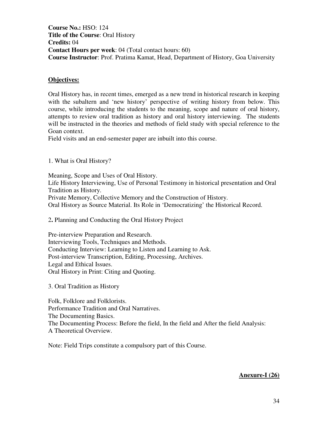**Course No.:** HSO: 124 **Title of the Course**: Oral History **Credits:** 04 **Contact Hours per week**: 04 (Total contact hours: 60) **Course Instructor**: Prof. Pratima Kamat, Head, Department of History, Goa University

#### **Objectives:**

Oral History has, in recent times, emerged as a new trend in historical research in keeping with the subaltern and 'new history' perspective of writing history from below. This course, while introducing the students to the meaning, scope and nature of oral history, attempts to review oral tradition as history and oral history interviewing. The students will be instructed in the theories and methods of field study with special reference to the Goan context.

Field visits and an end-semester paper are inbuilt into this course.

1. What is Oral History?

Meaning, Scope and Uses of Oral History. Life History Interviewing, Use of Personal Testimony in historical presentation and Oral Tradition as History. Private Memory, Collective Memory and the Construction of History. Oral History as Source Material. Its Role in 'Democratizing' the Historical Record.

2**.** Planning and Conducting the Oral History Project

Pre-interview Preparation and Research. Interviewing Tools, Techniques and Methods. Conducting Interview: Learning to Listen and Learning to Ask. Post-interview Transcription, Editing, Processing, Archives. Legal and Ethical Issues. Oral History in Print: Citing and Quoting.

3. Oral Tradition as History

Folk, Folklore and Folklorists. Performance Tradition and Oral Narratives. The Documenting Basics. The Documenting Process: Before the field, In the field and After the field Analysis: A Theoretical Overview.

Note: Field Trips constitute a compulsory part of this Course.

# **Anexure-I (26)**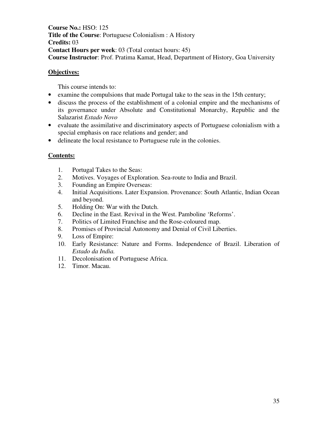**Course No.:** HSO: 125 **Title of the Course**: Portuguese Colonialism : A History **Credits:** 03 **Contact Hours per week**: 03 (Total contact hours: 45) **Course Instructor**: Prof. Pratima Kamat, Head, Department of History, Goa University

# **Objectives:**

This course intends to:

- examine the compulsions that made Portugal take to the seas in the 15th century;
- discuss the process of the establishment of a colonial empire and the mechanisms of its governance under Absolute and Constitutional Monarchy, Republic and the Salazarist *Estado Novo*
- evaluate the assimilative and discriminatory aspects of Portuguese colonialism with a special emphasis on race relations and gender; and
- delineate the local resistance to Portuguese rule in the colonies.

- 1. Portugal Takes to the Seas:
- 2. Motives. Voyages of Exploration. Sea-route to India and Brazil.
- 3. Founding an Empire Overseas:
- 4. Initial Acquisitions. Later Expansion. Provenance: South Atlantic, Indian Ocean and beyond.
- 5. Holding On: War with the Dutch.
- 6. Decline in the East. Revival in the West. Pamboline 'Reforms'.
- 7. Politics of Limited Franchise and the Rose-coloured map.
- 8. Promises of Provincial Autonomy and Denial of Civil Liberties.
- 9. Loss of Empire:
- 10. Early Resistance: Nature and Forms. Independence of Brazil. Liberation of *Estado da India.*
- 11. Decolonisation of Portuguese Africa.
- 12. Timor. Macau.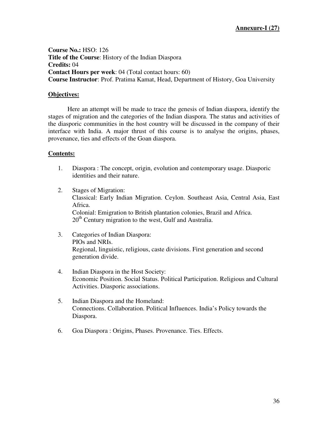**Course No.:** HSO: 126 **Title of the Course**: History of the Indian Diaspora **Credits:** 04 **Contact Hours per week**: 04 (Total contact hours: 60) **Course Instructor**: Prof. Pratima Kamat, Head, Department of History, Goa University

#### **Objectives:**

Here an attempt will be made to trace the genesis of Indian diaspora, identify the stages of migration and the categories of the Indian diaspora. The status and activities of the diasporic communities in the host country will be discussed in the company of their interface with India. A major thrust of this course is to analyse the origins, phases, provenance, ties and effects of the Goan diaspora.

- 1. Diaspora : The concept, origin, evolution and contemporary usage. Diasporic identities and their nature.
- 2. Stages of Migration: Classical: Early Indian Migration. Ceylon. Southeast Asia, Central Asia, East Africa. Colonial: Emigration to British plantation colonies, Brazil and Africa. 20<sup>th</sup> Century migration to the west, Gulf and Australia.
- 3. Categories of Indian Diaspora: PIOs and NRIs. Regional, linguistic, religious, caste divisions. First generation and second generation divide.
- 4. Indian Diaspora in the Host Society: Economic Position. Social Status. Political Participation. Religious and Cultural Activities. Diasporic associations.
- 5. Indian Diaspora and the Homeland: Connections. Collaboration. Political Influences. India's Policy towards the Diaspora.
- 6. Goa Diaspora : Origins, Phases. Provenance. Ties. Effects.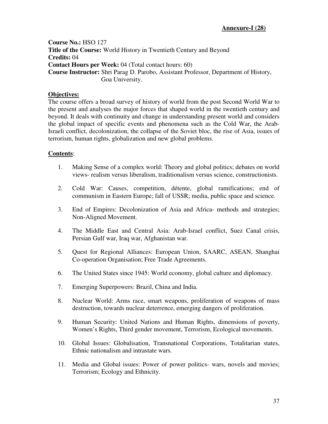**Course No.:** HSO 127 **Title of the Course:** World History in Twentieth Century and Beyond **Credits:** 04 **Contact Hours per Week:** 04 (Total contact hours: 60) **Course Instructor:** Shri Parag D. Parobo, Assistant Professor, Department of History, Goa University.

# **Objectives:**

The course offers a broad survey of history of world from the post Second World War to the present and analyses the major forces that shaped world in the twentieth century and beyond. It deals with continuity and change in understanding present world and considers the global impact of specific events and phenomena such as the Cold War, the Arab-Israeli conflict, decolonization, the collapse of the Soviet bloc, the rise of Asia, issues of terrorism, human rights, globalization and new global problems.

- 1. Making Sense of a complex world: Theory and global politics; debates on world views- realism versus liberalism, traditionalism versus science, constructionists.
- 2. Cold War: Causes, competition, détente, global ramifications; end of communism in Eastern Europe; fall of USSR; media, public space and science.
- 3. End of Empires: Decolonization of Asia and Africa- methods and strategies; Non-Aligned Movement.
- 4. The Middle East and Central Asia: Arab-Israel conflict, Suez Canal crisis, Persian Gulf war, Iraq war, Afghanistan war.
- 5. Quest for Regional Alliances: European Union, SAARC, ASEAN, Shanghai Co-operation Organisation; Free Trade Agreements.
- 6. The United States since 1945: World economy, global culture and diplomacy.
- 7. Emerging Superpowers: Brazil, China and India.
- 8. Nuclear World: Arms race, smart weapons, proliferation of weapons of mass destruction, towards nuclear deterrence, emerging dangers of proliferation.
- 9. Human Security: United Nations and Human Rights, dimensions of poverty, Women's Rights, Third gender movement, Terrorism, Ecological movements.
- 10. Global Issues: Globalisation, Transnational Corporations, Totalitarian states, Ethnic nationalism and intrastate wars.
- 11. Media and Global issues: Power of power politics- wars, novels and movies; Terrorism; Ecology and Ethnicity.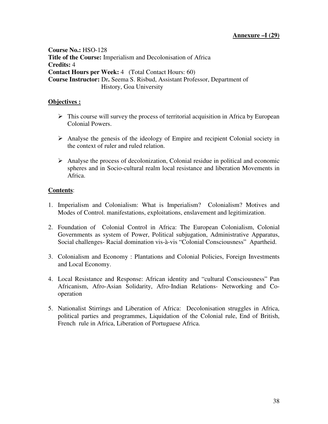**Course No.:** HSO-128 **Title of the Course:** Imperialism and Decolonisation of Africa **Credits:** 4 **Contact Hours per Week:** 4 (Total Contact Hours: 60) **Course Instructor:** Dr**.** Seema S. Risbud, Assistant Professor, Department of History, Goa University

# **Objectives :**

- $\triangleright$  This course will survey the process of territorial acquisition in Africa by European Colonial Powers.
- Analyse the genesis of the ideology of Empire and recipient Colonial society in the context of ruler and ruled relation.
- $\triangleright$  Analyse the process of decolonization, Colonial residue in political and economic spheres and in Socio-cultural realm local resistance and liberation Movements in Africa.

- 1. Imperialism and Colonialism: What is Imperialism? Colonialism? Motives and Modes of Control. manifestations, exploitations, enslavement and legitimization.
- 2. Foundation of Colonial Control in Africa: The European Colonialism, Colonial Governments as system of Power, Political subjugation, Administrative Apparatus, Social challenges- Racial domination vis-à-vis "Colonial Consciousness" Apartheid.
- 3. Colonialism and Economy : Plantations and Colonial Policies, Foreign Investments and Local Economy.
- 4. Local Resistance and Response: African identity and "cultural Consciousness" Pan Africanism, Afro-Asian Solidarity, Afro-Indian Relations- Networking and Cooperation
- 5. Nationalist Stirrings and Liberation of Africa: Decolonisation struggles in Africa, political parties and programmes, Liquidation of the Colonial rule, End of British, French rule in Africa, Liberation of Portuguese Africa.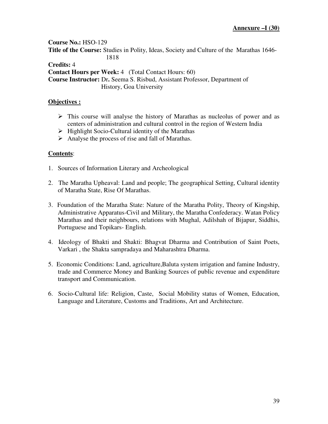**Course No.:** HSO-129 **Title of the Course:** Studies in Polity, Ideas, Society and Culture of the Marathas 1646- 1818 **Credits:** 4

**Contact Hours per Week:** 4 (Total Contact Hours: 60)

**Course Instructor:** Dr**.** Seema S. Risbud, Assistant Professor, Department of History, Goa University

# **Objectives :**

- $\triangleright$  This course will analyse the history of Marathas as nucleolus of power and as centers of administration and cultural control in the region of Western India
- $\triangleright$  Highlight Socio-Cultural identity of the Marathas
- $\triangleright$  Analyse the process of rise and fall of Marathas.

- 1. Sources of Information Literary and Archeological
- 2. The Maratha Upheaval: Land and people; The geographical Setting, Cultural identity of Maratha State, Rise Of Marathas.
- 3. Foundation of the Maratha State: Nature of the Maratha Polity, Theory of Kingship, Administrative Apparatus-Civil and Military, the Maratha Confederacy. Watan Policy Marathas and their neighbours, relations with Mughal, Adilshah of Bijapur, Siddhis, Portuguese and Topikars- English.
- 4. Ideology of Bhakti and Shakti: Bhagvat Dharma and Contribution of Saint Poets, Varkari , the Shakta sampradaya and Maharashtra Dharma.
- 5. Economic Conditions: Land, agriculture,Baluta system irrigation and famine Industry, trade and Commerce Money and Banking Sources of public revenue and expenditure transport and Communication.
- 6. Socio-Cultural life: Religion, Caste, Social Mobility status of Women, Education, Language and Literature, Customs and Traditions, Art and Architecture.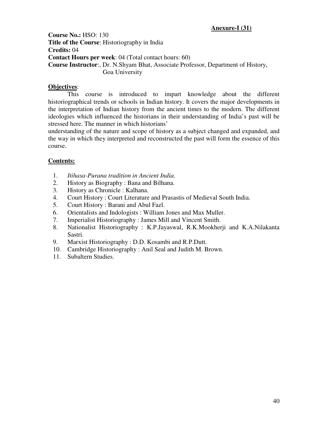# **Anexure-I (31)**

**Course No.:** HSO: 130 **Title of the Course**: Historiography in India **Credits:** 04 **Contact Hours per week**: 04 (Total contact hours: 60) **Course Instructor**:, Dr. N.Shyam Bhat, Associate Professor, Department of History, Goa University

# **Objectives**:

This course is introduced to impart knowledge about the different historiographical trends or schools in Indian history. It covers the major developments in the interpretation of Indian history from the ancient times to the modern. The different ideologies which influenced the historians in their understanding of India's past will be stressed here. The manner in which historians'

understanding of the nature and scope of history as a subject changed and expanded, and the way in which they interpreted and reconstructed the past will form the essence of this course.

- 1. *Itihasa-Purana tradition in Ancient India.*
- 2. History as Biography : Bana and Bilhana.
- 3. History as Chronicle : Kalhana.
- 4. Court History : Court Literature and Prasastis of Medieval South India.
- 5. Court History : Barani and Abul Fazl.
- 6. Orientalists and Indologists : William Jones and Max Muller.
- 7. Imperialist Historiography : James Mill and Vincent Smith.
- 8. Nationalist Historiography : K.P.Jayaswal, R.K.Mookherji and K.A.Nilakanta Sastri.
- 9. Marxist Historiography : D.D. Kosambi and R.P.Dutt.
- 10. Cambridge Historiography : Anil Seal and Judith M. Brown.
- 11. Subaltern Studies.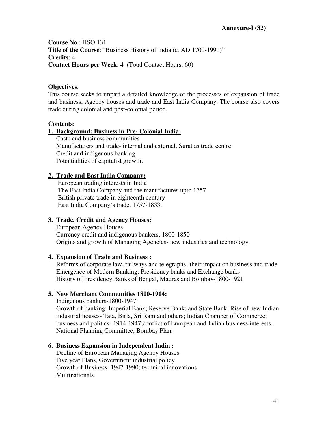**Course No**.: HSO 131 **Title of the Course**: "Business History of India (c*.* AD 1700-1991)" **Credits**: 4 **Contact Hours per Week**: 4 (Total Contact Hours: 60)

# **Objectives**:

This course seeks to impart a detailed knowledge of the processes of expansion of trade and business, Agency houses and trade and East India Company. The course also covers trade during colonial and post-colonial period.

# **Contents:**

# **1. Background: Business in Pre- Colonial India:**

 Caste and business communities Manufacturers and trade- internal and external, Surat as trade centre Credit and indigenous banking Potentialities of capitalist growth.

# **2. Trade and East India Company:**

 European trading interests in India The East India Company and the manufactures upto 1757 British private trade in eighteenth century East India Company's trade, 1757-1833.

# **3. Trade, Credit and Agency Houses:**

 European Agency Houses Currency credit and indigenous bankers, 1800-1850 Origins and growth of Managing Agencies- new industries and technology.

# **4. Expansion of Trade and Business :**

 Reforms of corporate law, railways and telegraphs- their impact on business and trade Emergence of Modern Banking: Presidency banks and Exchange banks History of Presidency Banks of Bengal, Madras and Bombay-1800-1921

# **5. New Merchant Communities 1800-1914:**

Indigenous bankers-1800-1947

 Growth of banking: Imperial Bank; Reserve Bank; and State Bank. Rise of new Indian industrial houses- Tata, Birla, Sri Ram and others; Indian Chamber of Commerce; business and politics- 1914-1947;conflict of European and Indian business interests. National Planning Committee; Bombay Plan.

# **6. Business Expansion in Independent India :**

 Decline of European Managing Agency Houses Five year Plans, Government industrial policy Growth of Business: 1947-1990; technical innovations Multinationals.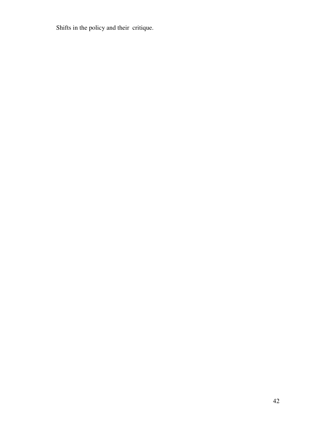Shifts in the policy and their critique.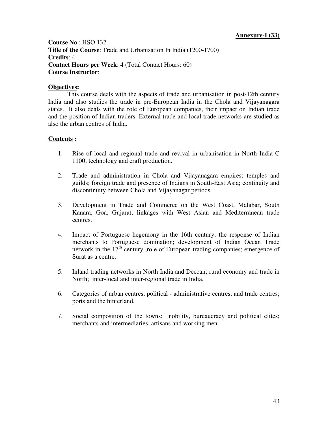**Course No**.: HSO 132 **Title of the Course**: Trade and Urbanisation In India (1200-1700) **Credits**: 4 **Contact Hours per Week**: 4 (Total Contact Hours: 60) **Course Instructor**:

# **Objectives:**

This course deals with the aspects of trade and urbanisation in post-12th century India and also studies the trade in pre-European India in the Chola and Vijayanagara states. It also deals with the role of European companies, their impact on Indian trade and the position of Indian traders. External trade and local trade networks are studied as also the urban centres of India.

- 1. Rise of local and regional trade and revival in urbanisation in North India C 1100; technology and craft production.
- 2. Trade and administration in Chola and Vijayanagara empires; temples and guilds; foreign trade and presence of Indians in South-East Asia; continuity and discontinuity between Chola and Vijayanagar periods.
- 3. Development in Trade and Commerce on the West Coast, Malabar, South Kanara, Goa, Gujarat; linkages with West Asian and Mediterranean trade centres.
- 4. Impact of Portuguese hegemony in the 16th century; the response of Indian merchants to Portuguese domination; development of Indian Ocean Trade network in the  $17<sup>th</sup>$  century ,role of European trading companies; emergence of Surat as a centre.
- 5. Inland trading networks in North India and Deccan; rural economy and trade in North; inter-local and inter-regional trade in India.
- 6. Categories of urban centres, political administrative centres, and trade centres; ports and the hinterland.
- 7. Social composition of the towns: nobility, bureaucracy and political elites; merchants and intermediaries, artisans and working men.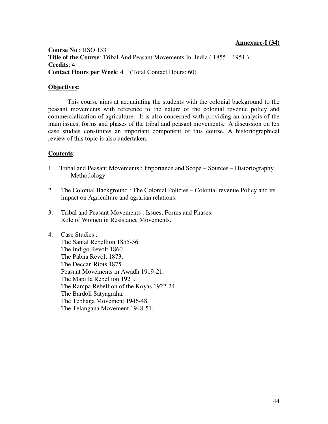#### **Annexure-I (34)**

**Course No**.: HSO 133 **Title of the Course:** Tribal And Peasant Movements In India (1855 – 1951) **Credits**: 4 **Contact Hours per Week**: 4 (Total Contact Hours: 60)

# **Objectives:**

This course aims at acquainting the students with the colonial background to the peasant movements with reference to the nature of the colonial revenue policy and commercialization of agriculture. It is also concerned with providing an analysis of the main issues, forms and phases of the tribal and peasant movements. A discussion on ten case studies constitutes an important component of this course. A historiographical review of this topic is also undertaken.

# **Contents**:

- 1. Tribal and Peasant Movements : Importance and Scope Sources Historiography Methodology.
- 2. The Colonial Background : The Colonial Policies Colonial revenue Policy and its impact on Agriculture and agrarian relations.
- 3. Tribal and Peasant Movements : Issues, Forms and Phases. Role of Women in Resistance Movements.

4. Case Studies : The Santal Rebellion 1855-56. The Indigo Revolt 1860. The Pabna Revolt 1873. The Deccan Riots 1875. Peasant Movements in Awadh 1919-21. The Mapilla Rebellion 1921. The Rampa Rebellion of the Koyas 1922-24. The Bardoli Satyagraha. The Tebhaga Movement 1946-48. The Telangana Movement 1948-51.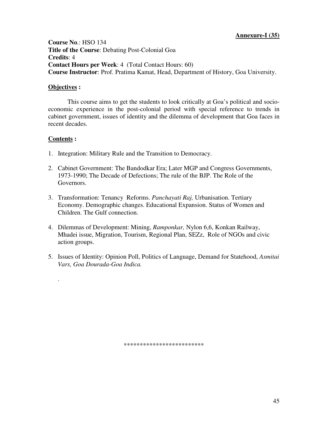# **Annexure-I (35)**

**Course No**.: HSO 134 **Title of the Course**: Debating Post-Colonial Goa **Credits**: 4 **Contact Hours per Week**: 4 (Total Contact Hours: 60) **Course Instructor**: Prof. Pratima Kamat, Head, Department of History, Goa University.

### **Objectives :**

This course aims to get the students to look critically at Goa's political and socioeconomic experience in the post-colonial period with special reference to trends in cabinet government, issues of identity and the dilemma of development that Goa faces in recent decades.

# **Contents :**

.

- 1. Integration: Military Rule and the Transition to Democracy.
- 2. Cabinet Government: The Bandodkar Era; Later MGP and Congress Governments, 1973-1990; The Decade of Defections; The rule of the BJP. The Role of the Governors.
- 3. Transformation: Tenancy Reforms. *Panchayati Raj,* Urbanisation. Tertiary Economy. Demographic changes. Educational Expansion. Status of Women and Children. The Gulf connection.
- 4. Dilemmas of Development: Mining, *Ramponkar,* Nylon 6,6, Konkan Railway, Mhadei issue, Migration, Tourism, Regional Plan, SEZz, Role of NGOs and civic action groups.
- 5. Issues of Identity: Opinion Poll, Politics of Language, Demand for Statehood, *Asmitai Vars, Goa Dourada-Goa Indica.*

\*\*\*\*\*\*\*\*\*\*\*\*\*\*\*\*\*\*\*\*\*\*\*\*\*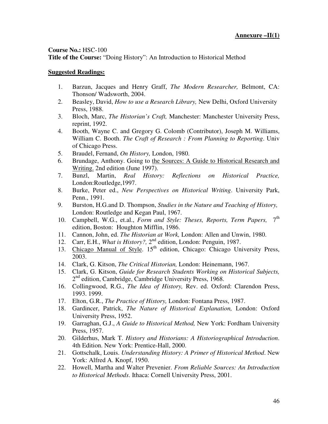### **Course No.:** HSC-100

**Title of the Course:** "Doing History": An Introduction to Historical Method

- 1. Barzun, Jacques and Henry Graff, *The Modern Researcher,* Belmont, CA: Thonson/ Wadsworth, 2004.
- 2. Beasley, David, *How to use a Research Library,* New Delhi, Oxford University Press, 1988.
- 3. Bloch, Marc, *The Historian's Craft,* Manchester: Manchester University Press, reprint, 1992.
- 4. Booth, Wayne C. and Gregory G. Colomb (Contributor), Joseph M. Williams, William C. Booth. *The Craft of Research : From Planning to Reporting*. Univ of Chicago Press.
- 5. Braudel, Fernand, *On History,* London, 1980.
- 6. Brundage, Anthony. Going to the Sources: A Guide to Historical Research and Writing. 2nd edition (June 1997).
- 7. Bunzl, Martin, *Real History: Reflections on Historical Practice,*  London:Routledge,1997.
- 8. Burke, Peter ed., *New Perspectives on Historical Writing*. University Park, Penn., 1991.
- 9. Burston, H.G.and D. Thompson, *Studies in the Nature and Teaching of History,*  London: Routledge and Kegan Paul, 1967.
- 10. Campbell, W.G., et.al., *Form and Style: Theses, Reports, Term Papers,* 7  $7^{\text{th}}$ edition, Boston: Houghton Mifflin, 1986.
- 11. Cannon, John, ed. *The Historian at Work,* London: Allen and Unwin, 1980.
- 12. Carr, E.H., *What is History?*, 2<sup>nd</sup> edition, London: Penguin, 1987.
- 13. Chicago Manual of Style. 15<sup>th</sup> edition, Chicago: Chicago University Press, 2003.
- 14. Clark, G. Kitson, *The Critical Historian,* London: Heinemann, 1967.
- 15. Clark, G. Kitson, *Guide for Research Students Working on Historical Subjects,*  2<sup>nd</sup> edition, Cambridge, Cambridge University Press, 1968.
- 16. Collingwood, R.G., *The Idea of History,* Rev. ed. Oxford: Clarendon Press, 1993. 1999.
- 17. Elton, G.R., *The Practice of History,* London: Fontana Press, 1987.
- 18. Gardincer, Patrick, *The Nature of Historical Explanation,* London: Oxford University Press, 1952.
- 19. Garraghan, G.J., *A Guide to Historical Method,* New York: Fordham University Press, 1957.
- 20. Gilderhus, Mark T. *History and Historians: A Historiographical Introduction*. 4th Edition. New York: Prentice-Hall, 2000.
- 21. Gottschalk, Louis. *Understanding History: A Primer of Historical Method*. New York: Alfred A. Knopf, 1950.
- 22. Howell, Martha and Walter Prevenier. *From Reliable Sources: An Introduction to Historical Methods*. Ithaca: Cornell University Press, 2001.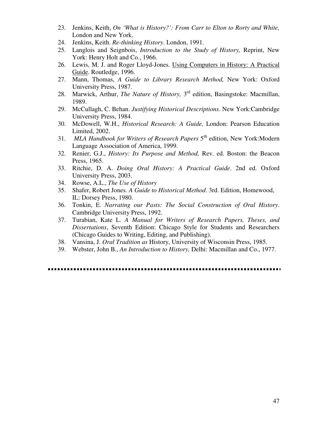- 23. Jenkins, Keith, *On 'What is History?': From Carr to Elton to Rorty and White,*  London and New York.
- 24. Jenkins, Keith. *Re-thinking History*. London, 1991.
- 25. Langlois and Seignbois, *Introduction to the Study of History,* Reprint, New York: Henry Holt and Co., 1966.
- 26. Lewis, M. J. and Roger Lloyd-Jones. Using Computers in History: A Practical Guide. Routledge, 1996.
- 27. Mann, Thomas, *A Guide to Library Research Method,* New York: Oxford University Press, 1987.
- 28. Marwick, Arthur, *The Nature of History,* 3 rd edition, Basingstoke: Macmillan, 1989.
- 29. McCullagh, C. Behan. *Justifying Historical Descriptions*. New York:Cambridge University Press, 1984.
- 30. McDowell, W.H., *Historical Research: A Guide,* London: Pearson Education Limited, 2002.
- 31. MLA Handbook for Writers of Research Papers 5<sup>th</sup> edition, New York:Modern Language Association of America, 1999.
- 32. Renier, G.J., *History: Its Purpose and Method,* Rev. ed. Boston: the Beacon Press, 1965.
- 33. Ritchie, D. A. *Doing Oral History: A Practical Guide*. 2nd ed. Oxford University Press, 2003.
- 34. Rowse, A.L., *The Use of History*
- 35. Shafer, Robert Jones. *A Guide to Historical Method*. 3rd. Edition, Homewood, IL: Dorsey Press, 1980.
- 36. Tonkin, E. *Narrating our Pasts: The Social Construction of Oral History*. Cambridge University Press, 1992.
- 37. Turabian, Kate L. *A Manual for Writers of Research Papers, Theses, and Dissertations*, Seventh Edition: Chicago Style for Students and Researchers (Chicago Guides to Writing, Editing, and Publishing).
- 38. Vansina, J. *Oral Tradition as* History, University of Wisconsin Press, 1985.
- 39. Webster, John B., *An Introduction to History,* Delhi: Macmillan and Co., 1977.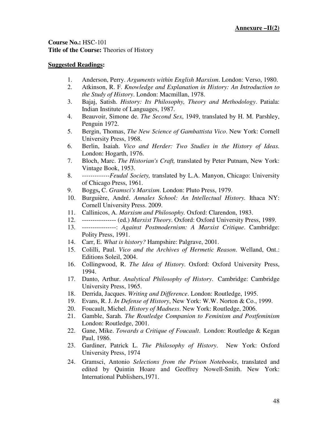**Course No.:** HSC-101 **Title of the Course:** Theories of History

- 1. Anderson, Perry. *Arguments within English Marxism*. London: Verso, 1980.
- 2. Atkinson, R. F. *Knowledge and Explanation in History: An Introduction to the Study of History*. London: Macmillan, 1978.
- 3. Bajaj, Satish. *History: Its Philosophy, Theory and Methodology*. Patiala: Indian Institute of Languages, 1987.
- 4. Beauvoir, Simone de. *The Second Sex*, 1949, translated by H. M. Parshley, Penguin 1972.
- 5. Bergin, Thomas, *The New Science of Gambattista Vico*. New York: Cornell University Press, 1968.
- 6. Berlin, Isaiah. *Vico and Herder: Two Studies in the History of Ideas.* London: Hogarth, 1976.
- 7. Bloch, Marc. *The Historian's Craft,* translated by Peter Putnam, New York: Vintage Book, 1953.
- 8. *-------------Feudal Society,* translated by L.A. Manyon, Chicago: University of Chicago Press, 1961.
- 9. Boggs**,** C. *Gramsci's Marxism*. London: Pluto Press, 1979.
- 10. Burguière, André. *Annales School: An Intellectual History.* Ithaca NY: Cornell University Press. 2009.
- 11. Callinicos, A. *Marxism and Philosophy.* Oxford: Clarendon, 1983.
- 12. ---------------- (ed.) *Marxist Theory*. Oxford: Oxford University Press, 1989.
- 13. ----------------: *Against Postmodernism: A Marxist Critique*. Cambridge: Polity Press, 1991.
- 14. Carr, E. *What is history?* Hampshire: Palgrave, 2001.
- 15. Colilli, Paul. *Vico and the Archives of Hermetic Reason*. Welland, Ont.: Editions Soleil, 2004.
- 16. Collingwood, R. *The Idea of History*. Oxford: Oxford University Press, 1994.
- 17. Danto, Arthur. *Analytical Philosophy of History*. Cambridge: Cambridge University Press, 1965.
- 18. Derrida, Jacques. *Writing and Difference*. London: Routledge, 1995.
- 19. Evans, R. J. *In Defense of History*, New York: W.W. Norton & Co., 1999.
- 20. Foucault, Michel. *History of Madness*. New York: Routledge, 2006.
- 21. Gamble, Sarah. *The Routledge Companion to Feminism and Postfeminism*  London: Routledge, 2001.
- 22. Gane, Mike. *Towards a Critique of Foucault*. London: Routledge & Kegan Paul, 1986.
- 23. Gardiner, Patrick L. *The Philosophy of History*. New York: Oxford University Press, 1974
- 24. Gramsci, Antonio *Selections from the Prison Notebooks*, translated and edited by Quintin Hoare and Geoffrey Nowell-Smith. New York: International Publishers,1971.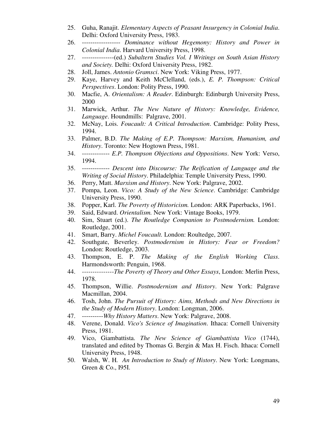- 25. Guha, Ranajit. *Elementary Aspects of Peasant Insurgency in Colonial India*. Delhi: Oxford University Press, 1983.
- 26. ------------------ *Dominance without Hegemony: History and Power in Colonial India*. Harvard University Press, 1998.
- 27. ---------------(ed.) *Subaltern Studies Vol. I Writings on South Asian History and Society.* Delhi: Oxford University Press, 1982.
- 28. Joll, James. *Antonio Gramsci*. New York: Viking Press, 1977.
- 29. Kaye, Harvey and Keith McClelland, (eds.), *E. P. Thompson: Critical Perspectives*. London: Polity Press, 1990.
- 30. Macfie, A. *Orientalism: A Reader*. Edinburgh: Edinburgh University Press, 2000
- 31. Marwick, Arthur. *The New Nature of History: Knowledge, Evidence, Language*. Houndmills: Palgrave, 2001.
- 32. McNay, Lois. *Foucault: A Critical Introduction*. Cambridge: Polity Press, 1994.
- 33. Palmer, B.D. *The Making of E.P. Thompson: Marxism, Humanism, and History*. Toronto: New Hogtown Press, 1981.
- 34. ------------- *E.P. Thompson Objections and Oppositions*. New York: Verso, 1994.
- 35. ------------- *Descent into Discourse: The Reification of Language and the Writing of Social History*. Philadelphia: Temple University Press, 1990.
- 36. Perry, Matt. *Marxism and History*. New York: Palgrave, 2002.
- 37. Pompa, Leon. *Vico: A Study of the New Science*. Cambridge: Cambridge University Press, 1990.
- 38. Popper, Karl. *The Poverty of Historicism.* London: ARK Paperbacks, 1961.
- 39. Said, Edward. *Orientalism.* New York: Vintage Books, 1979.
- 40. Sim, Stuart (ed.). *The Routledge Companion to Postmodernism.* London: Routledge, 2001.
- 41. Smart, Barry. *Michel Foucault.* London: Roultedge, 2007.
- 42. Southgate, Beverley. *Postmodernism in History: Fear or Freedom?*  London: Routledge, 2003.
- 43. Thompson, E. P. *The Making of the English Working Class*. Harmondsworth: Penguin, 1968.
- 44. *---------------The Poverty of Theory and Other Essays*, London: Merlin Press, 1978.
- 45. Thompson, Willie. *Postmodernism and History*. New York: Palgrave Macmillan, 2004.
- 46. Tosh, John. *The Pursuit of History: Aims, Methods and New Directions in the Study of Modern History*. London: Longman, 2006.
- 47. ----------*Why History Matters*. New York: Palgrave, 2008.
- 48. Verene, Donald. *Vico's Science of Imagination*. Ithaca: Cornell University Press, 1981.
- 49. Vico, Giambattista. *The New Science of Giambattista Vico* (1744), translated and edited by Thomas G. Bergin & Max H. Fisch. Ithaca: Cornell University Press, 1948.
- 50. Walsh, W. H*. An Introduction to Study of History*. New York: Longmans, Green & Co., I95I.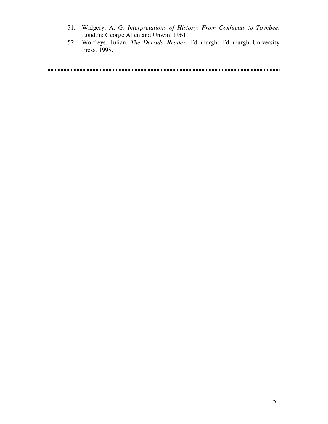- 51. Widgery, A. G. *Interpretations of History: From Confucius to Toynbee*. London: George Allen and Unwin, 1961.
- 52. Wolfreys, Julian. *The Derrida Reader.* Edinburgh: Edinburgh University Press. 1998.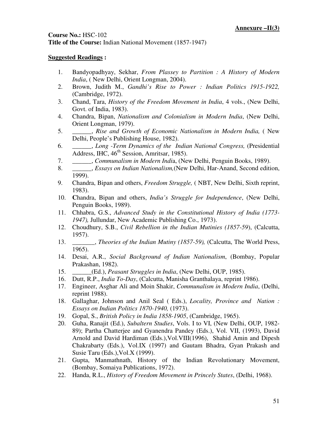# **Course No.:** HSC-102 **Title of the Course:** Indian National Movement (1857-1947)

- 1. Bandyopadhyay, Sekhar, *From Plassey to Partition : A History of Modern India*, ( New Delhi, Orient Longman, 2004).
- 2. Brown, Judith M., *Gandhi's Rise to Power : Indian Politics 1915-1922,* (Cambridge, 1972).
- 3. Chand, Tara, *History of the Freedom Movement in India*, 4 vols., (New Delhi, Govt. of India, 1983).
- 4. Chandra, Bipan, *Nationalism and Colonialism in Modern India*, (New Delhi, Orient Longman, 1979).
- 5. \_\_\_\_\_\_, *Rise and Growth of Economic Nationalism in Modern India,* ( New Delhi, People's Publishing House, 1982).
- 6. \_\_\_\_\_\_, *Long -Term Dynamics of the Indian National Congress,* (Presidential Address, IHC,  $46<sup>th</sup>$  Session, Amritsar, 1985).
- 7. \_\_\_\_\_\_, *Communalism in Modern Indi*a, (New Delhi, Penguin Books, 1989).
- 8. \_\_\_\_\_\_, *Essays on Indian Nationalism,*(New Delhi, Har-Anand, Second edition, 1999).
- 9. Chandra, Bipan and others, *Freedom Struggle,* ( NBT, New Delhi, Sixth reprint, 1983).
- 10. **C**handra, Bipan and others, *India's Struggle for Independence*, (New Delhi, Penguin Books, 1989).
- 11. Chhabra, G.S., *Advanced Study in the Constitutional History of India (1773- 1947),* Jullundar, New Academic Publishing Co., 1973).
- 12. Choudhury, S.B., *Civil Rebellion in the Indian Mutinies (1857-59*), (Calcutta, 1957).
- 13. \_\_\_\_\_\_\_, *Theories of the Indian Mutiny (1857-59),* (Calcutta, The World Press, 1965).
- 14. Desai, A.R., *Social Background of Indian Nationalism*, (Bombay, Popular Prakashan, 1982).
- 15. \_\_\_\_\_\_(Ed.), *Peasant Struggles in India*, (New Delhi, OUP, 1985).
- 16. Dutt, R.P., *India To-Day*, (Calcutta, Manisha Granthalaya, reprint 1986).
- 17. Engineer, Asghar Ali and Moin Shakir, *Communalism in Modern India*, (Delhi, reprint 1988).
- 18. Gallaghar, Johnson and Anil Seal ( Eds.), *Locality, Province and Nation : Essays on Indian Politics 1870-1940,* (1973).
- 19. Gopal, S., *British Policy in India 1858-1905*, (Cambridge, 1965).
- 20. Guha, Ranajit (Ed.), *Subaltern Studies*, Vols. I to VI, (New Delhi, OUP, 1982- 89); Partha Chatterjee and Gyanendra Pandey (Eds.), Vol. VII, (1993), David Arnold and David Hardiman (Eds.),Vol.VIII(1996), Shahid Amin and Dipesh Chakrabarty (Eds.), Vol.IX (1997) and Gautam Bhadra, Gyan Prakash and Susie Taru (Eds.),Vol.X (1999).
- 21. Gupta, Manmathnath, History of the Indian Revolutionary Movement, (Bombay, Somaiya Publications, 1972).
- 22. Handa, R.L., *History of Freedom Movement in Princely States*, (Delhi, 1968).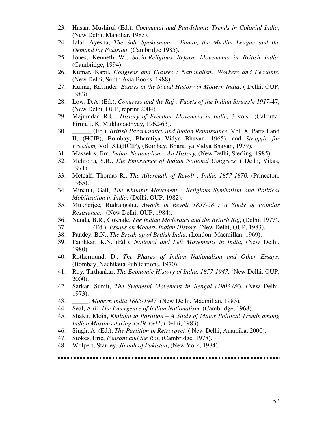- 23. Hasan, Mushirul (Ed.), *Communal and Pan-Islamic Trends in Colonial India*, (New Delhi, Manohar, 1985).
- 24. Jalal, Ayesha, *The Sole Spokesman : Jinnah, the Muslim League and the Demand for Pakistan*, (Cambridge 1985).
- 25. Jones, Kenneth W., *Socio-Religious Reform Movements in British India*, (Cambridge, 1994).
- 26. Kumar, Kapil, *Congress and Classes : Nationalism, Workers and Peasants*, (New Delhi, South Asia Books, 1988).
- 27. Kumar, Ravinder, *Essays in the Social History of Modern India*, ( Delhi, OUP, 1983).
- 28. Low, D.A. (Ed.), *Congress and the Raj : Facets of the Indian Struggle 1917-*47, (New Delhi, OUP, reprint 2004).
- 29. Majumdar, R.C., *History of Freedom Movement in India,* 3 vols., (Calcutta, Firma L.K. Mukhopadhyay, 1962-63).
- 30. \_\_\_\_\_\_ (Ed.), *British Paramountcy and Indian Renaissance,* Vol. X, Parts I and II, (HCIP), Bombay, Bharatiya Vidya Bhavan, 1965), and *Struggle for Freedom,* Vol. XI,(HCIP), (Bombay, Bharatiya Vidya Bhavan, 1979).
- 31. Masselos, Jim, *Indian Nationalism : An History,* (New Delhi, Sterling, 1985).
- 32. Mehrotra, S.R., *The Emergence of Indian National Congress,* ( Delhi, Vikas, 1971).
- 33. Metcalf, Thomas R., *The Aftermath of Revolt : India, 1857-1870*, (Princeton, 1965).
- 34. Minault, Gail, *The Khilafat Movement : Religious Symbolism and Political Mobilisation in India,* (Delhi, OUP, 1982).
- 35. Mukherjee, Rudrangshu, *Awadh in Revolt 1857-58 : A Study of Popular Resistance*, (New Delhi, OUP, 1984).
- 36. Nanda, B.R., Gokhale, *The Indian Moderates and the British Raj*, (Delhi, 1977).
- 37. \_\_\_\_\_\_ (Ed.), *Essays on Modern Indian History,* (New Delhi, OUP, 1983).
- 38. Pandey, B.N., *The Break-up of British India, (*London, Macmillan, 1969).
- 39. Panikkar, K.N. (Ed.), *National and Left Movements in India,* (New Delhi, 1980).
- 40. Rothermund, D., *The Phases of Indian Nationalism and Other Essays*, (Bombay, Nachiketa Publications, 1970).
- 41. Roy, Tirthankar, *The Economic History of India, 1857-1947,* (New Delhi, OUP, 2000).
- 42. Sarkar, Sumit, *The Swadeshi Movement in Bengal (1903-08*), (New Delhi, 1973).
- 43. \_\_\_\_\_, *Modern India 1885-1947,* (New Delhi, Macmillan, 1983).
- 44. Seal, Anil, *The Emergence of Indian Nationalism,* (Cambridge, 1968).
- 45. Shakir, Moin, *Khilafat to Partition A Study of Major Political Trends among Indian Muslims during 1919-1941*, (Delhi, 1983).
- 46. Singh, A. (Ed.), *The Partition in Retrospect,* ( New Delhi, Anamika, 2000).
- 47. Stokes, Eric, *Peasant and the Raj*, (Cambridge, 1978).
- 48. Wolpert, Stanley, *Jinnah of Pakistan*, (New York, 1984).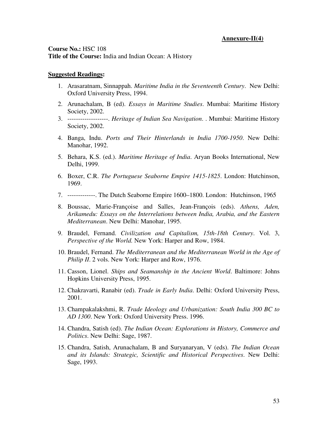#### **Annexure-II(4)**

**Course No.:** HSC 108 **Title of the Course:** India and Indian Ocean: A History

- 1. Arasaratnam, Sinnappah. *Maritime India in the Seventeenth Century*. New Delhi: Oxford University Press, 1994.
- 2. Arunachalam, B (ed). *Essays in Maritime Studies*. Mumbai: Maritime History Society, 2002.
- 3. -------------------. *Heritage of Indian Sea Navigation*. . Mumbai: Maritime History Society, 2002.
- 4. Banga, Indu. *Ports and Their Hinterlands in India 1700-1950*. New Delhi: Manohar, 1992.
- 5. Behara, K.S. (ed.). *Maritime Heritage of India*. Aryan Books International, New Delhi, 1999.
- 6. Boxer, C.R. *The Portuguese Seaborne Empire 1415-1825*. London: Hutchinson, 1969.
- 7. -------------. The Dutch Seaborne Empire 1600–1800. London: Hutchinson, 1965
- 8. Boussac, Marie-Françoise and Salles, Jean-François (eds). *Athens, Aden, Arikamedu: Essays on the Interrelations between India, Arabia, and the Eastern Mediterranean*. New Delhi: Manohar, 1995.
- 9. Braudel, Fernand. *Civilization and Capitalism, 15th-18th Century*. Vol. 3, *Perspective of the World.* New York: Harper and Row, 1984.
- 10. Braudel, Fernand. *The Mediterranean and the Mediterranean World in the Age of Philip II.* 2 vols. New York: Harper and Row, 1976.
- 11. Casson, Lionel. *Ships and Seamanship in the Ancient World*. Baltimore: Johns Hopkins University Press, 1995.
- 12. Chakravarti, Ranabir (ed). *Trade in Early India*. Delhi: Oxford University Press, 2001.
- 13. Champakalakshmi, R. *Trade Ideology and Urbanization: South India 300 BC to AD 1300*. New York: Oxford University Press. 1996.
- 14. Chandra, Satish (ed). *The Indian Ocean: Explorations in History, Commerce and Politics*. New Delhi: Sage, 1987.
- 15. Chandra, Satish, Arunachalam, B and Suryanaryan, V (eds). *The Indian Ocean and its Islands: Strategic, Scientific and Historical Perspectives*. New Delhi: Sage, 1993.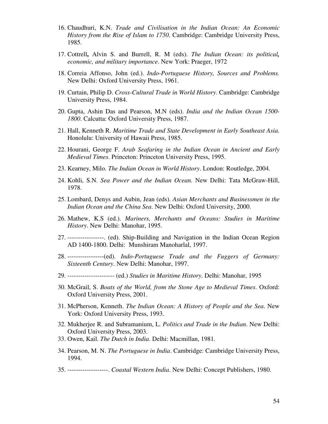- 16. Chaudhuri, K.N. *Trade and Civilisation in the Indian Ocean: An Economic History from the Rise of Islam to 1750*. Cambridge: Cambridge University Press, 1985.
- 17. Cottrell**,** Alvin S. and Burrell, R. M (eds). *The Indian Ocean: its political, economic, and military importance*. New York: Praeger, 1972
- 18. Correia Affonso, John (ed.). *Indo-Portuguese History, Sources and Problems.*  New Delhi: Oxford University Press, 1961.
- 19. Curtain, Philip D. *Cross-Cultural Trade in World History*. Cambridge: Cambridge University Press, 1984.
- 20. Gupta, Ashin Das and Pearson, M.N (eds). *India and the Indian Ocean 1500- 1800*. Calcutta: Oxford University Press, 1987.
- 21. Hall, Kenneth R. *Maritime Trade and State Development in Early Southeast Asia.* Honolulu: University of Hawaii Press, 1985.
- 22. Hourani, George F. *Arab Seafaring in the Indian Ocean in Ancient and Early Medieval Times*. Princeton: Princeton University Press, 1995.
- 23. Kearney, Milo. *The Indian Ocean in World History*. London: Routledge, 2004.
- 24. Kohli, S.N. *Sea Power and the Indian Ocean*. New Delhi: Tata McGraw-Hill, 1978.
- 25. Lombard, Denys and Aubin, Jean (eds). *Asian Merchants and Businessmen in the Indian Ocean and the China Sea*. New Delhi: Oxford University, 2000.
- 26. Mathew, K.S (ed.). *Mariners, Merchants and Oceans: Studies in Maritime History*. New Delhi: Manohar, 1995.
- 27. -----------------. (ed). Ship-Building and Navigation in the Indian Ocean Region AD 1400-1800. Delhi: Munshiram Manoharlal, 1997.
- 28. -----------------(ed). *Indo-Portuguese Trade and the Fuggers of Germany: Sixteenth Century*. New Delhi: Manohar, 1997.
- 29. ---------------------- (ed.) *Studies in Maritime History*. Delhi: Manohar, 1995
- 30. McGrail, S. *Boats of the World, from the Stone Age to Medieval Times*. Oxford: Oxford University Press, 2001.
- 31. McPherson, Kenneth. *The Indian Ocean: A History of People and the Sea*. New York: Oxford University Press, 1993.
- 32. Mukherjee R. and Subramanium, L. *Politics and Trade in the Indian*. New Delhi: Oxford University Press, 2003.
- 33. Owen, Kail. *The Dutch in India*. Delhi: Macmillan, 1981.
- 34. Pearson, M. N. *The Portuguese in India*. Cambridge: Cambridge University Press, 1994.
- 35. -------------------. *Coastal Western India*. New Delhi: Concept Publishers, 1980.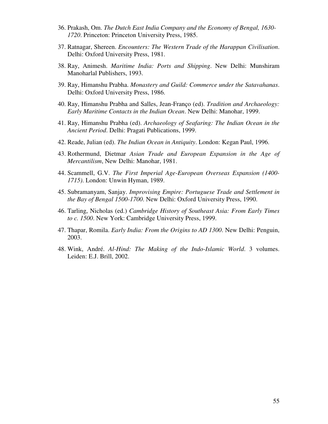- 36. Prakash, Om. *The Dutch East India Company and the Economy of Bengal, 1630- 1720*. Princeton: Princeton University Press, 1985.
- 37. Ratnagar, Shereen. *Encounters: The Western Trade of the Harappan Civilisation*. Delhi: Oxford University Press, 1981.
- 38. Ray, Animesh. *Maritime India: Ports and Shipping*. New Delhi: Munshiram Manoharlal Publishers, 1993.
- 39. Ray, Himanshu Prabha. *Monastery and Guild: Commerce under the Satavahanas*. Delhi: Oxford University Press, 1986.
- 40. Ray, Himanshu Prabha and Salles, Jean-Franço (ed). *Tradition and Archaeology: Early Maritime Contacts in the Indian Ocean*. New Delhi: Manohar, 1999.
- 41. Ray, Himanshu Prabha (ed). *Archaeology of Seafaring: The Indian Ocean in the Ancient Period*. Delhi: Pragati Publications, 1999.
- 42. Reade, Julian (ed). *The Indian Ocean in Antiquity*. London: Kegan Paul, 1996.
- 43. Rothermund, Dietmar *Asian Trade and European Expansion in the Age of Mercantilism*, New Delhi: Manohar, 1981.
- 44. Scammell, G.V. *The First Imperial Age-European Overseas Expansion (1400- 1715)*. London: Unwin Hyman, 1989.
- 45. Subramanyam, Sanjay. *Improvising Empire: Portuguese Trade and Settlement in the Bay of Bengal 1500-1700*. New Delhi: Oxford University Press, 1990.
- 46. Tarling, Nicholas (ed.) *Cambridge History of Southeast Asia: From Early Times to c. 1500*. New York: Cambridge University Press, 1999.
- 47. Thapar, Romila. *Early India: From the Origins to AD 1300*. New Delhi: Penguin, 2003.
- 48. Wink, André. *Al-Hind: The Making of the Indo-Islamic World*. 3 volumes. Leiden: E.J. Brill, 2002.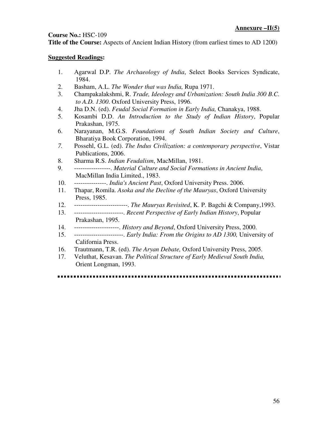# **Course No.:** HSC-109

**Title of the Course:** Aspects of Ancient Indian History (from earliest times to AD 1200)

# **Suggested Readings:**

- 1. Agarwal D.P. *The Archaeology of India*, Select Books Services Syndicate, 1984.
- 2. Basham, A.L. *The Wonder that was India,* Rupa 1971.
- 3. Champakalakshmi, R. *Trade, Ideology and Urbanization: South India 300 B.C. to A.D. 1300*. Oxford University Press, 1996.
- 4. Jha D.N. (ed). *Feudal Social Formation in Early India,* Chanakya, 1988.
- 5. Kosambi D.D. *An Introduction to the Study of Indian History*, Popular Prakashan, 1975.
- 6. Narayanan, M.G.S. *Foundations of South Indian Society and Culture*, Bharatiya Book Corporation, 1994.
- *7.* Possehl, G.L. (ed). *The Indus Civilization: a contemporary perspective*, Vistar Publications, 2006.
- 8. Sharma R.S. *Indian Feudalism*, MacMillan, 1981.
- 9. -----------------. *Material Culture and Social Formations in Ancient India*, MacMillan India Limited., 1983.
- 10. ---------------. *India's Ancient Past*, Oxford University Press. 2006.
- 11. Thapar, Romila. *Asoka and the Decline of the Mauryas*, Oxford University Press, 1985.
- 12. -------------------------. *The Mauryas Revisited*, K. P. Bagchi & Company,1993.
- 13. -----------------------. *Recent Perspective of Early Indian History*, Popular Prakashan, 1995.
- 14. ---------------------. *History and Beyond*, Oxford University Press, 2000.
- 15. -----------------------. *Early India: From the Origins to AD 1300,* University of California Press.
- 16. Trautmann, T.R. (ed). *The Aryan Debate,* Oxford University Press, 2005.
- 17. Veluthat, Kesavan. *The Political Structure of Early Medieval South India,*  Orient Longman, 1993.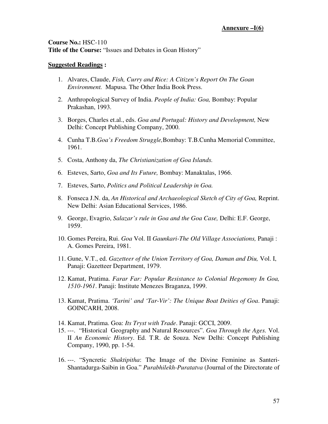**Course No.:** HSC-110 **Title of the Course:** "Issues and Debates in Goan History"

- 1. Alvares, Claude, *Fish, Curry and Rice: A Citizen's Report On The Goan Environment.* Mapusa. The Other India Book Press.
- 2. Anthropological Survey of India. *People of India: Goa,* Bombay: Popular Prakashan, 1993.
- 3. Borges, Charles et.al., eds. *Goa and Portugal: History and Development,* New Delhi: Concept Publishing Company, 2000.
- 4. Cunha T.B.*Goa's Freedom Struggle,*Bombay: T.B.Cunha Memorial Committee, 1961.
- 5. Costa, Anthony da, *The Christianization of Goa Islands.*
- 6. Esteves, Sarto, *Goa and Its Future,* Bombay: Manaktalas, 1966.
- 7. Esteves, Sarto, *Politics and Political Leadership in Goa.*
- 8. Fonseca J.N. da, *An Historical and Archaeological Sketch of City of Goa,* Reprint. New Delhi: Asian Educational Services, 1986.
- 9. George, Evagrio, *Salazar's rule in Goa and the Goa Case,* Delhi: E.F. George, 1959.
- 10. Gomes Pereira, Rui. *Goa* Vol. II *Gaunkari-The Old Village Associations,* Panaji : A. Gomes Pereira, 1981.
- 11. Gune, V.T., ed. *Gazetteer of the Union Territory of Goa, Daman and Diu,* Vol. I, Panaji: Gazetteer Department, 1979.
- 12. Kamat, Pratima. *Farar Far: Popular Resistance to Colonial Hegemony In Goa, 1510-1961*. Panaji: Institute Menezes Braganza, 1999.
- 13. Kamat, Pratima. *'Tarini' and 'Tar-Vir': The Unique Boat Deities of Goa*. Panaji: GOINCARH, 2008.
- 14. Kamat, Pratima. Goa: *Its Tryst with Trade*. Panaji: GCCI, 2009.
- 15. ---. "Historical Geography and Natural Resources". *Goa Through the Ages.* Vol. II *An Economic History*. Ed. T.R. de Souza. New Delhi: Concept Publishing Company, 1990, pp. 1-54.
- 16. ---. "Syncretic *Shaktipitha*: The Image of the Divine Feminine as Santeri-Shantadurga-Saibin in Goa." *Purabhilekh-Puratatva* (Journal of the Directorate of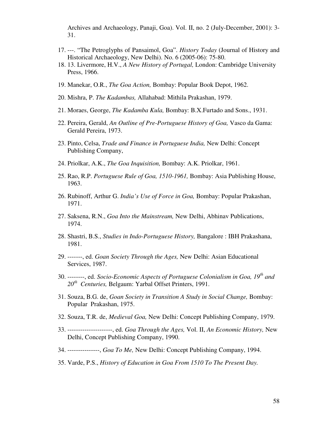Archives and Archaeology, Panaji, Goa). Vol. II, no. 2 (July-December, 2001): 3- 31.

- 17. ---. "The Petroglyphs of Pansaimol, Goa". *History Today* (Journal of History and Historical Archaeology, New Delhi). No. 6 (2005-06): 75-80.
- 18. 13. Livermore, H.V., *A New History of Portugal,* London: Cambridge University Press, 1966.
- 19. Manekar, O.R., *The Goa Action,* Bombay: Popular Book Depot, 1962.
- 20. Mishra, P. *The Kadambas,* Allahabad: Mithila Prakashan, 1979.
- 21. Moraes, George, *The Kadamba Kula,* Bombay: B.X.Furtado and Sons., 1931.
- 22. Pereira, Gerald, *An Outline of Pre-Portuguese History of Goa,* Vasco da Gama: Gerald Pereira, 1973.
- 23. Pinto, Celsa, *Trade and Finance in Portuguese India,* New Delhi: Concept Publishing Company,
- 24. Priolkar, A.K., *The Goa Inquisition,* Bombay: A.K. Priolkar, 1961.
- 25. Rao, R.P. *Portuguese Rule of Goa, 1510-1961,* Bombay: Asia Publishing House, 1963.
- 26. Rubinoff, Arthur G. *India's Use of Force in Goa,* Bombay: Popular Prakashan, 1971.
- 27. Saksena, R.N., *Goa Into the Mainstream,* New Delhi, Abhinav Publications, 1974.
- 28. Shastri, B.S., *Studies in Indo-Portuguese History,* Bangalore : IBH Prakashana, 1981.
- 29. -------, ed. *Goan Society Through the Ages,* New Delhi: Asian Educational Services, 1987.
- 30. --------, ed. *Socio-Economic Aspects of Portuguese Colonialism in Goa, 19th and 20th Centuries,* Belgaum: Yarbal Offset Printers, 1991.
- 31. Souza, B.G. de, *Goan Society in Transition A Study in Social Change,* Bombay: Popular Prakashan, 1975.
- 32. Souza, T.R. de, *Medieval Goa,* New Delhi: Concept Publishing Company, 1979.
- 33. ---------------------, ed. *Goa Through the Ages,* Vol. II, *An Economic History,* New Delhi, Concept Publishing Company, 1990.
- 34. ---------------, *Goa To Me,* New Delhi: Concept Publishing Company, 1994.
- 35. Varde, P.S., *History of Education in Goa From 1510 To The Present Day.*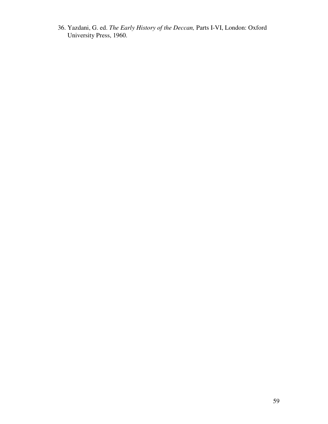36. Yazdani, G. ed. *The Early History of the Deccan,* Parts I-VI, London: Oxford University Press, 1960.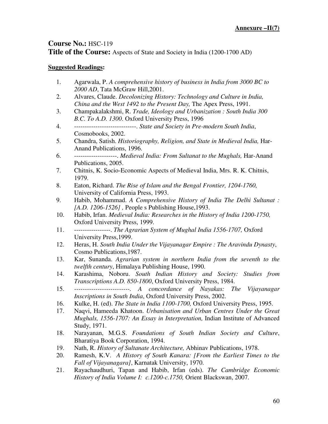# **Course No.:** HSC-119

**Title of the Course:** Aspects of State and Society in India (1200-1700 AD)

- 1. Agarwala, P. *A comprehensive history of business in India from 3000 BC to 2000 AD*, Tata McGraw Hill,2001.
- 2. Alvares, Claude. *Decolonizing History: Technology and Culture in India, China and the West 1492 to the Present Day,* The Apex Press, 1991.
- 3. Champakalakshmi, R. *Trade, Ideology and Urbanization : South India 300 B.C. To A.D. 1300*. Oxford University Press, 1996
- 4. -----------------------------. *State and Society in Pre-modern South India*, Cosmobooks, 2002.
- 5. Chandra, Satish. *Historiography, Religion, and State in Medieval India,* Har-Anand Publications, 1996.
- 6. --------------------. *Medieval India: From Sultanat to the Mughals,* Har-Anand Publications, 2005.
- 7. Chitnis, K. Socio-Economic Aspects of Medieval India, Mrs. R. K. Chitnis, 1979.
- 8. Eaton, Richard. *The Rise of Islam and the Bengal Frontier, 1204-1760,*  University of California Press, 1993.
- 9. Habib, Mohammad. *A Comprehensive History of India The Delhi Sultanat : [A.D. 1206-1526] ,* People s Publishing House,1993.
- 10. Habib, Irfan. *Medieval India: Researches in the History of India 1200-1750,*  Oxford University Press, 1999.
- 11. -----------------. *The Agrarian System of Mughal India 1556-1707,* Oxford University Press,1999.
- 12. Heras, H. *South India Under the Vijayanagar Empire : The Aravindu Dynasty*, Cosmo Publications,1987.
- 13. Kar, Sunanda. *Agrarian system in northern India from the seventh to the twelfth century*, Himalaya Publishing House, 1990.
- 14. Karashima, Noboru. *South Indian History and Society: Studies from Transcriptions A.D. 850-1800*, Oxford University Press, 1984.
- 15. *--------------------------. A concordance of Nayakas: The Vijayanagar Inscriptions in South India*, Oxford University Press, 2002.
- 16. Kulke, H. (ed). *The State in India 1100-1700,* Oxford University Press, 1995.
- 17. Naqvi, Hameeda Khatoon. *Urbanisation and Urban Centres Under the Great Mughals, 1556-1707: An Essay in Interpretation,* Indian Institute of Advanced Study, 1971.
- 18. Narayanan, M.G.S. *Foundations of South Indian Society and Culture*, Bharatiya Book Corporation, 1994.
- 19. Nath, R. *History of Sultanate Architecture,* Abhinav Publications, 1978.
- 20. Ramesh, K.V. *A History of South Kanara: [From the Earliest Times to the Fall of Vijayanagara]*, Karnatak University, 1970.
- 21. Rayachaudhuri, Tapan and Habib, Irfan (eds). *The Cambridge Economic History of India Volume I: c.1200-c.1750,* Orient Blackswan, 2007.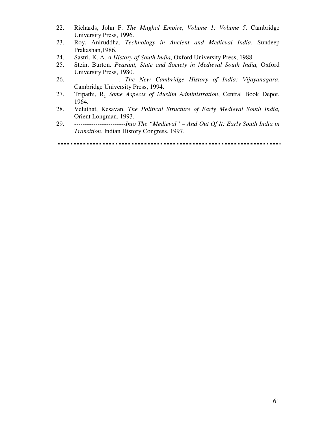- 22. Richards, John F. *The Mughal Empire, Volume 1; Volume 5,* Cambridge University Press, 1996.
- 23. Roy, Aniruddha. *Technology in Ancient and Medieval India*, Sundeep Prakashan,1986.
- 24. Sastri, K. A. *A History of South India*, Oxford University Press, 1988.
- 25. Stein, Burton. *Peasant, State and Society in Medieval South India,* Oxford University Press, 1980.
- 26. ---------------------. *The New Cambridge History of India: Vijayanagara*, Cambridge University Press, 1994.
- 27. Tripathi, R. *Some Aspects of Muslim Administration*, Central Book Depot, 1964.
- 28. Veluthat, Kesavan. *The Political Structure of Early Medieval South India,*  Orient Longman, 1993.
- 29. *------------------------Into The "Medieval" And Out Of It: Early South India in Transition*, Indian History Congress, 1997.

#### . . . . .  $\blacksquare$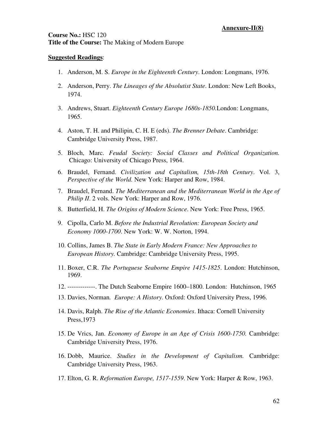### **Course No.:** HSC 120 **Title of the Course:** The Making of Modern Europe

- 1. Anderson, M. S. *Europe in the Eighteenth Century*. London: Longmans, 1976.
- 2. Anderson, Perry. *The Lineages of the Absolutist State*. London: New Left Books, 1974.
- 3. Andrews, Stuart. *Eighteenth Century Europe 1680s-1850.*London: Longmans, 1965.
- 4. Aston, T. H. and Philipin, C. H. E (eds). *The Brenner Debate*. Cambridge: Cambridge University Press, 1987.
- 5. Bloch, Marc. *Feudal Society: Social Classes and Political Organization.*  Chicago: University of Chicago Press, 1964.
- 6. Braudel, Fernand. *Civilization and Capitalism, 15th-18th Century*. Vol. 3, *Perspective of the World.* New York: Harper and Row, 1984.
- 7. Braudel, Fernand. *The Mediterranean and the Mediterranean World in the Age of Philip II.* 2 vols. New York: Harper and Row, 1976.
- 8. Butterfield, H. *The Origins of Modern Science*. New York: Free Press, 1965.
- 9. Cipolla, Carlo M. *Before the Industrial Revolution: European Society and Economy 1000-1700*. New York: W. W. Norton, 1994.
- 10. Collins, James B. *The State in Early Modern France: New Approaches to European History.* Cambridge: Cambridge University Press, 1995.
- 11. Boxer, C.R. *The Portuguese Seaborne Empire 1415-1825*. London: Hutchinson, 1969.
- 12. -------------. The Dutch Seaborne Empire 1600–1800. London: Hutchinson, 1965
- 13. Davies, Norman*. Europe: A History*. Oxford: Oxford University Press, 1996.
- 14. Davis, Ralph. *The Rise of the Atlantic Economies*. Ithaca: Cornell University Press,1973
- 15. De Vrics, Jan. *Economy of Europe in an Age of Crisis 1600-1750.* Cambridge: Cambridge University Press, 1976.
- 16. Dobb, Maurice. *Studies in the Development of Capitalism.* Cambridge: Cambridge University Press, 1963.
- 17. Elton, G. R. *Reformation Europe, 1517-1559*. New York: Harper & Row, 1963.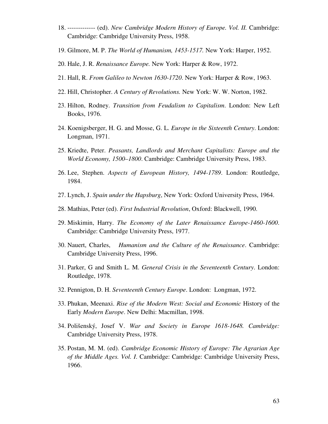- 18. ------------- (ed). *New Cambridge Modern History of Europe. Vol. II.* Cambridge: Cambridge: Cambridge University Press, 1958.
- 19. Gilmore, M. P. *The World of Humanism, 1453-1517.* New York: Harper, 1952.
- 20. Hale, J. R. *Renaissance Europe.* New York: Harper & Row, 1972.
- 21. Hall, R. *From Galileo to Newton 1630-1720*. New York: Harper & Row, 1963.
- 22. Hill, Christopher. *A Century of Revolutions.* New York: W. W. Norton, 1982.
- 23. Hilton, Rodney. *Transition from Feudalism to Capitalism*. London: New Left Books, 1976.
- 24. Koenigsberger, H. G. and Mosse, G. L. *Europe in the Sixteenth Century*. London: Longman, 1971.
- 25. Kriedte, Peter. *Peasants, Landlords and Merchant Capitalists: Europe and the World Economy, 1500–1800*. Cambridge: Cambridge University Press, 1983.
- 26. Lee, Stephen. *Aspects of European History, 1494-1789*. London: Routledge, 1984.
- 27. Lynch, J. *Spain under the Hapsburg*, New York: Oxford University Press, 1964.
- 28. Mathias, Peter (ed). *First Industrial Revolution*, Oxford: Blackwell, 1990.
- 29. Miskimin, Harry. *The Economy of the Later Renaissance Europe-1460-1600*. Cambridge: Cambridge University Press, 1977.
- 30. Nauert, Charles, *Humanism and the Culture of the Renaissance*. Cambridge: Cambridge University Press, 1996.
- 31. Parker, G and Smith L. M. *General Crisis in the Seventeenth Century*. London: Routledge, 1978.
- 32. Pennigton, D. H. *Seventeenth Century Europe*. London: Longman, 1972.
- 33. Phukan, Meenaxi. *Rise of the Modern West: Social and Economic* History of the Early *Modern Europe*. New Delhi: Macmillan, 1998.
- 34. Polišenský, Josef V. *War and Society in Europe 1618-1648. Cambridge:*  Cambridge University Press, 1978.
- 35. Postan, M. M. (ed). *Cambridge Economic History of Europe: The Agrarian Age of the Middle Ages. Vol. I*. Cambridge: Cambridge: Cambridge University Press, 1966.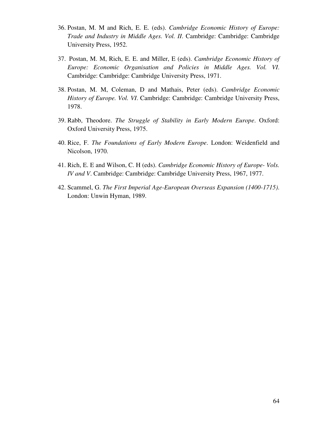- 36. Postan, M. M and Rich, E. E. (eds). *Cambridge Economic History of Europe: Trade and Industry in Middle Ages. Vol. II*. Cambridge: Cambridge: Cambridge University Press, 1952.
- 37. Postan, M. M, Rich, E. E. and Miller, E (eds). *Cambridge Economic History of Europe: Economic Organisation and Policies in Middle Ages. Vol. VI*. Cambridge: Cambridge: Cambridge University Press, 1971.
- 38. Postan, M. M, Coleman, D and Mathais, Peter (eds). *Cambridge Economic History of Europe. Vol. VI*. Cambridge: Cambridge: Cambridge University Press, 1978.
- 39. Rabb, Theodore. *The Struggle of Stability in Early Modern Europe*. Oxford: Oxford University Press, 1975.
- 40. Rice, F. *The Foundations of Early Modern Europe*. London: Weidenfield and Nicolson, 1970.
- 41. Rich, E. E and Wilson, C. H (eds). *Cambridge Economic History of Europe- Vols. IV and V*. Cambridge: Cambridge: Cambridge University Press, 1967, 1977.
- 42. Scammel, G. *The First Imperial Age-European Overseas Expansion (1400-1715)*. London: Unwin Hyman, 1989.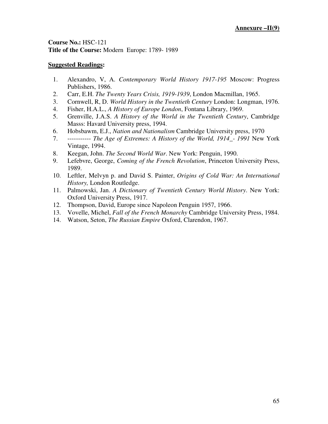**Course No.:** HSC-121 **Title of the Course:** Modern Europe: 1789- 1989

- 1. Alexandro, V, A. *Contemporary World History 1917-195* Moscow: Progress Publishers, 1986.
- 2. Carr, E.H. *The Twenty Years Crisis, 1919-1939*, London Macmillan, 1965.
- 3. Cornwell, R, D. *World History in the Twentieth Century* London: Longman, 1976.
- 4. Fisher, H.A.L., *A History of Europe London*, Fontana Library, 1969.
- 5. Grenville, J.A.S. *A History of the World in the Twentieth Century*, Cambridge Masss: Havard University press, 1994.
- 6. Hobsbawm, E.J., *Nation and Nationalism* Cambridge University press, 1970
- 7. ----------- *The Age of Extremes: A History of the World, 1914\_- 1991* New York Vintage, 1994.
- 8. Keegan, John. *The Second World War*. New York: Penguin, 1990.
- 9. Lefebvre, George, *Coming of the French Revolution*, Princeton University Press, 1989.
- 10. Leftler, Melvyn p. and David S. Painter, *Origins of Cold War: An International History,* London Routledge.
- 11. Palmowski, Jan. *A Dictionary of Twentieth Century World History*. New York: Oxford University Press, 1917.
- 12. Thompson, David, Europe since Napoleon Penguin 1957, 1966.
- 13. Vovelle, Michel, *Fall of the French Monarchy* Cambridge University Press, 1984.
- 14. Watson, Seton, *The Russian Empire* Oxford, Clarendon, 1967.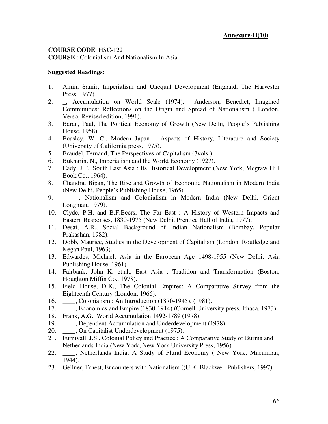# **COURSE CODE**: HSC-122

**COURSE** : Colonialism And Nationalism In Asia

- 1. Amin, Samir, Imperialism and Unequal Development (England, The Harvester Press, 1977).
- 2. \_, Accumulation on World Scale (1974). Anderson, Benedict, Imagined Communities: Reflections on the Origin and Spread of Nationalism ( London, Verso, Revised edition, 1991).
- 3. Baran, Paul, The Political Economy of Growth (New Delhi, People's Publishing House, 1958).
- 4. Beasley, W. C., Modern Japan Aspects of History, Literature and Society (University of California press, 1975).
- 5. Braudel, Fernand, The Perspectives of Capitalism (3vols.).
- 6. Bukharin, N., Imperialism and the World Economy (1927).
- 7. Cady, J.F., South East Asia : Its Historical Development (New York, Mcgraw Hill Book Co., 1964).
- 8. Chandra, Bipan, The Rise and Growth of Economic Nationalism in Modern India (New Delhi, People's Publishing House, 1965).
- 9. \_\_\_\_\_, Nationalism and Colonialism in Modern India (New Delhi, Orient Longman, 1979).
- 10. Clyde, P.H. and B.F.Beers, The Far East : A History of Western Impacts and Eastern Responses, 1830-1975 (New Delhi, Prentice Hall of India, 1977).
- 11. Desai, A.R., Social Background of Indian Nationalism (Bombay, Popular Prakashan, 1982).
- 12. Dobb, Maurice, Studies in the Development of Capitalism (London, Routledge and Kegan Paul, 1963).
- 13. Edwardes, Michael, Asia in the European Age 1498-1955 (New Delhi, Asia Publishing House, 1961).
- 14. Fairbank, John K. et.al., East Asia : Tradition and Transformation (Boston, Houghton Miffin Co., 1978).
- 15. Field House, D.K., The Colonial Empires: A Comparative Survey from the Eighteenth Century (London, 1966).
- 16. \_\_\_\_, Colonialism : An Introduction (1870-1945), (1981).
- 17. \_\_\_\_, Economics and Empire (1830-1914) (Cornell University press, Ithaca, 1973).
- 18. Frank, A.G., World Accumulation 1492-1789 (1978).
- 19. \_\_\_\_, Dependent Accumulation and Underdevelopment (1978).
- 20. \_\_\_\_, On Capitalist Underdevelopment (1975).
- 21. Furnivall, J.S., Colonial Policy and Practice : A Comparative Study of Burma and Netherlands India (New York, New York University Press, 1956).
- 22. \_\_\_\_, Netherlands India, A Study of Plural Economy ( New York, Macmillan, 1944).
- 23. Gellner, Ernest, Encounters with Nationalism ((U.K. Blackwell Publishers, 1997).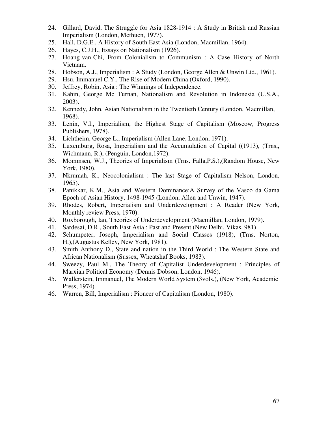- 24. Gillard, David, The Struggle for Asia 1828-1914 : A Study in British and Russian Imperialism (London, Methuen, 1977).
- 25. Hall, D.G.E., A History of South East Asia (London, Macmillan, 1964).
- 26. Hayes, C.J.H., Essays on Nationalism (1926).
- 27. Hoang-van-Chi, From Colonialism to Communism : A Case History of North Vietnam.
- 28. Hobson, A.J., Imperialism : A Study (London, George Allen & Unwin Ltd., 1961).
- 29. Hsu, Immanuel C.Y., The Rise of Modern China (Oxford, 1990).
- 30. Jeffrey, Robin, Asia : The Winnings of Independence.
- 31. Kahin, George Mc Turnan, Nationalism and Revolution in Indonesia (U.S.A., 2003).
- 32. Kennedy, John, Asian Nationalism in the Twentieth Century (London, Macmillan, 1968).
- 33. Lenin, V.I., Imperialism, the Highest Stage of Capitalism (Moscow, Progress Publishers, 1978).
- 34. Lichtheim, George L., Imperialism (Allen Lane, London, 1971).
- 35. Luxemburg, Rosa, Imperialism and the Accumulation of Capital ((1913), (Trns,, Wichmann, R.), (Penguin, London,1972).
- 36. Mommsen, W.J., Theories of Imperialism (Trns. Falla,P.S.),(Random House, New York, 1980).
- 37. Nkrumah, K., Neocolonialism : The last Stage of Capitalism Nelson, London, 1965).
- 38. Panikkar, K.M., Asia and Western Dominance:A Survey of the Vasco da Gama Epoch of Asian History, 1498-1945 (London, Allen and Unwin, 1947).
- 39. Rhodes, Robert, Imperialism and Underdevelopment : A Reader (New York, Monthly review Press, 1970).
- 40. Roxborough, Ian, Theories of Underdevelopment (Macmillan, London, 1979).
- 41. Sardesai, D.R., South East Asia : Past and Present (New Delhi, Vikas, 981).
- 42. Schumpeter, Joseph, Imperialism and Social Classes (1918), (Trns. Norton, H.),(Augustus Kelley, New York, 1981).
- 43. Smith Anthony D., State and nation in the Third World : The Western State and African Nationalism (Sussex, Wheatshaf Books, 1983).
- 44. Sweezy, Paul M., The Theory of Capitalist Underdevelopment : Principles of Marxian Political Economy (Dennis Dobson, London, 1946).
- 45. Wallerstein, Immanuel, The Modern World System (3vols.), (New York, Academic Press, 1974).
- 46. Warren, Bill, Imperialism : Pioneer of Capitalism (London, 1980).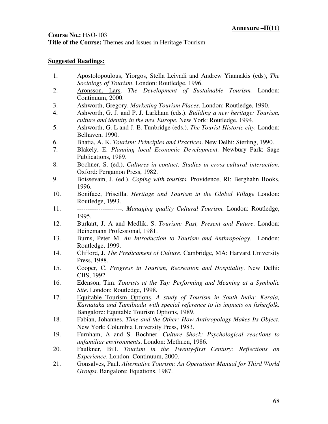### **Course No.:** HSO-103

**Title of the Course:** Themes and Issues in Heritage Tourism

- 1. Apostolopoulous, Yiorgos, Stella Leivadi and Andrew Yiannakis (eds), *The Sociology of Tourism*. London: Routledge, 1996.
- 2. Aronsson, Lars. *The Development of Sustainable Tourism.* London: Continuum, 2000.
- 3. Ashworth, Gregory. *Marketing Tourism Places*. London: Routledge, 1990.
- 4. Ashworth, G. J. and P. J. Larkham (eds.). *Building a new heritage: Tourism, culture and identity in the new Europe.* New York: Routledge, 1994.
- 5. Ashworth, G. L and J. E. Tunbridge (eds.). *The Tourist-Historic city.* London: Belhaven, 1990.
- 6. Bhatia, A. K. *Tourism: Principles and Practices*. New Delhi: Sterling, 1990.
- 7. Blakely, E. *Planning local Economic Development.* Newbury Park: Sage Publications, 1989.
- 8. Bochner, S. (ed.), *Cultures in contact: Studies in cross-cultural interaction.*  Oxford: Pergamon Press, 1982.
- 9. Boissevain, J. (ed.). *Coping with tourists.* Providence, RI: Berghahn Books, 1996.
- 10. Boniface, Priscilla. *Heritage and Tourism in the Global Village* London: Routledge, 1993.
- 11. ---------------------. *Managing quality Cultural Tourism.* London: Routledge, 1995.
- 12. Burkart, J. A and Medlik, S. *Tourism: Past, Present and Future*. London: Heinemann Professional, 1981.
- 13. Burns, Peter M. *An Introduction to Tourism and Anthropology*. London: Routledge, 1999.
- 14. Clifford, J. *The Predicament of Culture*. Cambridge, MA: Harvard University Press, 1988.
- 15. Cooper, C. *Progress in Tourism, Recreation and Hospitality*. New Delhi: CBS, 1992.
- 16. Edenson, Tim. *Tourists at the Taj: Performing and Meaning at a Symbolic Site*. London: Routledge, 1998.
- 17. Equitable Tourism Options. *A study of Tourism in South India: Kerala, Karnataka and Tamilnadu with special reference to its impacts on fisherfolk.* Bangalore: Equitable Tourism Options, 1989.
- 18. Fabian, Johannes. *Time and the Other: How Anthropology Makes Its Object.*  New York: Columbia University Press, 1983.
- 19. Furnham, A and S. Bochner. *Culture Shock: Psychological reactions to unfamiliar environments*. London: Methuen, 1986.
- 20. Faulkner, Bill. *Tourism in the Twenty-first Century: Reflections on Experience*. London: Continuum, 2000.
- 21. Gonsalves, Paul. *Alternative Tourism: An Operations Manual for Third World Groups*. Bangalore: Equations, 1987.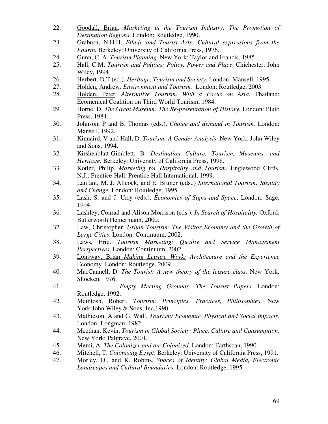- 22. Goodall, Brian. *Marketing in the Tourism Industry: The Promotion of Destination Regions*. London: Routledge, 1990.
- 23. Graburn, N.H.H. *Ethnic and Tourist Arts: Cultural expressions from the Fourth.* Berkeley: University of California Press, 1976.
- 24. Gunn, C. A. *Tourism Planning*. New York: Taylor and Francis, 1985.
- 25. Hall, C.M. *Tourism and Politics: Policy, Power and Place*. Chichester: John Wiley, 1994
- 26. Herbert, D.T (ed.). *Heritage, Tourism and Society*. London: Mansell, 1995.
- 27. Holden, Andrew. *Environment and Tourism.* London: Routledge, 2003.
- 28. Holden, Peter. *Alternative Tourism: With a Focus on Asia.* Thailand: Ecomenical Coalition on Third World Tourism, 1984.
- 29. Horne, D. *The Great Museum: The Re-presentation of History*. London: Pluto Press, 1984.
- 30. Johnson, P and B. Thomas (eds.), *Choice and demand in Tourism.* London: Mansell, 1992.
- 31. Kinnaird, V and Hall, D. *Tourism: A Gender Analysis*. New York: John Wiley and Sons, 1994.
- 32. Kirshenblatt-Gimblett, B. *Destination Culture: Tourism, Museums, and Heritage*. Berkeley: University of California Press, 1998.
- 33. Kotler, Philip. *Marketing for Hospitality and Tourism*. Englewood Cliffs, N.J.: Prentice-Hall, Prentice Hall International, 1999.
- 34. Lanfant, M. J. Allcock, and E. Bruner (eds.,) *International Tourism: Identity and Change*. London: Routledge, 1995.
- 35. Lash, S. and J. Urry (eds.). *Economies of Signs and Space*. London: Sage, 1994
- 36. Lashley, Conrad and Alison Morrison (eds.). *In Search of Hospitality.* Oxford, Butterworth Heinermann, 2000.
- 37. Law, Christopher. *Urban Tourism: The Visitor Economy and the Growth of Large Cities*. London: Continuum, 2002.
- 38. Laws, Eric. *Tourism Marketing: Quality and Service Management Perspectives*. London: Continuum, 2002.
- 39. Lonsway, Brian *Making Leisure Work: Architecture and the Experience* Economy. London: Routledge, 2009.
- 40. MacCannell, D. *The Tourist: A new theory of the leisure class.* New York: Shocken, 1976.
- 41. -----------------. *Empty Meeting Grounds: The Tourist Papers*. London: Routledge, 1992.
- 42. Mcintosh, Robert. *Tourism: Principles, Practices, Philosophies*. New York: John Wiley & Sons, Inc, 1990
- 43. Mathieson, A and G. Wall. *Tourism: Economic, Physical and Social Impacts*. London: Longman, 1982.
- 44. Meethan, Kevin. *Tourism in Global Society: Place, Culture and Consumption*. New York: Palgrave, 2001.
- 45. Memi, A. *The Colonizer and the Colonized*. London: Earthscan, 1990.
- 46. Mitchell, T. *Colonising Egypt*. Berkeley: University of California Press, 1991.
- 47. Morley, D., and K. Robins. *Spaces of Identity: Global Media, Electronic Landscapes and Cultural Boundaries.* London: Routledge, 1995.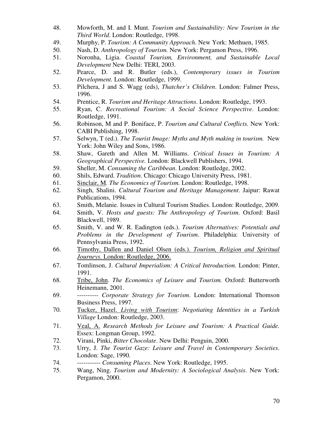- 48. Mowforth, M. and I. Munt. *Tourism and Sustainability: New Tourism in the Third World*. London: Routledge, 1998.
- 49. Murphy, P. *Tourism: A Community Approach.* New York: Methuen, 1985.
- 50. Nash, D. *Anthropology of Tourism.* New York: Pergamon Press, 1996.
- 51. Noronha, Ligia. *Coastal Tourism, Environment, and Sustainable Local Development* New Delhi: TERI, 2003.
- 52. Pearce, D. and R. Butler (eds.), *Contemporary issues in Tourism Development.* London: Routledge, 1999.
- 53. Pilchera, J and S. Wagg (eds), *Thatcher's Children*. London: Falmer Press, 1996.
- 54. Prentice, R. *Tourism and Heritage Attractions*. London: Routledge, 1993.
- 55. Ryan, C. *Recreational Tourism: A Social Science Perspective*. London: Routledge, 1991.
- 56. Robinson, M and P. Boniface, P. *Tourism and Cultural Conflicts.* New York: CABI Publishing, 1998.
- 57. Selwyn, T (ed.). *The Tourist Image: Myths and Myth making in tourism.* New York: John Wiley and Sons, 1986.
- 58. Shaw, Gareth and Allen M. Williams. *Critical Issues in Tourism: A Geographical Perspective.* London: Blackwell Publishers, 1994.
- 59. Sheller, M. *Consuming the Caribbean*. London: Routledge, 2002.
- 60. Shils, Edward. *Tradition*. Chicago: Chicago University Press, 1981.
- 61. Sinclair, M. *The Economics of Tourism.* London: Routledge, 1998.
- 62. Singh, Shalini. *Cultural Tourism and Heritage Management*. Jaipur: Rawat Publications, 1994.
- 63. Smith, Melanie. Issues in Cultural Tourism Studies. London: Routledge, 2009.
- 64. Smith, V. *Hosts and guests: The Anthropology of Tourism*. Oxford: Basil Blackwell, 1989.
- 65. Smith, V. and W. R. Eadington (eds.). *Tourism Alternatives: Potentials and Problems in the Development of Tourism*. Philadelphia: University of Pennsylvania Press, 1992.
- 66. Timothy, Dallen and Daniel Olsen (eds.). *Tourism, Religion and Spiritual Journeys*. London: Routledge, 2006.
- 67. Tomlinson, J. *Cultural Imperialism: A Critical Introduction.* London: Pinter, 1991.
- 68. Tribe, John. *The Economics of Leisure and Tourism.* Oxford: Butterworth Heinemann, 2001.
- 69. ---------- *Corporate Strategy for Tourism*. London: International Thomson Business Press, 1997.
- 70. Tucker, Hazel. *Living with Tourism*: *Negotiating Identities in a Turkish Village* London: Routledge, 2003.
- 71. Veal, A. *Research Methods for Leisure and Tourism: A Practical Guide.* Essex: Longman Group, 1992.
- 72. Virani, Pinki, *Bitter Chocolate*. New Delhi: Penguin, 2000.
- 73. Urry, J. *The Tourist Gaze: Leisure and Travel in Contemporary Societies*. London: Sage, 1990.
- 74. ----------- *Consuming Places*. New York: Routledge, 1995.
- 75. Wang, Ning. *Tourism and Modernity: A Sociological Analysis*. New York: Pergamon, 2000.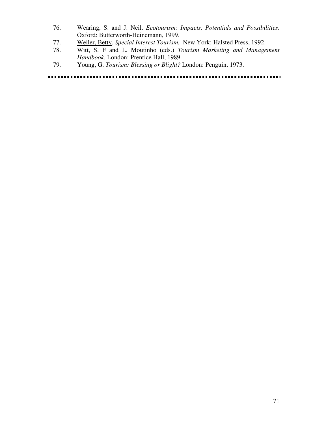- 76. Wearing, S. and J. Neil. *Ecotourism: Impacts, Potentials and Possibilities*. Oxford: Butterworth-Heinemann, 1999.
- 77. Weiler, Betty. *Special Interest Tourism.* New York: Halsted Press, 1992.
- 78. Witt, S. F and L. Moutinho (eds.) *Tourism Marketing and Management Handbook*. London: Prentice Hall, 1989.
- 79. Young, G. *Tourism: Blessing or Blight?* London: Penguin, 1973.

#### . . . . . . . . . . . . . . ....................... .......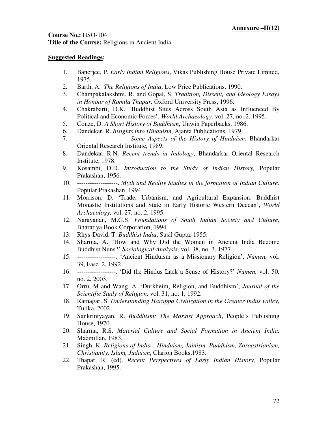### **Course No.:** HSO-104 **Title of the Course:** Religions in Ancient India

- 1. Banerjee, P. *Early Indian Religions*, Vikas Publishing House Private Limited, 1975.
- 2. Barth, A. *The Religions of India*, Low Price Publications, 1990.
- 3. Champakalakshmi, R. and Gopal, S. *Tradition, Dissent, and Ideology Essays in Honour of Romila Thapar,* Oxford University Press, 1996.
- 4. Chakrabarti, D.K. 'Buddhist Sites Across South Asia as Influenced By Political and Economic Forces', *World Archaeology,* vol. 27, no. 2, 1995.
- 5. Conze, D. *A Short History of Buddhism*, Unwin Paperbacks, 1986.
- 6. Dandekar, R. *Insights into Hinduism*, Ajanta Publications, 1979.
- 7. -----------------------. *Some Aspects of the History of Hinduism*, Bhandarkar Oriental Research Institute, 1989.
- 8. Dandekar, R.N. *Recent trends in Indology*, Bhandarkar Oriental Research Institute, 1978.
- 9. Kosambi, D.D. *Introduction to the Study of Indian History,* Popular Prakashan, 1956.
- 10. -------------------. *Myth and Reality Studies in the formation of Indian Culture,*  Popular Prakashan, 1994.
- 11. Morrison, D. 'Trade, Urbanism, and Agricultural Expansion: Buddhist Monastic Institutions and State in Early Historic Western Deccan', *World Archaeology,* vol. 27, no. 2, 1995.
- 12. Narayanan, M.G.S. *Foundations of South Indian Society and Culture,*  Bharatiya Book Corporation, 1994.
- 13. Rhys-David, T. *Buddhist India*, Susil Gupta, 1955.
- 14. Sharma, A. 'How and Why Did the Women in Ancient India Become Buddhist Nuns?' *Sociological Analysis,* vol. 38, no. 3, 1977.
- 15. ------------------. 'Ancient Hinduism as a Missionary Religion', *Numen,* vol. 39, Fasc. 2, 1992.
- 16. ------------------. 'Did the Hindus Lack a Sense of History?' *Numen,* vol. 50, no. 2, 2003.
- 17. Orru, M and Wang, A. 'Durkheim, Religion, and Buddhism', *Journal of the Scientific Study of Religion,* vol. 31, no. 1, 1992.
- 18. Ratnagar, S. *Understanding Harappa Civilization in the Greater Indus valley*, Tulika, 2002.
- 19. Sankrintyayan, R. *Buddhism: The Marxist Approach*, People's Publishing House, 1970.
- 20. Sharma, R.S. *Material Culture and Social Formation in Ancient India,*  Macmillan, 1983.
- 21. Singh, K. *Religions of India : Hinduism, Jainism, Buddhism, Zoroastrianism, Christianity, Islam, Judaism*, Clarion Books,1983.
- 22. Thapar, R. (ed). *Recent Perspectives of Early Indian History,* Popular Prakashan, 1995.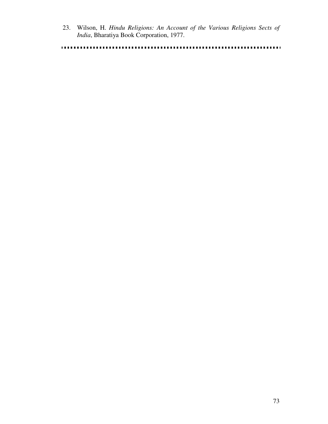23. Wilson, H. *Hindu Religions: An Account of the Various Religions Sects of India*, Bharatiya Book Corporation, 1977.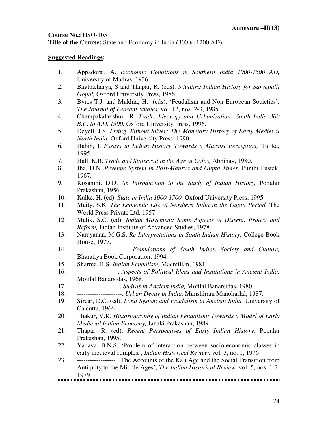# **Course No.:** HSO-105 **Title of the Course:** State and Economy in India (300 to 1200 AD)

- 1. Appadorai, A. *Economic Conditions in Southern India 1000-1500 AD,* University of Madras, 1936.
- 2. Bhattacharya, S and Thapar, R. (eds). *Situating Indian History for Sarvepalli Gopal,* Oxford University Press, 1986.
- 3. Byres T.J. and Mukhia, H. (eds). 'Feudalism and Non European Societies'*, The Journal of Peasant Studies,* vol. 12, nos. 2-3, 1985.
- 4. Champakalakshmi, R. *Trade, Ideology and Urbanization: South India 300 B.C. to A.D. 1300,* Oxford University Press, 1996.
- 5. Deyell, J.S. *Living Without Silver: The Monetary History of Early Medieval North India,* Oxford University Press, 1990.
- 6. Habib, I. *Essays in Indian History Towards a Marxist Perception,* Tulika, 1995.
- 7. Hall, K.R. *Trade and Statecraft in the Age of Colas,* Abhinav, 1980.
- 8. Jha, D.N. *Revenue System in Post-Maurya and Gupta Times,* Punthi Pustak, 1967.
- 9. Kosambi, D.D. *An Introduction to the Study of Indian History,* Popular Prakashan, 1956.
- 10. Kulke, H. (ed). *State in India 1000-1700,* Oxford University Press, 1995.
- 11. Maity, S.K. *The Economic Life of Northern India in the Gupta Period,* The World Press Private Ltd, 1957.
- 12. Malik, S.C. (ed). *Indian Movement: Some Aspects of Dissent, Protest and Reform,* Indian Institute of Advanced Studies, 1978.
- 13. Narayanan, M.G.S. *Re-Interpretations in South Indian History,* College Book House, 1977.
- 14. -----------------------. *Foundations of South Indian Society and Culture,*  Bharatiya Book Corporation, 1994.
- 15. Sharma, R.S. *Indian Feudalism,* Macmillan, 1981.
- 16. -------------------. *Aspects of Political Ideas and Institutions in Ancient India,*  Motilal Banarsidas, 1968.
- 17. --------------------. *Sudras in Ancient India,* Motilal Banarsidas, 1980.
- 18. ---------------------. *Urban Decay in India,* Munshiram Manoharlal, 1987.
- 19. Sircar, D.C. (ed). *Land System and Feudalism in Ancient India,* University of Calcutta, 1966.
- 20. Thakur, V.K. *Historiography of Indian Feudalism: Towards a Model of Early Medieval Indian Economy,* Janaki Prakashan, 1989.
- 21. Thapar, R. (ed). *Recent Perspectives of Early Indian History,* Popular Prakashan, 1995.
- 22. Yadava, B.N.S. 'Problem of interaction between socio-economic classes in early medieval complex', *Indian Historical Review,* vol. 3, no. 1, 1976
- 23. ------------------. 'The Accounts of the Kali Age and the Social Transition from Antiquity to the Middle Ages', *The Indian Historical Review,* vol. 5, nos. 1-2, 1979.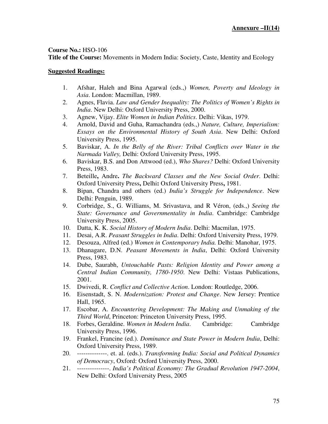**Title of the Course:** Movements in Modern India: Society, Caste, Identity and Ecology

- 1. Afshar, Haleh and Bina Agarwal (eds.,) *Women, Poverty and Ideology in Asia*. London: Macmillan, 1989.
- 2. Agnes, Flavia. *Law and Gender Inequality: The Politics of Women's Rights in India*. New Delhi: Oxford University Press, 2000.
- 3. Agnew, Vijay. *Elite Women in Indian Politics*. Delhi: Vikas, 1979.
- 4. Arnold, David and Guha, Ramachandra (eds.,) *Nature, Culture, Imperialism: Essays on the Environmental History of South Asia*. New Delhi: Oxford University Press, 1995.
- 5. Baviskar, A. *In the Belly of the River: Tribal Conflicts over Water in the Narmada Valley,* Delhi: Oxford University Press, 1995.
- 6. Baviskar, B.S. and Don Attwood (ed.), *Who Shares?* Delhi: Oxford University Press, 1983.
- 7. Beteille**,** Andre**.** *The Backward Classes and the New Social Order*. Delhi: Oxford University Press**,** Delhi**:** Oxford University Press**,** 1981.
- 8. Bipan, Chandra and others (ed.) *India's Struggle for Independence*. New Delhi: Penguin, 1989.
- 9. Corbridge, S., G. Williams, M. Srivastava, and R Véron, (eds.,) *Seeing the State: Governance and Governmentality in India*. Cambridge: Cambridge University Press, 2005.
- 10. Datta, K. K. *Social History of Modern India*. Delhi: Macmilan, 1975.
- 11. Desai, A.R. *Peasant Struggles in India*. Delhi: Oxford University Press, 1979.
- 12. Desouza, Alfred (ed.) *Women in Contemporary India.* Delhi: Manohar, 1975.
- 13. Dhanagare, D.N. *Peasant Movements in India*, Delhi: Oxford University Press, 1983.
- 14. Dube, Saurabh, *Untouchable Pasts: Religion Identity and Power among a Central Indian Community, 1780-1950*. New Delhi: Vistaas Publications, 2001.
- 15. Dwivedi, R. *Conflict and Collective Action*. London: Routledge, 2006.
- 16. Eisenstadt, S. N. *Modernization: Protest and Change*. New Jersey: Prentice Hall, 1965.
- 17. Escobar, A. *Encountering Development: The Making and Unmaking of the Third World*, Princeton: Princeton University Press, 1995.
- 18. Forbes, Geraldine. *Women in Modern India*. Cambridge: Cambridge University Press, 1996.
- 19. Frankel, Francine (ed.). *Dominance and State Power in Modern India*, Delhi: Oxford University Press, 1989.
- 20. --------------. et. al. (eds.). *Transforming India: Social and Political Dynamics of Democracy*, Oxford: Oxford University Press, 2000.
- 21. ---------------. *India's Political Economy: The Gradual Revolution 1947-2004*, New Delhi: Oxford University Press, 2005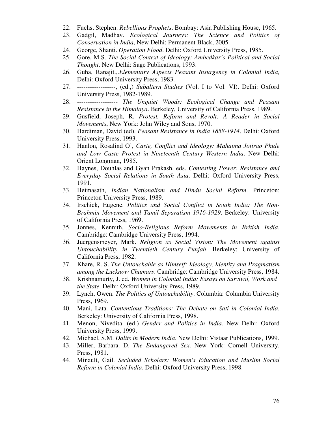- 22. Fuchs, Stephen. *Rebellious Prophets*. Bombay: Asia Publishing House, 1965.
- 23. Gadgil, Madhav. *Ecological Journeys: The Science and Politics of Conservation in India*, New Delhi: Permanent Black, 2005.
- 24. George, Shanti. *Operation Flood*. Delhi: Oxford University Press, 1985.
- 25. Gore, M.S. *The Social Context of Ideology: Ambedkar's Political and Social Thought*. New Delhi: Sage Publications, 1993.
- 26. Guha, Ranajit.,.*Elementary Aspects Peasant Insurgency in Colonial India,* Delhi: Oxford University Press, 1983.
- 27. ------------------, (ed.,) *Subaltern Studies* (Vol. I to Vol. VI). Delhi: Oxford University Press, 1982-1989.
- 28. ------------------- *The Unquiet Woods: Ecological Change and Peasant Resistance in the Himalaya*. Berkeley, University of California Press, 1989.
- 29. Gusfield, Joseph, R, *Protest, Reform and Revolt: A Reader in Social Movements*, New York: John Wiley and Sons, 1970.
- 30. Hardiman, David (ed). *Peasant Resistance in India 1858-1914*. Delhi: Oxford University Press, 1993.
- 31. Hanlon, Rosalind O', *Caste, Conflict and Ideology: Mahatma Jotirao Phule and Low Caste Protest in Nineteenth Century Western India*. New Delhi: Orient Longman, 1985.
- 32. Haynes, Douhlas and Gyan Prakash, eds. *Contesting Power: Resistance and Everyday Social Relations in South Asia*. Delhi: Oxford University Press, 1991.
- 33. Heimasath, *Indian Nationalism and Hindu Social Reform*. Princeton: Princeton University Press, 1989.
- 34. Irschick, Eugene. *Politics and Social Conflict in South India: The Non-Brahmin Movement and Tamil Separatism 1916-1929*. Berkeley: University of California Press, 1969.
- 35. Jonnes, Kennith. *Socio-Religious Reform Movements in British India*. Cambridge: Cambridge University Press, 1994.
- 36. Juergensmeyer, Mark. *Religion as Social Vision: The Movement against Untouchablility in Twentieth Century Punjab*. Berkeley: University of California Press, 1982.
- 37. Khare, R. S. *The Untouchable as Himself: Ideology, Identity and Pragmatism among the Lucknow Chamars*. Cambridge: Cambridge University Press, 1984.
- 38. Krishnamurty, J. ed. *Women in Colonial India: Essays on Survival, Work and the State*. Delhi: Oxford University Press, 1989.
- 39. Lynch, Owen. *The Politics of Untouchability*. Columbia: Columbia University Press, 1969.
- 40. Mani, Lata. *Contentious Traditions: The Debate on Sati in Colonial India.* Berkeley: University of California Press, 1998.
- 41. Menon, Nivedita. (ed.) *Gender and Politics in India*. New Delhi: Oxford University Press, 1999.
- 42. Michael, S.M. *Dalits in Modern India*. New Delhi: Vistaar Publications, 1999.
- 43. Miller, Barbara. D. *The Endangered Sex*. New York: Cornell University. Press, 1981.
- 44. Minault, Gail. *Secluded Scholars: Women's Education and Muslim Social Reform in Colonial India*. Delhi: Oxford University Press, 1998.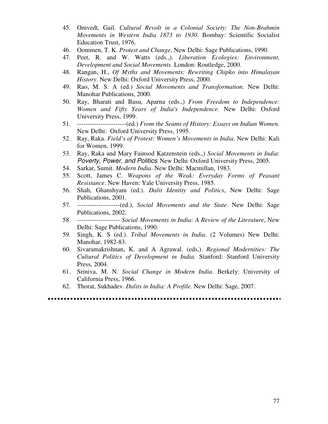- 45. Omvedt, Gail. *Cultural Revolt in a Colonial Society: The Non-Brahmin Movements in Western India 1873 to 1930*. Bombay: Scientific Socialist Education Trust, 1976.
- 46. Oommen, T. K. *Protest and Change*, New Delhi: Sage Publications, 1990.
- 47. Peet, R. and W. Watts (eds.,). *Liberation Ecologies: Environment, Development and Social Movements*. London: Routledge, 2000.
- 48. Rangan, H., *Of Myths and Movements: Rewriting Chipko into Himalayan History*. New Delhi: Oxford University Press, 2000.
- 49. Rao, M. S. A (ed.) *Social Movements and Transformation*. New Delhi: Manohar Publications, 2000.
- 50. Ray, Bharati and Basu, Aparna (eds.,) *From Freedom to Independence: Women and Fifty Years of India's Independence*. New Delhi: Oxford University Press, 1999.
- 51. -----------------------(ed.) *From the Seams of History: Essays on Indian Women.* New Delhi: Oxford University Press, 1995.
- 52. Ray, Raka. *Field's of Protest: Women's Movements in India*. New Delhi: Kali for Women, 1999.
- 53. Ray, Raka and Mary Fainsod Katzenstein (eds.,) *Social Movements in India*: Poverty, Power, and Politics. New Delhi: Oxford University Press, 2005.
- 54. Sarkar, Sumit. *Modern India*. New Delhi: Macmillan, 1983.
- 55. Scott, James C. *Weapons of the Weak: Everyday Forms of Peasant Resistance*. New Haven: Yale University Press, 1985.
- 56. Shah, Ghanshyam (ed.). *Dalit Identity and Politics*, New Delhi: Sage Publications, 2001.
- 57. --------------------(ed.), *Social Movements and the State*. New Delhi: Sage Publications, 2002.
- 58. -------------------- *Social Movements in India: A Review of the Literature*, New Delhi: Sage Publications, 1990.
- 59. Singh, K. S (ed.). *Tribal Movements in India*. (2 Volumes) New Delhi: Manohar, 1982-83.
- 60. Sivaramakrishnan, K. and A Agrawal. (eds,). *Regional Modernities: The Cultural Politics of Development in India*. Stanford: Stanford University Press, 2004.
- 61. Sriniva, M. N. *Social Change in Modern India*. Berkely: University of California Press, 1966.
- 62. Thorat, Sukhadev. *Dalits in India: A Profile*. New Delhi: Sage, 2007.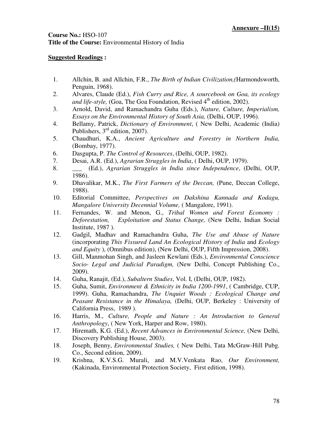# **Course No.:** HSO-107 **Title of the Course:** Environmental History of India

- 1. Allchin, B. and Allchin, F.R., *The Birth of Indian Civilization,(*Harmondsworth, Penguin, 1968).
- 2. Alvares, Claude (Ed.), *Fish Curry and Rice, A sourcebook on Goa, its ecology and life-style,* (Goa, The Goa Foundation, Revised 4<sup>th</sup> edition, 2002).
- 3. Arnold, David, and Ramachandra Guha (Eds.), *Nature, Culture, Imperialism, Essays on the Environmental History of South Asia,* (Delhi, OUP, 1996).
- 4. Bellamy, Patrick, *Dictionary of Environment*, ( New Delhi, Academic (India) Publishers, 3<sup>rd</sup> edition, 2007).
- 5. Chaudhuri, K.A., *Ancient Agriculture and Forestry in Northern India,* (Bombay, 1977).
- 6. Dasgupta, P. *The Control of Resources*, (Delhi, OUP, 1982).
- 7. Desai, A.R. (Ed.), *Agrarian Struggles in India*, ( Delhi, OUP, 1979).
- 8. \_\_\_ (Ed.), *Agrarian Struggles in India since Independence*, (Delhi, OUP, 1986).
- 9. Dhavalikar, M.K., *The First Farmers of the Deccan,* (Pune, Deccan College, 1988).
- 10. Editorial Committee, *Perspectives on Dakshina Kannada and Kodagu, Mangalore University Decennial Volume,* ( Mangalore, 1991).
- 11. Fernandes, W. and Menon, G., *Tribal Women and Forest Economy : Deforestation, Exploitation and Status Change,* (New Delhi, Indian Social Institute, 1987 ).
- 12. Gadgil, Madhav and Ramachandra Guha, *The Use and Abuse of Nature*  (incorporating *This Fissured Land An Ecological History of India* and *Ecology and Equity* ), (Omnibus edition), (New Delhi, OUP, Fifth Impression, 2008).
- 13. Gill, Manmohan Singh, and Jasleen Kewlani (Eds.), *Environmental Conscience Socio- Legal and Judicial Paradigm,* (New Delhi, Concept Publishing Co., 2009).
- 14. Guha, Ranajit, (Ed.), *Subaltern Studies*, Vol. I, (Delhi, OUP, 1982).
- 15. Guha, Sumit, *Environment & Ethnicity in India 1200-1991*, ( Cambridge, CUP, 1999). Guha, Ramachandra, *The Unquiet Woods : Ecological Change and Peasant Resistance in the Himalaya,* (Delhi, OUP, Berkeley : University of California Press, 1989 ).
- 16. Harris, M., *Culture, People and Nature : An Introduction to General Anthropology*, ( New York, Harper and Row, 1980).
- 17. Hiremath, K.G. (Ed.), *Recent Advances in Environmental Science,* (New Delhi, Discovery Publishing House, 2003).
- 18. Joseph, Benny, *Environmental Studies,* ( New Delhi, Tata McGraw-Hill Pubg. Co., Second edition, 2009).
- 19. Krishna, K.V.S.G. Murali, and M.V.Venkata Rao, *Our Environment,* (Kakinada, Environmental Protection Society, First edition, 1998).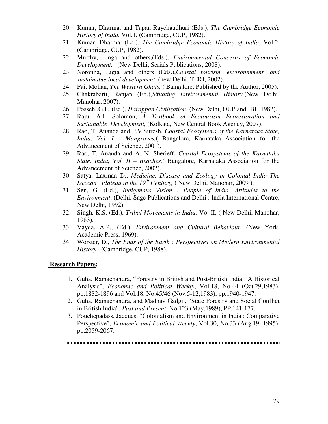- 20. Kumar, Dharma, and Tapan Raychaudhuri (Eds.), *The Cambridge Economic History of India*, Vol.1, (Cambridge, CUP, 1982).
- 21. Kumar, Dharma, (Ed.), *The Cambridge Economic History of India*, Vol.2, (Cambridge, CUP, 1982).
- 22. Murthy, Linga and others,(Eds.), *Environmental Concerns of Economic Development,* (New Delhi, Serials Publications, 2008).
- 23. Noronha, Ligia and others (Eds.),*Coastal tourism, environmment, and sustainable local development*, (new Delhi, TERI, 2002).
- 24. Pai, Mohan, *The Western Ghats,* ( Bangalore, Published by the Author, 2005).
- 25. Chakrabarti, Ranjan (Ed.),*Situating Environmental History,*(New Delhi, Manohar, 2007).
- 26. Possehl,G.L. (Ed.), *Harappan Civilization*, (New Delhi, OUP and IBH,1982).
- 27. Raju, A.J. Solomon, *A Textbook of Ecotourism Ecorestoration and Sustainable Development*, (Kolkata, New Central Book Agency, 2007).
- 28. Rao, T. Ananda and P.V.Suresh, *Coastal Ecosystems of the Karnataka State, India, Vol. I – Mangroves,*( Bangalore, Karnataka Association for the Advancement of Science, 2001).
- 29. Rao, T. Ananda and A. N. Sherieff, *Coastal Ecosystems of the Karnataka State, India, Vol. II – Beaches,*( Bangalore, Karnataka Association for the Advancement of Science, 2002).
- 30. Satya, Laxman D., *Medicine, Disease and Ecology in Colonial India The Deccan Plateau in the 19th Century,* ( New Delhi, Manohar, 2009 ).
- 31. Sen, G. (Ed.), *Indigenous Vision : People of India. Attitudes to the Environment*, (Delhi, Sage Publications and Delhi : India International Centre, New Delhi, 1992).
- 32. Singh, K.S. (Ed.), *Tribal Movements in India,* Vo. II, ( New Delhi, Manohar, 1983).
- 33. Vayda, A.P., (Ed.), *Environment and Cultural Behaviour,* (New York, Academic Press, 1969).
- 34. Worster, D., *The Ends of the Earth : Perspectives on Modern Environmental History,* (Cambridge, CUP, 1988).

#### **Research Papers:**

- 1. Guha, Ramachandra, "Forestry in British and Post-British India : A Historical Analysis", *Economic and Political Weekly*, Vol.18, No.44 (Oct.29,1983), pp.1882-1896 and Vol.18, No.45/46 (Nov.5-12,1983), pp.1940-1947.
- 2. Guha, Ramachandra, and Madhav Gadgil, "State Forestry and Social Conflict in British India", *Past and Present*, No.123 (May,1989), PP.141-177.
- 3. Pouchepadass, Jacques, "Colonialism and Environment in India : Comparative Perspective", *Economic and Political Weekly*, Vol.30, No.33 (Aug.19, 1995), pp.2059-2067.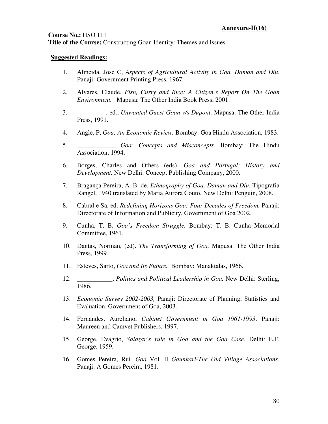### **Course No.:** HSO 111 **Title of the Course:** Constructing Goan Identity: Themes and Issues

- 1. Almeida, Jose C, *Aspects of Agricultural Activity in Goa, Daman and Diu*. Panaji: Government Printing Press, 1967.
- 2. Alvares, Claude, *Fish, Curry and Rice: A Citizen's Report On The Goan Environment.* Mapusa: The Other India Book Press, 2001.
- 3. \_\_\_\_\_\_\_\_\_, ed., *Unwanted Guest-Goan v/s Dupont,* Mapusa: The Other India Press, 1991.
- 4. Angle, P, *Goa: An Economic Review.* Bombay: Goa Hindu Association, 1983.
- 5. \_\_\_\_\_\_\_\_\_\_\_\_ *Goa: Concepts and Misconcepts.* Bombay: The Hindu Association, 1994.
- 6. Borges, Charles and Others (eds). *Goa and Portugal: History and Development.* New Delhi: Concept Publishing Company, 2000.
- 7. Bragança Pereira, A. B. de, *Ethnography of Goa, Daman and Diu*, Tipografia Rangel, 1940 translated by Maria Aurora Couto. New Delhi: Penguin, 2008.
- 8. Cabral e Sa, ed. *Redefining Horizons Goa: Four Decades of Freedom.* Panaji: Directorate of Information and Publicity, Government of Goa 2002.
- 9. Cunha, T. B, *Goa's Freedom Struggle.* Bombay: T. B. Cunha Memorial Committee, 1961.
- 10. Dantas, Norman, (ed). *The Transforming of Goa,* Mapusa: The Other India Press, 1999.
- 11. Esteves, Sarto, *Goa and Its Future.* Bombay: Manaktalas, 1966.
- 12. \_\_\_\_\_\_\_\_\_\_\_, *Politics and Political Leadership in Goa.* New Delhi: Sterling, 1986.
- 13. *Economic Survey 2002-2003,* Panaji: Directorate of Planning, Statistics and Evaluation, Government of Goa, 2003.
- 14. Fernandes, Aureliano, *Cabinet Government in Goa 1961-1993*. Panaji: Maureen and Camvet Publishers, 1997.
- 15. George, Evagrio, *Salazar's rule in Goa and the Goa Case.* Delhi: E.F. George, 1959.
- 16. Gomes Pereira, Rui. *Goa* Vol. II *Gaunkari-The Old Village Associations.*  Panaji: A Gomes Pereira, 1981.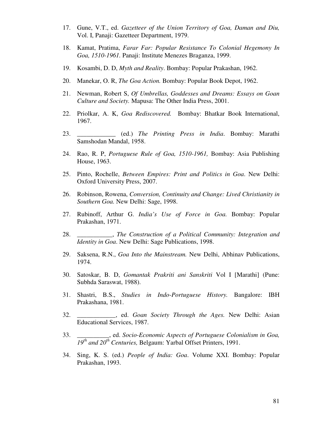- 17. Gune, V.T., ed. *Gazetteer of the Union Territory of Goa, Daman and Diu,*  Vol. I, Panaji: Gazetteer Department, 1979.
- 18. Kamat, Pratima, *Farar Far: Popular Resistance To Colonial Hegemony In Goa, 1510-1961.* Panaji: Institute Menezes Braganza, 1999.
- 19. Kosambi, D. D, *Myth and Reality*. Bombay: Popular Prakashan, 1962.
- 20. Manekar, O. R, *The Goa Action.* Bombay: Popular Book Depot, 1962.
- 21. Newman, Robert S, *Of Umbrellas, Goddesses and Dreams: Essays on Goan Culture and Society.* Mapusa: The Other India Press, 2001.
- 22. Priolkar, A. K, *Goa Rediscovered.* Bombay: Bhatkar Book International, 1967.
- 23. \_\_\_\_\_\_\_\_\_\_\_\_ (ed.) *The Printing Press in India*. Bombay: Marathi Samshodan Mandal, 1958.
- 24. Rao, R. P, *Portuguese Rule of Goa, 1510-1961,* Bombay: Asia Publishing House, 1963.
- 25. Pinto, Rochelle, *Between Empires: Print and Politics in Goa*. New Delhi: Oxford University Press, 2007.
- 26. Robinson, Rowena, *Conversion, Continuity and Change: Lived Christianity in Southern Goa.* New Delhi: Sage, 1998.
- 27. Rubinoff, Arthur G. *India's Use of Force in Goa.* Bombay: Popular Prakashan, 1971.
- 28. \_\_\_\_\_\_\_\_\_\_\_, *The Construction of a Political Community: Integration and Identity in Goa*. New Delhi: Sage Publications, 1998.
- 29. Saksena, R.N., *Goa Into the Mainstream.* New Delhi, Abhinav Publications, 1974.
- 30. Satoskar, B. D, *Gomantak Prakriti ani Sanskriti* Vol I [Marathi] (Pune: Subhda Saraswat, 1988).
- 31. Shastri, B.S., *Studies in Indo-Portuguese History.* Bangalore: IBH Prakashana, 1981.
- 32. \_\_\_\_\_\_\_\_\_\_\_\_, ed. *Goan Society Through the Ages.* New Delhi: Asian Educational Services, 1987.
- 33. \_\_\_\_\_\_\_\_\_\_, ed. *Socio-Economic Aspects of Portuguese Colonialism in Goa, 19th and 20th Centuries,* Belgaum: Yarbal Offset Printers, 1991.
- 34. Sing, K. S. (ed.) *People of India: Goa*. Volume XXI. Bombay: Popular Prakashan, 1993.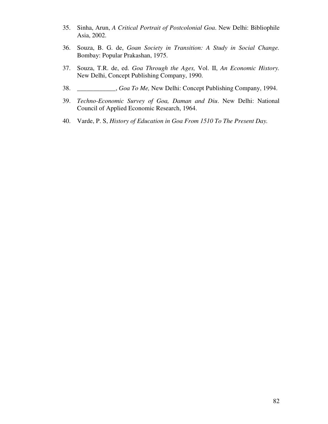- 35. Sinha, Arun, *A Critical Portrait of Postcolonial Goa*. New Delhi: Bibliophile Asia, 2002.
- 36. Souza, B. G. de, *Goan Society in Transition: A Study in Social Change.*  Bombay: Popular Prakashan, 1975.
- 37. Souza, T.R. de, ed. *Goa Through the Ages,* Vol. II, *An Economic History.*  New Delhi, Concept Publishing Company, 1990.
- 38. \_\_\_\_\_\_\_\_\_\_\_\_, *Goa To Me,* New Delhi: Concept Publishing Company, 1994.
- 39. *Techno-Economic Survey of Goa, Daman and Diu*. New Delhi: National Council of Applied Economic Research, 1964.
- 40. Varde, P. S, *History of Education in Goa From 1510 To The Present Day.*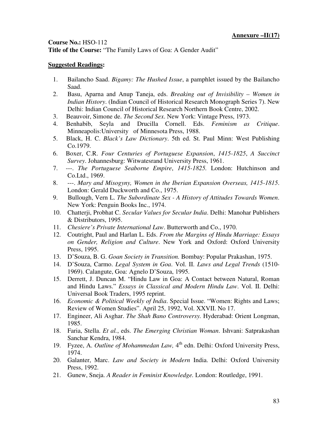**Title of the Course:** "The Family Laws of Goa: A Gender Audit"

- 1. Bailancho Saad. *Bigamy: The Hushed Issue*, a pamphlet issued by the Bailancho Saad.
- 2. Basu, Aparna and Anup Taneja, eds. *Breaking out of Invisibility Women in Indian History*. (Indian Council of Historical Research Monograph Series 7). New Delhi: Indian Council of Historical Research Northern Book Centre, 2002.
- 3. Beauvoir, Simone de. *The Second Sex*. New York: Vintage Press, 1973.
- 4. Benhabib, Seyla and Drucilla Cornell. Eds. *Feminism as Critique*. Minneapolis:University of Minnesota Press, 1988.
- 5. Black, H. C. *Black's Law Dictionary*. 5th ed. St. Paul Minn: West Publishing Co.1979.
- 6. Boxer, C.R. *Four Centuries of Portuguese Expansion*, *1415-1825*, *A Succinct Survey*. Johannesburg: Witwatesrand University Press, 1961.
- 7. ---. *The Portuguese Seaborne Empire*, *1415-1825.* London: Hutchinson and Co.Ltd., 1969.
- 8. ---. *Mary and Misogyny, Women in the Iberian Expansion Overseas, 1415-1815*. London: Gerald Duckworth and Co., 1975.
- 9. Bullough, Vern L. *The Subordinate Sex A History of Attitudes Towards Women*. New York: Penguin Books Inc., 1974.
- 10. Chatterji, Probhat C. *Secular Values for Secular India*. Delhi: Manohar Publishers & Distributors, 1995.
- 11. *Chesiere's Private International Law*. Butterworth and Co., 1970.
- 12. Coutright, Paul and Harlan L. Eds. *From the Margins of Hindu Marriage: Essays on Gender, Religion and Culture*. New York and Oxford: Oxford University Press, 1995.
- 13. D'Souza, B. G. *Goan Society in Transition.* Bombay: Popular Prakashan, 1975.
- 14. D'Souza, Carmo. *Legal System in Goa*. Vol. II. *Laws and Legal Trends* (1510- 1969). Calangute, Goa: Agnelo D'Souza, 1995.
- 15. Derrett, J. Duncan M. "Hindu Law in Goa: A Contact between Natural, Roman and Hindu Laws." *Essays in Classical and Modern Hindu Law*. Vol. II. Delhi: Universal Book Traders, 1995 reprint.
- 16. *Economic & Political Weekly of India*. Special Issue. "Women: Rights and Laws; Review of Women Studies". April 25, 1992, Vol. XXVII. No 17.
- 17. Engineer, Ali Asghar. *The Shah Bano Controversy.* Hyderabad: Orient Longman, 1985.
- 18. Faria, Stella. *Et al.*, eds. *The Emerging Christian Woman*. Ishvani: Satprakashan Sanchar Kendra, 1984.
- 19. Fyzee, A. *Outline of Mohammedan Law*, 4<sup>th</sup> edn. Delhi: Oxford University Press, 1974.
- 20. Galanter, Marc. *Law and Society in Modern* India. Delhi: Oxford University Press, 1992.
- 21. Gunew, Sneja. *A Reader in Feminist Knowledge.* London: Routledge, 1991.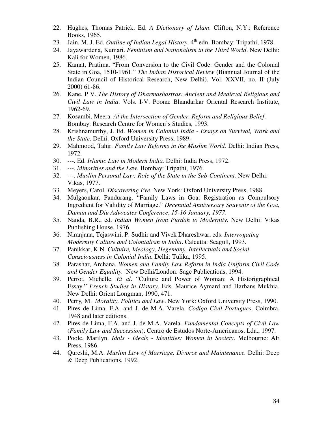- 22. Hughes, Thomas Patrick. Ed. *A Dictionary of Islam*. Clifton, N.Y.: Reference Books, 1965.
- 23. Jain, M. J. Ed. *Outline of Indian Legal History*. 4<sup>th</sup> edn. Bombay: Tripathi, 1978.
- 24. Jayawardena, Kumari. *Feminism and Nationalism in the Third World*. New Delhi: Kali for Women, 1986.
- 25. Kamat, Pratima. "From Conversion to the Civil Code: Gender and the Colonial State in Goa, 1510-1961." *The Indian Historical Review* (Biannual Journal of the Indian Council of Historical Research, New Delhi). Vol. XXVII, no. II (July 2000) 61-86.
- 26. Kane, P V. *The History of Dharmashastras: Ancient and Medieval Religious and Civil Law in India*. Vols. I-V. Poona: Bhandarkar Oriental Research Institute, 1962-69.
- 27. Kosambi, Meera. *At the Intersection of Gender, Reform and Religious Belief*. Bombay: Research Centre for Women's Studies, 1993.
- 28. Krishnamurthy, J. Ed. *Women in Colonial India Essays on Survival, Work and the State*. Delhi: Oxford University Press, 1989.
- 29. Mahmood, Tahir. *Family Law Reforms in the Muslim World.* Delhi: Indian Press, 1972.
- 30. ---. Ed. *Islamic Law in Modern India.* Delhi: India Press, 1972.
- 31. ---. *Minorities and the Law.* Bombay: Tripathi, 1976.
- 32. ---*. Muslim Personal Law: Role of the State in the Sub-Continent.* New Delhi: Vikas, 1977.
- 33. Meyers, Carol. *Discovering Eve*. New York: Oxford University Press, 1988.
- 34. Mulgaonkar, Pandurang. "Family Laws in Goa: Registration as Compulsory Ingredient for Validity of Marriage." *Decennial Anniversary Souvenir of the Goa, Daman and Diu Advocates Conference*, *15-16 January, 1977*.
- 35. Nanda, B.R., ed. *Indian Women from Purdah to Modernity*. New Delhi: Vikas Publishing House, 1976.
- 36. Niranjana, Tejaswini, P. Sudhir and Vivek Dhareshwar, eds. *Interrogating Modernity Culture and Colonialism in India*. Calcutta: Seagull, 1993.
- 37. Panikkar, K N. *Cultuire, Ideology, Hegemony, Intellectuals and Social Consciousness in Colonial India.* Delhi: Tulika, 1995.
- 38. Parashar, Archana. *Women and Family Law Reform in India Uniform Civil Code and Gender Equality.* New Delhi/London: Sage Publications, 1994.
- 39. Perrot, Michelle. *Et al*. "Culture and Power of Woman: A Historigraphical Essay." *French Studies in History*. Eds. Maurice Aymard and Harbans Mukhia. New Delhi: Orient Longman, 1990, 471.
- 40. Perry*,* M. *Morality, Politics and Law*. New York: Oxford University Press, 1990.
- 41. Pires de Lima, F.A. and J. de M.A. Varela. *Codigo Civil Portugues*. Coimbra, 1948 and later editions.
- 42. Pires de Lima, F.A. and J. de M.A. Varela. *Fundamental Concepts of Civil Law* (*Family Law and Succession*). Centro de Estudos Norte-Americanos, Lda., 1997.
- 43. Poole, Marilyn. *Idols Ideals Identities: Women in Society*. Melbourne: AE Press, 1986.
- 44. Qureshi, M.A. *Muslim Law of Marriage, Divorce and Maintenance.* Delhi: Deep & Deep Publications, 1992.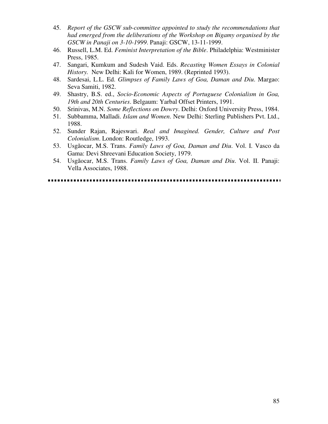- 45. *Report of the GSCW sub-committee appointed to study the recommendations that had emerged from the deliberations of the Workshop on Bigamy organised by the GSCW in Panaji on 3-10-1999*. Panaji: GSCW, 13-11-1999.
- 46. Russell, L.M. Ed. *Feminist Interpretation of the Bible*. Philadelphia: Westminister Press, 1985.
- 47. Sangari, Kumkum and Sudesh Vaid. Eds. *Recasting Women Essays in Colonial History.* New Delhi: Kali for Women, 1989. (Reprinted 1993).
- 48. Sardesai, L.L. Ed. *Glimpses of Family Laws of Goa, Daman and Diu*. Margao: Seva Samiti, 1982.
- 49. Shastry, B.S. ed., *Socio-Economic Aspects of Portuguese Colonialism in Goa, 19th and 20th Centuries*. Belgaum: Yarbal Offset Printers, 1991.
- 50. Srinivas, M.N. *Some Reflections on Dowry*. Delhi: Oxford University Press, 1984.
- 51. Subbamma, Malladi. *Islam and Women*. New Delhi: Sterling Publishers Pvt. Ltd., 1988.
- 52. Sunder Rajan, Rajeswari. *Real and Imagined. Gender, Culture and Post Colonialism*. London: Routledge, 1993.
- 53. Usgãocar, M.S. Trans. *Family Laws of Goa, Daman and Diu*. Vol. I. Vasco da Gama: Devi Shreevani Education Society, 1979.
- 54. Usgãocar, M.S. Trans. *Family Laws of Goa, Daman and Diu*. Vol. II. Panaji: Vella Associates, 1988.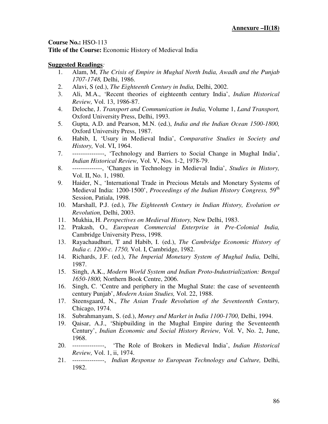**Title of the Course:** Economic History of Medieval India

- 1. Alam, M, *The Crisis of Empire in Mughal North India, Awadh and the Punjab 1707-1748,* Delhi, 1986.
- 2. Alavi, S (ed.), *The Eighteenth Century in India,* Delhi, 2002.
- 3. Ali, M.A., 'Recent theories of eighteenth century India', *Indian Historical Review,* Vol. 13, 1986-87.
- 4. Deloche, J. *Transport and Communication in India,* Volume 1, *Land Transport,*  Oxford University Press, Delhi, 1993.
- 5. Gupta, A.D. and Pearson, M.N. (ed.), *India and the Indian Ocean 1500-1800,*  Oxford University Press, 1987.
- 6. Habib, I, 'Usury in Medieval India', *Comparative Studies in Society and History,* Vol. VI, 1964.
- 7. ---------------, 'Technology and Barriers to Social Change in Mughal India', *Indian Historical Review,* Vol. V, Nos. 1-2, 1978-79.
- 8. --------------, 'Changes in Technology in Medieval India', *Studies in History,*  Vol. II, No. 1, 1980.
- 9. Haider, N., 'International Trade in Precious Metals and Monetary Systems of Medieval India: 1200-1500', *Proceedings of the Indian History Congress,* 59th Session, Patiala, 1998.
- 10. Marshall, P.J. (ed.), *The Eighteenth Century in Indian History, Evolution or Revolution,* Delhi, 2003.
- 11. Mukhia, H. *Perspectives on Medieval History,* New Delhi, 1983.
- 12. Prakash, O., *European Commercial Enterprise in Pre-Colonial India,*  Cambridge University Press, 1998.
- 13. Rayachaudhuri, T and Habib, I. (ed.), *The Cambridge Economic History of India c. 1200-c. 1750,* Vol. I, Cambridge, 1982.
- 14. Richards, J.F. (ed.), *The Imperial Monetary System of Mughal India,* Delhi, 1987.
- 15. Singh, A.K., *Modern World System and Indian Proto-Industrialization: Bengal 1650-1800,* Northern Book Centre, 2006.
- 16. Singh, C. 'Centre and periphery in the Mughal State: the case of seventeenth century Punjab', *Modern Asian Studies,* Vol. 22, 1988.
- 17. Steensgaard, N., *The Asian Trade Revolution of the Seventeenth Century,*  Chicago, 1974.
- 18. Subrahmanyam, S. (ed.), *Money and Market in India 1100-1700,* Delhi, 1994.
- 19. Qaisar, A.J., 'Shipbuilding in the Mughal Empire during the Seventeenth Century', *Indian Economic and Social History Review,* Vol. V, No. 2, June, 1968.
- 20. ---------------, 'The Role of Brokers in Medieval India', *Indian Historical Review,* Vol. 1, ii, 1974.
- 21. ---------------, *Indian Response to European Technology and Culture,* Delhi, 1982.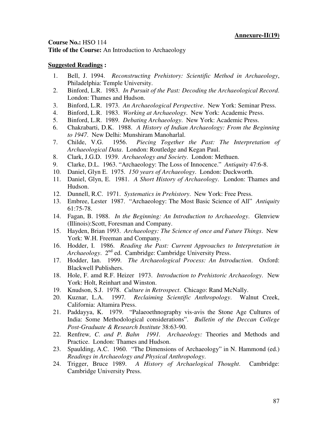**Title of the Course:** An Introduction to Archaeology

- 1. Bell, J. 1994. *Reconstructing Prehistory: Scientific Method in Archaeology*, Philadelphia: Temple University.
- 2. Binford, L.R. 1983. *In Pursuit of the Past: Decoding the Archaeological Record*. London: Thames and Hudson.
- 3. Binford, L.R. 1973. *An Archaeological Perspective*. New York: Seminar Press.
- 4. Binford, L.R. 1983. *Working at Archaeology*. New York: Academic Press.
- 5. Binford, L.R. 1989. *Debating Archaeology*. New York: Academic Press.
- 6. Chakrabarti, D.K. 1988. *A History of Indian Archaeology: From the Beginning to 1947*. New Delhi: Munshiram Manoharlal.
- 7. Childe, V.G. 1956. *Piecing Together the Past: The Interpretation of Archaeological Data*. London: Routledge and Kegan Paul.
- 8. Clark, J.G.D. 1939. *Archaeology and Society*. London: Methuen.
- 9. Clarke, D.L. 1963. "Archaeology: The Loss of Innocence." *Antiquity* 47:6-8.
- 10. Daniel, Glyn E. 1975. *150 years of Archaeology*. London: Duckworth.
- 11. Daniel, Glyn, E. 1981. *A Short History of Archaeology*. London: Thames and Hudson.
- 12. Dunnell, R.C. 1971. *Systematics in Prehistory*. New York: Free Press.
- 13. Embree, Lester 1987. "Archaeology: The Most Basic Science of All" *Antiquity*  61:75-78.
- 14. Fagan, B. 1988. *In the Beginning: An Introduction to Archaeology*. Glenview (Illinois):Scott, Foresman and Company.
- 15. Hayden, Brian 1993. *Archaeology: The Science of once and Future Things*. New York: W.H. Freeman and Company.
- 16. Hodder, I. 1986. *Reading the Past: Current Approaches to Interpretation in Archaeology*. 2nd ed. Cambridge: Cambridge University Press.
- 17. Hodder, Ian. 1999. *The Archaeological Process: An Introduction*. Oxford: Blackwell Publishers.
- 18. Hole, F. amd R.F. Heizer 1973. *Introduction to Prehistoric Archaeology*. New York: Holt, Reinhart and Winston.
- 19. Knudson, S.J. 1978. *Culture in Retrospect*. Chicago: Rand McNally.
- 20. Kuznar, L.A. 1997*. Reclaiming Scientific Anthropology*. Walnut Creek, California: Altamira Press.
- 21. Paddayya, K. 1979. "Palaeoethnography vis-avis the Stone Age Cultures of India: Some Methodological considerations". *Bulletin of the Deccan College Post-Graduate & Research Institute* 38:63-90.
- 22. Renfrew*, C. and P. Bahn 1991. Archaeology:* Theories and Methods and Practice. London: Thames and Hudson.
- 23. Spaulding, A.C. 1960. "The Dimensions of Archaeology" in N. Hammond (ed.) *Readings in Archaeology and Physical Anthropology*.
- 24. Trigger, Bruce 1989. *A History of Archaelogical Thought*. Cambridge: Cambridge University Press.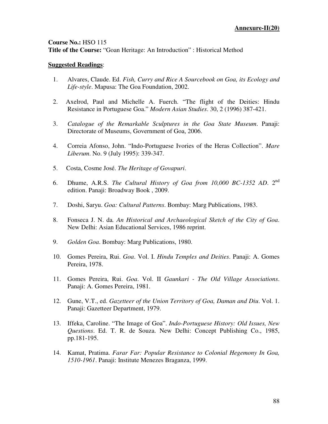# **Course No.:** HSO 115 **Title of the Course:** "Goan Heritage: An Introduction" : Historical Method

- 1. Alvares, Claude. Ed. *Fish, Curry and Rice A Sourcebook on Goa, its Ecology and Life-style*. Mapusa: The Goa Foundation, 2002.
- 2. Axelrod, Paul and Michelle A. Fuerch. "The flight of the Deities: Hindu Resistance in Portuguese Goa." *Modern Asian Studies*. 30, 2 (1996) 387-421.
- 3. *Catalogue of the Remarkable Sculptures in the Goa State Museum*. Panaji: Directorate of Museums, Government of Goa, 2006.
- 4. Correia Afonso, John. "Indo-Portuguese Ivories of the Heras Collection". *Mare Liberum*. No. 9 (July 1995): 339-347.
- 5. Costa, Cosme José. *The Heritage of Govapuri*.
- 6. Dhume, A.R.S. *The Cultural History of Goa from 10,000 BC-1352 AD*. 2nd edition. Panaji: Broadway Book , 2009.
- 7. Doshi, Saryu. *Goa: Cultural Patterns*. Bombay: Marg Publications, 1983.
- 8. Fonseca J. N. da*. An Historical and Archaeological Sketch of the City of Goa*. New Delhi: Asian Educational Services, 1986 reprint.
- 9. *Golden Goa*. Bombay: Marg Publications, 1980.
- 10. Gomes Pereira, Rui. *Goa*. Vol. I. *Hindu Temples and Deities*. Panaji: A. Gomes Pereira, 1978.
- 11. Gomes Pereira, Rui. *Goa*. Vol. II *Gaunkari The Old Village Associations*. Panaji: A. Gomes Pereira, 1981.
- 12. Gune, V.T., ed. *Gazetteer of the Union Territory of Goa, Daman and Diu*. Vol. 1. Panaji: Gazetteer Department, 1979.
- 13. Iffeka, Caroline. "The Image of Goa". *Indo-Portuguese History: Old Issues, New Questions*. Ed. T. R. de Souza. New Delhi: Concept Publishing Co., 1985, pp.181-195.
- 14. Kamat, Pratima. *Farar Far: Popular Resistance to Colonial Hegemony In Goa, 1510-1961*. Panaji: Institute Menezes Braganza, 1999.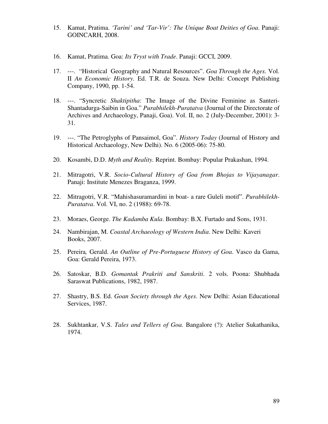- 15. Kamat, Pratima. *'Tarini' and 'Tar-Vir': The Unique Boat Deities of Goa*. Panaji: GOINCARH, 2008.
- 16. Kamat, Pratima. Goa: *Its Tryst with Trade*. Panaji: GCCI, 2009.
- 17. ---. "Historical Geography and Natural Resources". *Goa Through the Ages.* Vol. II *An Economic History*. Ed. T.R. de Souza. New Delhi: Concept Publishing Company, 1990, pp. 1-54.
- 18. ---. "Syncretic *Shaktipitha*: The Image of the Divine Feminine as Santeri-Shantadurga-Saibin in Goa." *Purabhilekh-Puratatva* (Journal of the Directorate of Archives and Archaeology, Panaji, Goa). Vol. II, no. 2 (July-December, 2001): 3- 31.
- 19. ---. "The Petroglyphs of Pansaimol, Goa". *History Today* (Journal of History and Historical Archaeology, New Delhi). No. 6 (2005-06): 75-80.
- 20. Kosambi, D.D. *Myth and Reality.* Reprint. Bombay: Popular Prakashan, 1994.
- 21. Mitragotri, V.R. *Socio-Cultural History of Goa from Bhojas to Vijayanagar*. Panaji: Institute Menezes Braganza, 1999.
- 22. Mitragotri, V.R. "Mahishasuramardini in boat- a rare Guleli motif". *Purabhilekh-Puratatva*. Vol. VI, no. 2 (1988): 69-78.
- 23. Moraes, George. *The Kadamba Kula*. Bombay: B.X. Furtado and Sons, 1931.
- 24. Nambirajan, M. *Coastal Archaeology of Western India*. New Delhi: Kaveri Books, 2007.
- 25. Pereira*,* Gerald. *An Outline of Pre-Portuguese History of Goa*. Vasco da Gama, Goa: Gerald Pereira, 1973.
- 26. Satoskar, B.D. *Gomantak Prakriti and Sanskriti*. 2 vols. Poona: Shubhada Saraswat Publications, 1982, 1987.
- 27. Shastry, B.S. Ed. *Goan Society through the Ages*. New Delhi: Asian Educational Services, 1987.
- 28. Sukhtankar, V.S. *Tales and Tellers of Goa.* Bangalore (?): Atelier Sukathanika, 1974.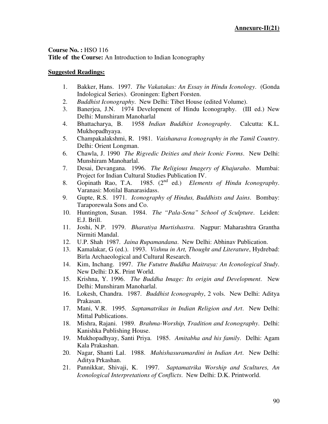# **Course No. :** HSO 116 **Title of the Course:** An Introduction to Indian Iconography

- 1. Bakker, Hans. 1997. *The Vakatakas: An Essay in Hindu Iconology*. (Gonda Indological Series). Groningen: Egbert Forsten.
- 2. *Buddhist Iconography*. New Delhi: Tibet House (edited Volume).
- 3. Banerjea, J.N. 1974 Development of Hindu Iconography. (III ed.) New Delhi: Munshiram Manoharlal
- 4. Bhattacharya, B. 1958 *Indian Buddhist Iconography*. Calcutta: K.L. Mukhopadhyaya.
- 5. Champakalakshmi, R. 1981. *Vaishanava Iconography in the Tamil Country*. Delhi: Orient Longman.
- 6. Chawla, J. 1990 *The Rigvedic Deities and their Iconic Forms*. New Delhi: Munshiram Manoharlal.
- 7. Desai, Devangana. 1996. *The Religious Imagery of Khajuraho*. Mumbai: Project for Indian Cultural Studies Publication IV.
- 8. Gopinath Rao, T.A. 1985. (2nd ed.) *Elements of Hindu Iconography*. Varanasi: Motilal Banarasidass.
- 9. Gupte, R.S. 1971. *Iconography of Hindus, Buddhists and Jains*. Bombay: Taraporewala Sons and Co.
- 10. Huntington, Susan. 1984. *The "Pala-Sena" School of Sculpture*. Leiden: E.J. Brill.
- 11. Joshi, N.P. 1979. *Bharatiya Murtishastra*. Nagpur: Maharashtra Grantha Nirmiti Mandal.
- 12. U.P. Shah 1987. *Jaina Rupamandana*. New Delhi: Abhinav Publication.
- 13. Kamalakar, G (ed.). 1993. *Vishnu in Art, Thought and Literature*, Hydrebad: Birla Archaeological and Cultural Research.
- 14. Kim, Inchang. 1997. *The Fututre Buddha Maitraya: An Iconological Study*. New Delhi: D.K. Print World.
- 15. Krishna, Y. 1996. *The Buddha Image: Its origin and Development*. New Delhi: Munshiram Manoharlal.
- 16. Lokesh, Chandra. 1987. *Buddhist Iconography*, 2 vols. New Delhi: Aditya Prakasan.
- 17. Mani, V.R. 1995. *Saptamatrikas in Indian Religion and Art*. New Delhi: Mittal Publications.
- 18. Mishra, Rajani. 1989. *Brahma-Worship, Tradition and Iconography*. Delhi: Kanishka Publishing House.
- 19. Mukhopadhyay, Santi Priya. 1985. *Amitabha and his family*. Delhi: Agam Kala Prakashan.
- 20. Nagar, Shanti Lal. 1988. *Mahishasuramardini in Indian Art*. New Delhi: Aditya Prkashan.
- 21. Pannikkar, Shivaji, K. 1997. *Saptamatrika Worship and Scultures, An Iconological Interpretations of Conflicts*. New Delhi: D.K. Printworld.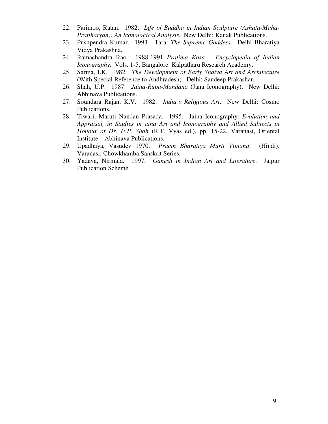- 22. Parimoo, Ratan. 1982. *Life of Buddha in Indian Sculpture (Ashata-Maha-Pratiharyan): An Iconological Analysis*. New Delhi: Kanak Publications.
- 23. Pushpendra Kumar. 1993. Tara: *The Supreme Goddess*. Delhi Bharatiya Vidya Prakashna.
- 24. Ramachandra Rao. 1988-1991 *Pratima Kosa Encyclopedia of Indian Iconography*. Vols. 1-5, Bangalore: Kalpatharu Research Academy.
- 25. Sarma, I.K. 1982. *The Development of Early Shaiva Art and Architecture* (With Special Reference to Andhradesh). Delhi: Sandeep Prakashan.
- 26. Shah, U.P. 1987. *Jaina-Rupa-Mandana* (Jana Iconography). New Delhi: Abhinava Publications.
- 27. Soundara Rajan, K.V. 1982. *India's Religious Art*. New Delhi: Cosmo Publications.
- 28. Tiwari, Maruti Nandan Prasada. 1995. Jaina Iconography: *Evolution and Appraisal, in Studies in aina Art and Iconography and Allied Subjects in Honour of Dr. U.P. Shah* (R.T. Vyas ed.), pp. 15-22, Varanasi, Oriental Institute – Abhinava Publications.
- 29. Upadhaya, Vasudev 1970. *Pracin Bharatiya Murti Vijnana*. (Hindi). Varanasi: Chowkhamba Sanskrit Series.
- 30. Yadava, Nirmala. 1997. *Ganesh in Indian Art and Literature*. Jaipur Publication Scheme.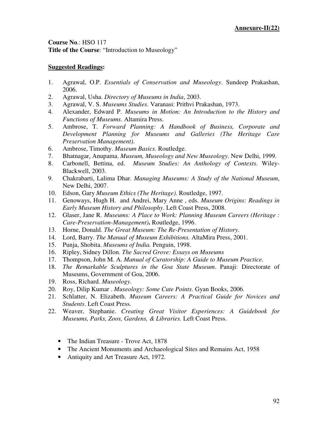**Course No**.: HSO 117 **Title of the Course**: "Introduction to Museology"

- 1. Agrawal, O.P. *Essentials of Conservation and Museology*. Sundeep Prakashan, 2006.
- 2. Agrawal, Usha. *Directory of Museums in India*, 2003.
- 3. Agrawal, V. S. *Museums Studies*. Varanasi: Prithvi Prakashan, 1973.
- 4. Alexander, Edward P. *Museums in Motion: An Introduction to the History and Functions of Museums*. Altamira Press.
- 5. Ambrose, T. *Forward Planning: A Handbook of Business, Corporate and Development Planning for Museums and Galleries (The Heritage Care Preservation Management)*.
- 6. Ambrose, Timothy. *Museum Basics*. Routledge.
- 7. Bhatnagar, Anupama. *Museum, Museology and New Museology*. New Delhi, 1999.
- 8. Carbonell, Bettina, ed. *Museum Studies: An Anthology of Contexts*. Wiley-Blackwell, 2003.
- 9. Chakrabarti, Lalima Dhar. *Managing Museums: A Study of the National Museum*, New Delhi, 2007.
- 10. Edson, Gary *Museum Ethics (The Heritage)*. Routledge, 1997.
- 11. Genoways, Hugh H. and Andrei, Mary Anne , eds. *Museum Origins: Readings in Early Museum History and Philosophy*. Left Coast Press, 2008.
- 12. Glaser, Jane R. *Museums: A Place to Work: Planning Museum Careers (Heritage : Care-Preservation-Management)***.** Routledge, 1996.
- 13. Horne, Donald. *The Great Museum: The Re-Presentation of History*.
- 14. Lord, Barry. *The Manual of Museum Exhibitions.* AltaMira Press, 2001.
- 15. Punja, Shobita. *Museums of India.* Penguin, 1998.
- 16. Ripley, Sidney Dillon. *The Sacred Grove: Essays on Museums*
- 17. Thompson, John M. A. *Manual of Curatorship: A Guide to Museum Practice*.
- 18. *The Remarkable Sculptures in the Goa State Museum*. Panaji: Directorate of Museums, Government of Goa, 2006.
- 19. Ross, Richard. *Museology*.
- 20. Roy, Dilip Kumar . *Museology: Some Cute Points*. Gyan Books, 2006.
- 21. Schlatter, N. Elizabeth. *Museum Careers: A Practical Guide for Novices and Students*. Left Coast Press.
- 22. Weaver, Stephanie. *Creating Great Visitor Experiences: A Guidebook for Museums, Parks, Zoos, Gardens, & Libraries.* Left Coast Press.
	- The Indian Treasure Trove Act, 1878
	- The Ancient Monuments and Archaeological Sites and Remains Act, 1958
	- Antiquity and Art Treasure Act, 1972.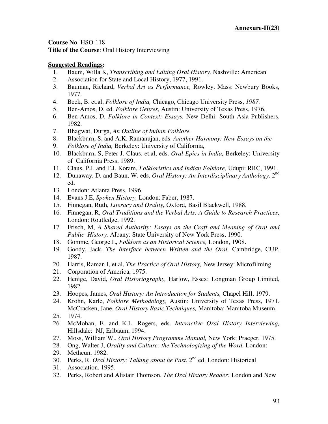**Course No**. HSO-118 **Title of the Course**: Oral History Interviewing

- 1. Baum, Willa K, *Transcribing and Editing Oral History,* Nashville: American
- 2. Association for State and Local History, 1977, 1991.
- 3. Bauman, Richard, *Verbal Art as Performance,* Rowley, Mass: Newbury Books, 1977.
- 4. Beck, B. et.al, *Folklore of India,* Chicago, Chicago University Press, *1987.*
- 5. Ben-Amos, D, ed. *Folklore Genres,* Austin: University of Texas Press, 1976.
- 6. Ben-Amos, D, *Folklore in Context: Essays,* New Delhi: South Asia Publishers, 1982.
- 7. Bhagwat, Durga, *An Outline of Indian Folklore.*
- 8. Blackburn, S. and A.K. Ramanujan, eds. *Another Harmony: New Essays on the*
- 9. *Folklore of India,* Berkeley: University of California,
- 10. Blackburn, S, Peter J. Claus, et.al, eds. *Oral Epics in India,* Berkeley: University of California Press, 1989.
- 11. Claus, P.J. and F.J. Koram, *Folkloristics and Indian Folklore,* Udupi: RRC, 1991.
- 12. Dunaway, D. and Baun, W, eds. Oral History: An Interdisciplinary Anthology, 2<sup>nd</sup> ed.
- 13. London: Atlanta Press, 1996.
- 14. Evans J.E, *Spoken History,* London: Faber, 1987.
- 15. Finnegan, Ruth, *Literacy and Orality,* Oxford, Basil Blackwell, 1988.
- 16. Finnegan, R, *Oral Traditions and the Verbal Arts: A Guide to Research Practices,*  London: Routledge, 1992.
- 17. Frisch, M, *A Shared Authority: Essays on the Craft and Meaning of Oral and Public History,* Albany: State University of New York Press, 1990.
- 18. Gomme, George L, *Folklore as an Historical Science,* London, 1908.
- 19. Goody, Jack, *The Interface between Written and the Oral,* Cambridge, CUP, 1987.
- 20. Harris, Raman I, et.al, *The Practice of Oral History,* New Jersey: Microfilming
- 21. Corporation of America, 1975.
- 22. Henige, David, *Oral Historiography,* Harlow, Essex: Longman Group Limited, 1982.
- 23. Hoopes, James, *Oral History: An Introduction for Students,* Chapel Hill, 1979.
- 24. Krohn, Karle, *Folklore Methodology,* Austin: University of Texas Press, 1971. McCracken, Jane, *Oral History Basic Techniques,* Manitoba: Manitoba Museum, 25. 1974.
- 26. McMohan, E. and K.L. Rogers, eds. *Interactive Oral History Interviewing,*  Hillsdale: NJ, Erlbaum, 1994.
- 27. Moss, William W., *Oral History Programme Manual,* New York: Praeger, 1975.
- 28. Ong, Walter J, *Orality and Culture: the Technologizing of the Word,* London:
- 29. Metheun, 1982.
- 30. Perks, R. *Oral History: Talking about he Past*. 2<sup>nd</sup> ed. London: Historical
- 31. Association, 1995.
- 32. Perks, Robert and Alistair Thomson, *The Oral History Reader:* London and New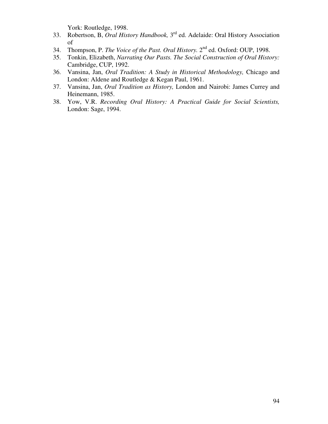York: Routledge, 1998.

- 33. Robertson, B, *Oral History Handbook,* 3 rd ed. Adelaide: Oral History Association of
- 34. Thompson, P. *The Voice of the Past. Oral History.* 2<sup>nd</sup> ed. Oxford: OUP, 1998.
- 35. Tonkin, Elizabeth, *Narrating Our Pasts. The Social Construction of Oral History:*  Cambridge, CUP, 1992.
- 36. Vansina, Jan, *Oral Tradition: A Study in Historical Methodology,* Chicago and London: Aldene and Routledge & Kegan Paul, 1961.
- 37. Vansina, Jan, *Oral Tradition as History,* London and Nairobi: James Currey and Heinemann, 1985.
- 38. Yow, V.R. *Recording Oral History: A Practical Guide for Social Scientists,*  London: Sage, 1994.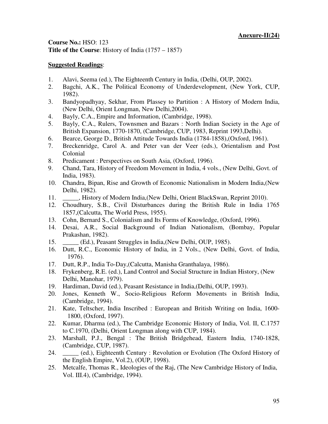**Course No.:** HSO: 123 **Title of the Course**: History of India (1757 – 1857)

- 1. Alavi, Seema (ed.), The Eighteenth Century in India, (Delhi, OUP, 2002).
- 2. Bagchi, A.K., The Political Economy of Underdevelopment, (New York, CUP, 1982).
- 3. Bandyopadhyay, Sekhar, From Plassey to Partition : A History of Modern India, (New Delhi, Orient Longman, New Delhi,2004).
- 4. Bayly, C.A., Empire and Information, (Cambridge, 1998).
- 5. Bayly, C.A., Rulers, Townsmen and Bazars : North Indian Society in the Age of British Expansion, 1770-1870, (Cambridge, CUP, 1983, Reprint 1993,Delhi).
- 6. Bearce, George D., British Attitude Towards India (1784-1858),(Oxford, 1961).
- 7. Breckenridge, Carol A. and Peter van der Veer (eds.), Orientalism and Post Colonial
- 8. Predicament : Perspectives on South Asia, (Oxford, 1996).
- 9. Chand, Tara, History of Freedom Movement in India, 4 vols., (New Delhi, Govt. of India, 1983).
- 10. Chandra, Bipan, Rise and Growth of Economic Nationalism in Modern India,(New Delhi, 1982).
- 11. \_\_\_\_\_, History of Modern India,(New Delhi, Orient BlackSwan, Reprint 2010).
- 12. Choudhury, S.B., Civil Disturbances during the British Rule in India 1765 1857,(Calcutta, The World Press, 1955).
- 13. Cohn, Bernard S., Colonialism and Its Forms of Knowledge, (Oxford, 1996).
- 14. Desai, A.R., Social Background of Indian Nationalism, (Bombay, Popular Prakashan, 1982).
- 15. \_\_\_\_\_ (Ed.), Peasant Struggles in India,(New Delhi, OUP, 1985).
- 16. Dutt, R.C., Economic History of India, in 2 Vols., (New Delhi, Govt. of India, 1976).
- 17. Dutt, R.P., India To-Day,(Calcutta, Manisha Granthalaya, 1986).
- 18. Frykenberg, R.E. (ed.), Land Control and Social Structure in Indian History, (New Delhi, Manohar, 1979).
- 19. Hardiman, David (ed.), Peasant Resistance in India,(Delhi, OUP, 1993).
- 20. Jones, Kenneth W., Socio-Religious Reform Movements in British India, (Cambridge, 1994).
- 21. Kate, Teltscher, India Inscribed : European and British Writing on India, 1600- 1800, (Oxford, 1997).
- 22. Kumar, Dharma (ed.), The Cambridge Economic History of India, Vol. II, C.1757 to C.1970, (Delhi, Orient Longman along with CUP, 1984).
- 23. Marshall, P.J., Bengal : The British Bridgehead, Eastern India, 1740-1828, (Cambridge, CUP, 1987).
- 24. \_\_\_\_\_ (ed.), Eighteenth Century : Revolution or Evolution (The Oxford History of the English Empire, Vol.2), (OUP, 1998).
- 25. Metcalfe, Thomas R., Ideologies of the Raj, (The New Cambridge History of India, Vol. III.4), (Cambridge, 1994).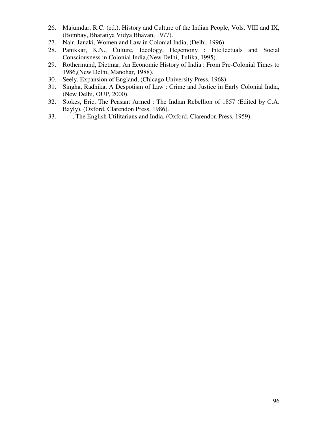- 26. Majumdar, R.C. (ed.), History and Culture of the Indian People, Vols. VIII and IX, (Bombay, Bharatiya Vidya Bhavan, 1977).
- 27. Nair, Janaki, Women and Law in Colonial India, (Delhi, 1996).
- 28. Panikkar, K.N., Culture, Ideology, Hegemony : Intellectuals and Social Consciousness in Colonial India,(New Delhi, Tulika, 1995).
- 29. Rothermund, Dietmar, An Economic History of India : From Pre-Colonial Times to 1986,(New Delhi, Manohar, 1988).
- 30. Seely, Expansion of England, (Chicago University Press, 1968).
- 31. Singha, Radhika, A Despotism of Law : Crime and Justice in Early Colonial India, (New Delhi, OUP, 2000).
- 32. Stokes, Eric, The Peasant Armed : The Indian Rebellion of 1857 (Edited by C.A. Bayly), (Oxford, Clarendon Press, 1986).
- 33. \_\_\_, The English Utilitarians and India, (Oxford, Clarendon Press, 1959).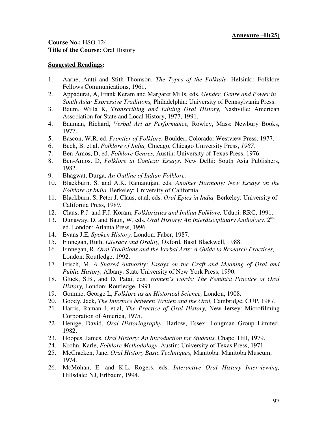**Course No.:** HSO-124 **Title of the Course:** Oral History

- 1. Aarne, Antti and Stith Thomson, *The Types of the Folktale,* Helsinki: Folklore Fellows Communications, 1961.
- 2. Appadurai, A, Frank Keram and Margaret Mills, eds. *Gender, Genre and Power in South Asia: Expressive Traditions,* Philadelphia: University of Pennsylvania Press.
- 3. Baum, Willa K, *Transcribing and Editing Oral History,* Nashville: American Association for State and Local History, 1977, 1991.
- 4. Bauman, Richard, *Verbal Art as Performance,* Rowley, Mass: Newbury Books, 1977.
- 5. Bascon, W.R. ed. *Frontier of Folklore,* Boulder, Colorado: Westview Press, 1977.
- 6. Beck, B. et.al, *Folklore of India,* Chicago, Chicago University Press, *1987.*
- 7. Ben-Amos, D, ed. *Folklore Genres,* Austin: University of Texas Press, 1976.
- 8. Ben-Amos, D, *Folklore in Context: Essays,* New Delhi: South Asia Publishers, 1982.
- 9. Bhagwat, Durga, *An Outline of Indian Folklore.*
- 10. Blackburn, S. and A.K. Ramanujan, eds. *Another Harmony: New Essays on the Folklore of India,* Berkeley: University of California,
- 11. Blackburn, S, Peter J. Claus, et.al, eds. *Oral Epics in India,* Berkeley: University of California Press, 1989.
- 12. Claus, P.J. and F.J. Koram, *Folkloristics and Indian Folklore,* Udupi: RRC, 1991.
- 13. Dunaway, D. and Baun, W, eds. Oral History: An Interdisciplinary Anthology, 2<sup>nd</sup> ed. London: Atlanta Press, 1996.
- 14. Evans J.E, *Spoken History,* London: Faber, 1987.
- 15. Finnegan, Ruth, *Literacy and Orality,* Oxford, Basil Blackwell, 1988.
- 16. Finnegan, R, *Oral Traditions and the Verbal Arts: A Guide to Research Practices,*  London: Routledge, 1992.
- 17. Frisch, M, *A Shared Authority: Essays on the Craft and Meaning of Oral and Public History,* Albany: State University of New York Press, 1990.
- 18. Gluck, S.B., and D. Patai, eds. *Women's words: The Feminist Practice of Oral History,* London: Routledge, 1991.
- 19. Gomme, George L, *Folklore as an Historical Science,* London, 1908.
- 20. Goody, Jack, *The Interface between Written and the Oral,* Cambridge, CUP, 1987.
- 21. Harris, Raman I, et.al, *The Practice of Oral History,* New Jersey: Microfilming Corporation of America, 1975.
- 22. Henige, David, *Oral Historiography,* Harlow, Essex: Longman Group Limited, 1982.
- 23. Hoopes, James, *Oral History: An Introduction for Students,* Chapel Hill, 1979.
- 24. Krohn, Karle, *Folklore Methodology,* Austin: University of Texas Press, 1971.
- 25. McCracken, Jane, *Oral History Basic Techniques,* Manitoba: Manitoba Museum, 1974.
- 26. McMohan, E. and K.L. Rogers, eds. *Interactive Oral History Interviewing,*  Hillsdale: NJ, Erlbaum, 1994.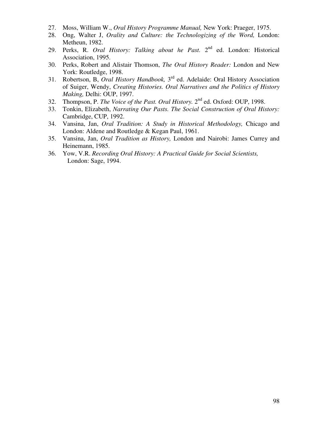- 27. Moss, William W., *Oral History Programme Manual,* New York: Praeger, 1975.
- 28. Ong, Walter J, *Orality and Culture: the Technologizing of the Word,* London: Metheun, 1982.
- 29. Perks, R. *Oral History: Talking about he Past*. 2<sup>nd</sup> ed. London: Historical Association, 1995.
- 30. Perks, Robert and Alistair Thomson, *The Oral History Reader:* London and New York: Routledge, 1998.
- 31. Robertson, B, *Oral History Handbook,* 3 rd ed. Adelaide: Oral History Association of Suiger, Wendy, *Creating Histories. Oral Narratives and the Politics of History Making,* Delhi: OUP, 1997.
- 32. Thompson, P. *The Voice of the Past. Oral History.* 2<sup>nd</sup> ed. Oxford: OUP, 1998.
- 33. Tonkin, Elizabeth, *Narrating Our Pasts. The Social Construction of Oral History:*  Cambridge, CUP, 1992.
- 34. Vansina, Jan, *Oral Tradition: A Study in Historical Methodology,* Chicago and London: Aldene and Routledge & Kegan Paul, 1961.
- 35. Vansina, Jan, *Oral Tradition as History,* London and Nairobi: James Currey and Heinemann, 1985.
- 36. Yow, V.R. *Recording Oral History: A Practical Guide for Social Scientists,*  London: Sage, 1994.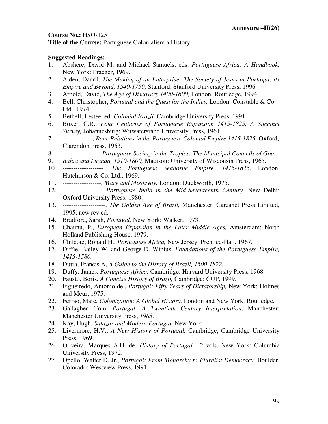**Title of the Course:** Portuguese Colonialism a History

- 1. Abshere, David M. and Michael Samuels, eds. *Portuguese Africa: A Handbook,*  New York: Praeger, 1969.
- 2. Alden, Dauril, *The Making of an Enterprise: The Society of Jesus in Portugal, its Empire and Beyond, 1540-1750,* Stanford, Stanford University Press, 1996.
- 3. Arnold, David, *The Age of Discovery 1400-1600,* London: Routledge, 1994.
- 4. Bell, Christopher, *Portugal and the Quest for the Indies,* London: Constable & Co. Ltd., 1974.
- 5. Bethell, Lestee, ed. *Colonial Brazil,* Cambridge University Press, 1991.
- 6. Boxer, C.R., *Four Centuries of Portuguese Expansion 1415-1825, A Succinct Survey,* Johannesburg: Witwatersrand University Press, 1961.
- 7. --------------, *Race Relations in the Portuguese Colonial Empire 1415-1825,* Oxford, Clarendon Press, 1963.
- 8. -----------------, *Portuguese Society in the Tropics: The Municipal Councils of Goa,*
- 9. *Bahia and Luanda, 1510-1800,* Madison: University of Wisconsin Press, 1965.
- 10. -------------------, *The Portuguese Seaborne Empire, 1415-1825*, London, Hutchinson & Co. Ltd., 1969.
- 11. ------------------, *Mary and Misogyny,* London: Duckworth, 1975.
- 12. ------------------, *Portuguese India in the Mid-Seventeenth Century,* New Delhi: Oxford University Press, 1980.
- 13. --------------------, *The Golden Age of Brazil,* Manchester: Carcanet Press Limited, 1995, new rev.ed.
- 14. Bradford, Sarah, *Portugal,* New York: Walker, 1973.
- 15. Chaunu, P., *European Expansion in the Later Middle Ages,* Amsterdam: North Holland Publishing House, 1979.
- 16. Chilcote, Ronald H., *Portuguese Africa,* New Jersey: Prentice-Hall, 1967.
- 17. Diffie, Bailey W. and George D. Winius, *Foundations of the Portuguese Empire, 1415-1580.*
- 18. Dutra, Francis A, *A Guide to the History of Brazil, 1500-1822.*
- 19. Duffy, James, *Portuguese Africa,* Cambridge: Harvard University Press, 1968.
- 20. Fausto, Boris, *A Concise History of Brazil,* Cambridge: CUP, 1999.
- 21. Figueiredo, Antonio de., *Portugal: Fifty Years of Dictatorship,* New York: Holmes and Meur, 1975.
- 22. Ferrao, Marc, *Colonization: A Global History,* London and New York: Routledge.
- 23. Gallagher, Tom, *Portugal: A Twentieth Century Interpretation,* Manchester: Manchester University Press, *1983.*
- 24. Kay, Hugh, *Salazar and Modern Portugal,* New York.
- 25. Livermore, H.V., *A New History of Portugal,* Cambridge, Cambridge University Press, 1969.
- 26. Oliveira, Marques A.H. de. *History of Portugal ,* 2 vols. New York: Columbia University Press, 1972.
- 27. Opello, Walter D. Jr., *Portugal: From Monarchy to Pluralist Democracy,* Boulder, Colorado: Westview Press, 1991.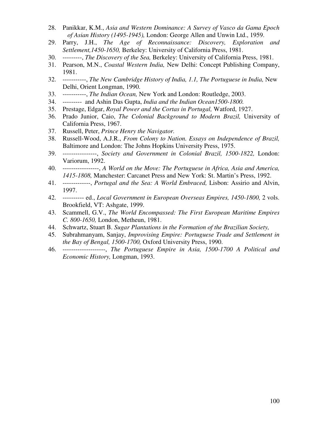- 28. Panikkar, K.M., *Asia and Western Dominance: A Survey of Vasco da Gama Epoch of Asian History (1495-1945),* London: George Allen and Unwin Ltd., 1959.
- 29. Parry, J.H., *The Age of Reconnaissance: Discovery, Exploration and Settlement,1450-1650,* Berkeley: University of California Press, 1981.
- 30. ---------, *The Discovery of the Sea,* Berkeley: University of California Press, 1981.
- 31. Pearson, M.N., *Coastal Western India,* New Delhi: Concept Publishing Company, 1981.
- 32. -----------, *The New Cambridge History of India, 1.1, The Portuguese in India,* New Delhi, Orient Longman, 1990.
- 33. -----------, *The Indian Ocean,* New York and London: Routledge, 2003.
- 34. --------- and Ashin Das Gupta, *India and the Indian Ocean1500-1800.*
- 35. Prestage, Edgar, *Royal Power and the Cortas in Portugal,* Watford, 1927.
- 36. Prado Junior, Caio, *The Colonial Background to Modern Brazil,* University of California Press, 1967.
- 37. Russell, Peter, *Prince Henry the Navigator.*
- 38. Russell-Wood, A.J.R., *From Colony to Nation. Essays on Independence of Brazil,*  Baltimore and London: The Johns Hopkins University Press, 1975.
- 39. ----------------, *Society and Government in Colonial Brazil, 1500-1822,* London: Variorum, 1992.
- 40. -----------------, *A World on the Move: The Portuguese in Africa, Asia and America, 1415-1808,* Manchester: Carcanet Press and New York: St. Martin's Press, 1992.
- 41. -------------, *Portugal and the Sea: A World Embraced,* Lisbon: Assirio and Alvin, 1997.
- 42. ---------- ed., *Local Government in European Overseas Empires, 1450-1800,* 2 vols. Brookfield, VT: Ashgate, 1999.
- 43. Scammell, G.V., *The World Encompassed: The First European Maritime Empires C. 800-1650,* London, Metheun, 1981.
- 44. Schwartz, Stuart B. *Sugar Plantations in the Formation of the Brazilian Society,*
- 45. Subrahmanyam, Sanjay, *Improvising Empire: Portuguese Trade and Settlement in the Bay of Bengal, 1500-1700,* Oxford University Press, 1990.
- 46. --------------------, *The Portuguese Empire in Asia, 1500-1700 A Political and Economic History,* Longman, 1993.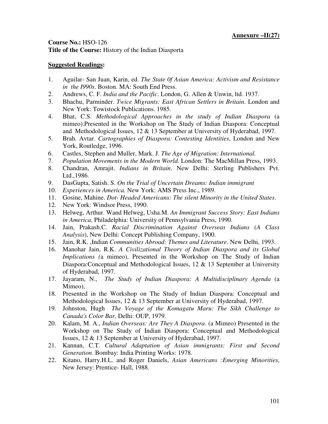# **Course No.:** HSO-126 **Title of the Course:** History of the Indian Diasporta

- 1. Aguilar- San Juan, Karin, ed. *The State 0f Asian America: Activism and Resistance in the I990s*. Boston. MA: South End Press.
- 2. Andrews, C. F. *India and the Pacific*. London, G. Allen & Unwin, ltd. 1937.
- 3. Bhachu, Parminder. *Twice Migrants: East African Settlers in Britain*. London and New York: Towistock Publications. 1985.
- 4. Bhat, C.S. *Methodological Approaches in the study of Indian Diaspora* (a mimeo).Presented in the Workshop on The Study of Indian Diaspora: Conceptual and Methodological Issues, 12 & 13 September at University of Hyderabad, 1997.
- 5. Brah. Avtar. *Cartographies of Diaspora: Contesting Identities*, London and New York, Routledge, 1996.
- 6. Castles, Stephen and Muller, Mark. J. *The Age of Migration: International.*
- 7. *Population Movements in the Modern World.* London: The MacMillan Press, 1993.
- 8. Chandran, Amrajit. *Indians in Britain*. New Delhi: Sterling Publishers Pvt. Ltd.,1986.
- 9. DasGupta, Satish. S. *On the Trial of Uncertain Dreams: Indian immigrant*
- 10. *Experiences in America.* New York: AMS Press Inc., 1989.
- 11. Gosine, Mahine. *Dot- Headed Americans: The silent Minority in the United States*.
- 12. New York: Windsor Press, 1990.
- 13. Helweg, Arthur. Wand Helweg, Usha.M. *An Immigrant Success Story: East Indians in America,* Philadelphia: University of Pennsylvania Press, 1990.
- 14. Jain, Prakash.C. *Racial Discrimination Against Overseas Indians* (*A Class Analysis*), New Delhi: Concept Publishing Company, 1900.
- 15. Jain, R.K. ,Indian *Communities Abroad: Themes and Literature*. New Delhi, 1993.
- 16. Manohar Jain, R.K. *A Civilizational Theory of Indian Diaspora and its Global Implications (*a mimeo), Presented in the Workshop on The Study of Indian Diaspora:Conceptual and Methodological Issues, 12 & 13 September at University of Hyderabad, 1997.
- 17. Jayaram, N., *The Study of Indian Diaspora: A Multidisciplinary Agenda* (a Mimeo),
- 18. Presented in the Workshop on The Study of Indian Diaspora: Conceptual and Methodological Issues, 12 & 13 September at University of Hyderabad, 1997.
- 19. Johnston, Hugh *The Voyage of the Komagatu Maru: The Sikh Challenge to Canada's Color Bar,* Delhi: OUP, 1979.
- 20. Kalam, M. A., *Indian Overseas: Are They A Diaspora*. (a Mimeo) Presented in the Workshop on The Study of Indian Diaspora: Conceptual and Methodological Issues, 12 & 13 September at University of Hyderabad, 1997.
- 21. Kannan, C.T. *Cultural Adaptation of Asian immigrants: First and Second Generation*. Bombay: India Printing Works: 1978.
- 22. Kitano, Harry.H.L. and Roger Daniels, *Asian Americans :Emerging Minorities*, New Jersey: Prentice- Hall, 1988.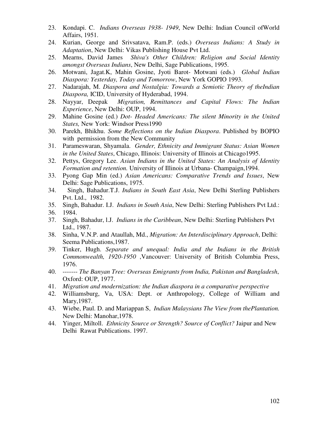- 23. Kondapi. C. *Indians Overseas 1938- 1949*, New Delhi: Indian Council ofWorld Affairs, 1951.
- 24. Kurian, George and Srivsatava, Ram.P. (eds.) *Overseas Indians: A Study in Adaptation*, New Delhi: Vikas Publishing House Pvt Ltd.
- 25. Mearns, David James *Shiva's Other Children: Religion and Social Identity amongst Overseas Indians*, New Delhi, Sage Publications, 1995.
- 26. Motwani, Jagat.K, Mahin Gosine, Jyoti Barot- Motwani (eds.) *Global Indian Diaspora: Yesterday, Today and Tomorrow*, New York GOPIO 1993.
- 27. Nadarajah, M. *Diaspora and Nostalgia: Towards a Semiotic Theory of theIndian Diaspora,* ICID, University of Hyderabad, 1994.
- 28. Nayyar, Deepak *Migration, Remittances and Capital Flows: The Indian Experience*, New Delhi: OUP, 1994.
- 29. Mahine Gosine (ed.) *Dot- Headed Americans: The silent Minority in the United States,* New York: Windsor Press1990
- 30. Parekh, Bhikhu. *Some Reflections on the Indian Diaspora*. Published by BOPIO with permission from the New Community
- 31. Parameswaran, Shyamala. *Gender, Ethnicity and Immigrant Status: Asian Women in the United States*, Chicago, Illinois: University of Illinois at Chicago1995.
- 32. Pettys, Gregory Lee. *Asian Indians in the United States: An Analysis of Identity Formation and retention.* University of Illinois at Urbana- Champaign,1994.
- 33. Pyong Gap Min (ed.) *Asian Americans: Comparative Trends and Issues*, New Delhi: Sage Publications, 1975.
- 34. Singh, Bahadur.T.J. *Indians in South East Asia*, New Delhi Sterling Publishers Pvt. Ltd., 1982.
- 35. Singh, Bahadur. I.J. *Indians in South Asia*, New Delhi: Sterling Publishers Pvt Ltd.:
- 36. 1984.
- 37. Singh, Bahadur, l.J. *Indians in the Caribbean*, New Delhi: Sterling Publishers Pvt Ltd., 1987.
- 38. Sinha, V.N.P. and Ataullah, Md., *Migration: An Interdisciplinary Approach*, Delhi: Seema Publications,1987.
- 39. Tinker, Hugh. *Separate and unequal: India and the Indians in the British Commonwealth, 1920-1950* ,Vancouver: University of British Columbia Press, 1976.
- 40. ------- *The Banyan Tree: Overseas Emigrants from India, Pakistan and Bangladesh*, Oxford: OUP, 1977.
- 41. *Migration and modernization: the Indian diaspora in a comparative perspective*
- 42. Williamsburg, Va, USA: Dept. or Anthropology, College of William and Mary,1987.
- 43. Wiebe, Paul. D. and Mariappan S, *Indian Malaysians The View from thePlantation.*  New Delhi: Manohar,1978.
- 44. Yinger, Miltoll. *Ethnicity Source or Strength? Source of Conflict?* Jaipur and New Delhi Rawat Publications. 1997.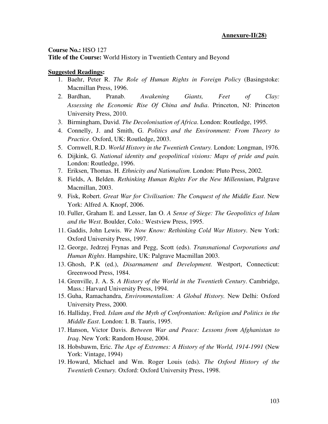#### **Course No.:** HSO 127 **Title of the Course:** World History in Twentieth Century and Beyond

- 1. Baehr, Peter R. *The Role of Human Rights in Foreign Policy* (Basingstoke: Macmillan Press, 1996.
- 2. Bardhan, Pranab. *Awakening Giants, Feet of Clay: Assessing the Economic Rise Of China and India*. Princeton, NJ: Princeton University Press, 2010.
- 3. Birmingham, David. *The Decolonisation of Africa*. London: Routledge, 1995.
- 4. Connelly, J. and Smith, G. *Politics and the Environment: From Theory to Practice*. Oxford, UK: Routledge, 2003.
- 5. Cornwell, R.D. *World History in the Twentieth Century.* London: Longman, 1976.
- 6. Dijkink, G. *National identity and geopolitical visions: Maps of pride and pain.* London: Routledge, 1996.
- 7. Eriksen, Thomas. H. *Ethnicity and Nationalism*. London: Pluto Press, 2002.
- 8. Fields, A. Belden. *Rethinking Human Rights For the New Millennium*, Palgrave Macmillan, 2003.
- 9. Fisk, Robert. *Great War for Civilisation: The Conquest of the Middle East*. New York: Alfred A. Knopf, 2006.
- 10. Fuller, Graham E. and Lesser, Ian O. *A Sense of Siege: The Geopolitics of Islam and the West*. Boulder, Colo.: Westview Press, 1995.
- 11. Gaddis, John Lewis. *We Now Know: Rethinking Cold War History*. New York: Oxford University Press, 1997.
- 12. George, Jedrzej Frynas and Pegg, Scott (eds). *Transnational Corporations and Human Rights*. Hampshire, UK: Palgrave Macmillan 2003.
- 13. Ghosh, P.K (ed.), *Disarmament and Development.* Westport, Connecticut: Greenwood Press, 1984.
- 14. Grenville, J. A. S. *A History of the World in the Twentieth Century*. Cambridge, Mass.: Harvard University Press, 1994.
- 15. Guha, Ramachandra, *Environmentalism: A Global History.* New Delhi: Oxford University Press, 2000.
- 16. Halliday, Fred. *Islam and the Myth of Confrontation: Religion and Politics in the Middle East*. London: I. B. Tauris, 1995.
- 17. Hanson, Victor Davis. *Between War and Peace: Lessons from Afghanistan to Iraq*. New York: Random House, 2004.
- 18. Hobsbawm, Eric. *The Age of Extremes: A History of the World, 1914-1991* (New York: Vintage, 1994)
- 19. Howard, Michael and Wm. Roger Louis (eds). *The Oxford History of the Twentieth Century.* Oxford: Oxford University Press, 1998.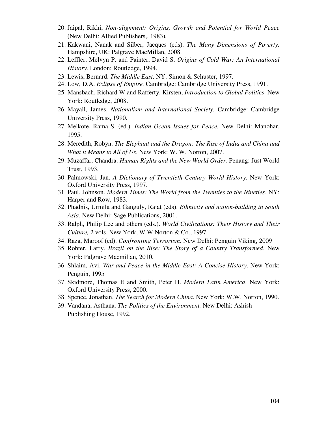- 20. Jaipal, Rikhi, *Non-alignment: Origins, Growth and Potential for World Peace*  (New Delhi: Allied Publishers,. 1983)*.*
- 21. Kakwani, Nanak and Silber, Jacques (eds). *The Many Dimensions of Poverty*. Hampshire, UK: Palgrave MacMillan, 2008.
- 22. Leffler, Melvyn P. and Painter, David S. *Origins of Cold War: An International History.* London: Routledge, 1994.
- 23. Lewis, Bernard. *The Middle East*. NY: Simon & Schuster, 1997.
- 24. Low, D.A. *Eclipse of Empire.* Cambridge: Cambridge University Press, 1991.
- 25. Mansbach, Richard W and Rafferty, Kirsten, *Introduction to Global Politics*. New York: Routledge, 2008.
- 26. Mayall, James, *Nationalism and International Society.* Cambridge: Cambridge University Press, 1990.
- 27. Melkote, Rama S. (ed.). *Indian Ocean Issues for Peace.* New Delhi: Manohar, 1995.
- 28. Meredith, Robyn. *The Elephant and the Dragon: The Rise of India and China and What it Means to All of Us*. New York: W. W. Norton, 2007.
- 29. Muzaffar, Chandra. *Human Rights and the New World Order.* Penang: Just World Trust, 1993.
- 30. Palmowski, Jan. *A Dictionary of Twentieth Century World History*. New York: Oxford University Press, 1997.
- 31. Paul, Johnson. *Modern Times: The World from the Twenties to the Nineties*. NY: Harper and Row, 1983.
- 32. Phadnis, Urmila and Ganguly, Rajat (eds). *Ethnicity and nation-building in South Asia*. New Delhi: Sage Publications, 2001.
- 33. Ralph, Philip Lee and others (eds.). *World Civilizations: Their History and Their Culture,* 2 vols. New York, W.W.Norton & Co., 1997.
- 34. Raza, Maroof (ed). *Confronting Terrorism*. New Delhi: Penguin Viking, 2009
- 35. Rohter, Larry. *Brazil on the Rise: The Story of a Country Transformed*. New York: Palgrave Macmillan, 2010.
- 36. Shlaim, Avi. *War and Peace in the Middle East: A Concise History*. New York: Penguin, 1995
- 37. Skidmore, Thomas E and Smith, Peter H. *Modern Latin America*. New York: Oxford University Press, 2000.
- 38. Spence, Jonathan. *The Search for Modern China*. New York: W.W. Norton, 1990.
- 39. Vandana, Asthana. *The Politics of the Environment.* New Delhi: Ashish Publishing House, 1992.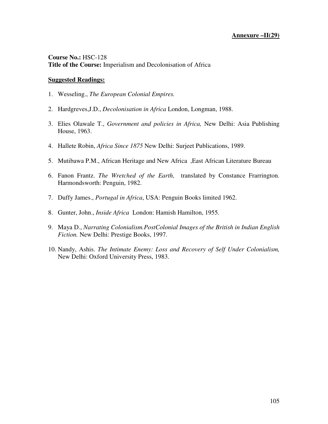**Course No.:** HSC-128 **Title of the Course:** Imperialism and Decolonisation of Africa

- 1. Wesseling., *The European Colonial Empires.*
- 2. Hardgreves,J.D., *Decolonisation in Africa* London, Longman, 1988.
- 3. Elies Olawale T., *Government and policies in Africa,* New Delhi: Asia Publishing House, 1963.
- 4. Hallete Robin, *Africa Since 1875* New Delhi: Surjeet Publications, 1989.
- 5. Mutibawa P.M., African Heritage and New Africa ,East African Literature Bureau
- 6. Fanon Frantz. *The Wretched of the Earth,* translated by Constance Frarrington. Harmondsworth: Penguin, 1982.
- 7. Duffy James., *Portugal in Africa*, USA: Penguin Books limited 1962.
- 8. Gunter, John., *Inside Africa* London: Hamish Hamilton, 1955.
- 9. Maya D., *Narrating Colonialism.PostColonial Images of the British in Indian English Fiction.* New Delhi: Prestige Books, 1997.
- 10. Nandy, Ashis. *The Intimate Enemy: Loss and Recovery of Self Under Colonialism,* New Delhi: Oxford University Press, 1983.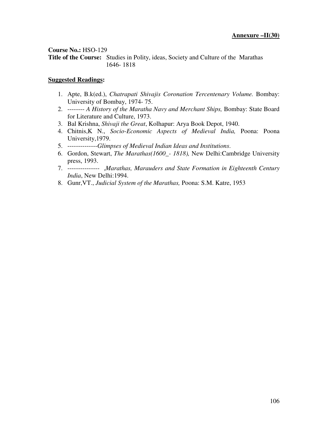**Title of the Course:** Studies in Polity, ideas, Society and Culture of the Marathas 1646- 1818

- 1. Apte, B.k(ed.), *Chatrapati Shivajis Coronation Tercentenary Volume.* Bombay: University of Bombay, 1974- 75.
- 2. -------- *A History of the Maratha Navy and Merchant Ships,* Bombay: State Board for Literature and Culture, 1973.
- 3. Bal Krishna, *Shivaji the Great*, Kolhapur: Arya Book Depot, 1940.
- 4. Chitnis,K N., *Socio-Economic Aspects of Medieval India,* Poona: Poona University,1979.
- 5. --------------*Glimpses of Medieval Indian Ideas and Institutions*.
- 6. Gordon, Stewart, *The Marathas(1600\_- 1818),* New Delhi:Cambridge University press, 1993.
- 7. --------------- ,*Marathas, Marauders and State Formation in Eighteenth Century India*, New Delhi:1994.
- 8. Gunr,VT., *Judicial System of the Marathas,* Poona: S.M. Katre, 1953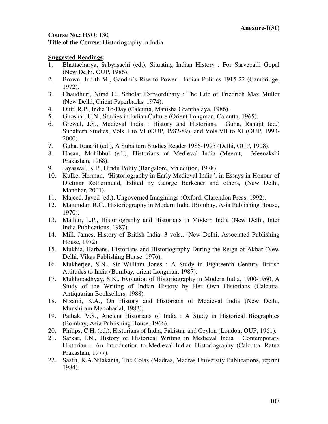**Title of the Course**: Historiography in India

- 1. Bhattacharya, Sabyasachi (ed.), Situating Indian History : For Sarvepalli Gopal (New Delhi, OUP, 1986).
- 2. Brown, Judith M., Gandhi's Rise to Power : Indian Politics 1915-22 (Cambridge, 1972).
- 3. Chaudhuri, Nirad C., Scholar Extraordinary : The Life of Friedrich Max Muller (New Delhi, Orient Paperbacks, 1974).
- 4. Dutt, R.P., India To-Day (Calcutta, Manisha Granthalaya, 1986).
- 5. Ghoshal, U.N., Studies in Indian Culture (Orient Longman, Calcutta, 1965).
- 6. Grewal, J.S., Medieval India : History and Historians. Guha, Ranajit (ed.) Subaltern Studies, Vols. I to VI (OUP, 1982-89), and Vols.VII to XI (OUP, 1993- 2000).
- 7. Guha, Ranajit (ed.), A Subaltern Studies Reader 1986-1995 (Delhi, OUP, 1998).
- 8. Hasan, Mohibbul (ed.), Historians of Medieval India (Meerut, Meenakshi Prakashan, 1968).
- 9. Jayaswal, K.P., Hindu Polity (Bangalore, 5th edition, 1978).
- 10. Kulke, Herman, "Historiography in Early Medieval India", in Essays in Honour of Dietmar Rothermund, Edited by George Berkener and others, (New Delhi, Manohar, 2001).
- 11. Majeed, Javed (ed.), Ungoverned Imaginings (Oxford, Clarendon Press, 1992).
- 12. Majumdar, R.C., Historiography in Modern India (Bombay, Asia Publishing House, 1970).
- 13. Mathur, L.P., Historiography and Historians in Modern India (New Delhi, Inter India Publications, 1987).
- 14. Mill, James, History of British India, 3 vols., (New Delhi, Associated Publishing House, 1972).
- 15. Mukhia, Harbans, Historians and Historiography During the Reign of Akbar (New Delhi, Vikas Publishing House, 1976).
- 16. Mukherjee, S.N., Sir William Jones : A Study in Eighteenth Century British Attitudes to India (Bombay, orient Longman, 1987).
- 17. Mukhopadhyay, S.K., Evolution of Historiography in Modern India, 1900-1960, A Study of the Writing of Indian History by Her Own Historians (Calcutta, Antiquarian Booksellers, 1988).
- 18. Nizami, K.A., On History and Historians of Medieval India (New Delhi, Munshiram Manoharlal, 1983).
- 19. Pathak, V.S., Ancient Historians of India : A Study in Historical Biographies (Bombay, Asia Publishing House, 1966).
- 20. Philips, C.H. (ed.), Historians of India, Pakistan and Ceylon (London, OUP, 1961).
- 21. Sarkar, J.N., History of Historical Writing in Medieval India : Contemporary Historian – An Introduction to Medieval Indian Historiography (Calcutta, Ratna Prakashan, 1977).
- 22. Sastri, K.A.Nilakanta, The Colas (Madras, Madras University Publications, reprint 1984).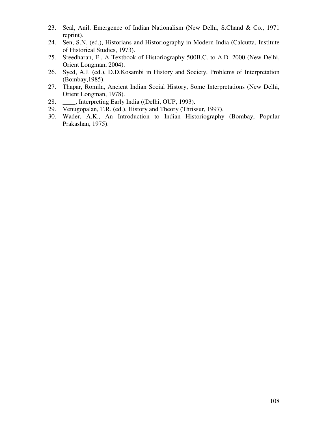- 23. Seal, Anil, Emergence of Indian Nationalism (New Delhi, S.Chand & Co., 1971 reprint).
- 24. Sen, S.N. (ed.), Historians and Historiography in Modern India (Calcutta, Institute of Historical Studies, 1973).
- 25. Sreedharan, E., A Textbook of Historiography 500B.C. to A.D. 2000 (New Delhi, Orient Longman, 2004).
- 26. Syed, A.J. (ed.), D.D.Kosambi in History and Society, Problems of Interpretation (Bombay,1985).
- 27. Thapar, Romila, Ancient Indian Social History, Some Interpretations (New Delhi, Orient Longman, 1978).
- 28. \_\_\_\_, Interpreting Early India ((Delhi, OUP, 1993).
- 29. Venugopalan, T.R. (ed.), History and Theory (Thrissur, 1997).
- 30. Wader, A.K., An Introduction to Indian Historiography (Bombay, Popular Prakashan, 1975).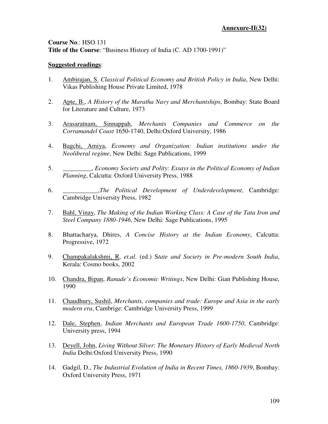**Course No**.: HSO 131 **Title of the Course**: "Business History of India (C*.* AD 1700-1991)"

## **Suggested readings**:

- 1. Ambirajan, S. *Classical Political Economy and British Policy in India*, New Delhi: Vikas Publishing House Private Limited, 1978
- 2. Apte, B., *A History of the Maratha Navy and Merchantships*, Bombay: State Board for Literature and Culture, 1973
- 3. Arasaratnam, Sinnappah, *Merchants Companies and Commerce on the Corramandel Coast* 1650-1740, Delhi:Oxford University, 1986
- 4. Bagchi, Amiya, *Economy and Organization: Indian institutions under the Neoliberal regime*, New Delhi: Sage Publications, 1999
- 5. \_\_\_\_\_\_\_\_\_, *Economy Society and Polity: Essays in the Political Economy of Indian Planning*, Calcutta: Oxford University Press, 1988
- 6. \_\_\_\_\_\_\_\_\_\_\_,*The Political Development of Underdevelopment*, Cambridge: Cambridge University Press, 1982
- 7. Bahl, Vinay, *The Making of the Indian Working Class: A Case of the Tata Iron and Steel Company 1880-1946*, New Delhi: Sage Publications, 1995
- 8. Bhattacharya, Dhires, *A Concise History at the Indian Economy*, Calcutta: Progressive, 1972
- 9. Champakalakshmi, R, *et.al*. (ed.) S*tate and Society in Pre-modern South India*, Kerala: Cosmo books, 2002
- 10. Chandra, Bipan, *Ranade's Economic Writings*, New Delhi: Gian Publishing House, 1990
- 11. Chaudhury, Sushil, *Merchants, companies and trade: Europe and Asia in the early modern era*, Cambrige: Cambridge University Press, 1999
- 12. Dale, Stephen, *Indian Merchants and European Trade 1600-1750*, Cambridge: University press, 1994
- 13. Deyell, John, *Living Without Silver*: *The Monetary History of Early Medieval North India* Delhi:Oxford University Press, 1990
- 14. Gadgil, D., *The Industrial Evolution of India in Recent Times, 1860-1939*, Bombay: Oxford University Press, 1971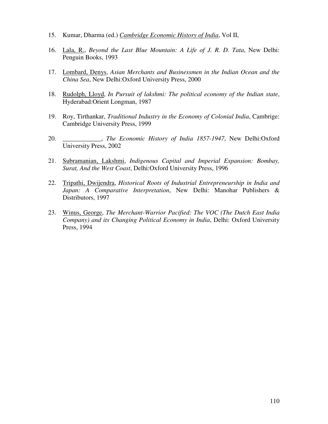- 15. Kumar, Dharma (ed.) *Cambridge Economic History of India*, Vol II,
- 16. Lala, R., *Beyond the Last Blue Mountain: A Life of J. R. D. Tata*, New Delhi: Penguin Books, 1993
- 17. Lombard, Denys, *Asian Merchants and Businessmen in the Indian Ocean and the China Sea*, New Delhi:Oxford University Press, 2000
- 18. Rudolph, Lloyd, *In Pursuit of lakshmi: The political economy of the Indian state*, Hyderabad:Orient Longman, 1987
- 19. Roy, Tirthankar, *Traditional Industry in the Economy of Colonial India*, Cambrige: Cambridge University Press, 1999
- 20. \_\_\_\_\_\_\_\_\_\_\_\_, *The Economic History of India 1857-1947*, New Delhi:Oxford University Press, 2002
- 21. Subramanian, Lakshmi, *Indigenous Capital and Imperial Expansion: Bombay, Surat, And the West Coast*, Delhi:Oxford University Press, 1996
- 22. Tripathi, Dwijendra, *Historical Roots of Industrial Entrepreneurship in India and Japan: A Comparative Interpretation*, New Delhi: Manohar Publishers & Distributors, 1997
- 23. Winus, George, *The Merchant-Warrior Pacified: The VOC (The Dutch East India Company) and its Changing Political Economy in India*, Delhi: Oxford University Press, 1994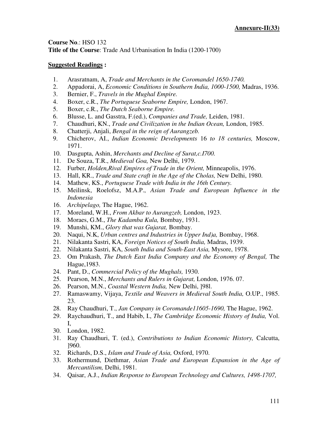**Course No**.: HSO 132 **Title of the Course**: Trade And Urbanisation In India (1200-1700)

# **Suggested Readings :**

- 1. Arasratnam, A, *Trade and Merchants in the Coromandel 1650-1740.*
- 2. Appadorai, A, *Economic Conditions in Southern India, 1000-1500,* Madras, 1936.
- 3. Bernier, F., *Travels in the Mughal Empire.*
- 4. Boxer, c.R., *The Portuguese Seaborne Empire,* London, 1967.
- 5. Boxer, c.R., *The Dutch Seaborne Empire.*
- 6. Blusse, L. and Gasstra, F.(ed.), *Companies and Trade,* Leiden, 1981.
- 7. Chaudhuri, KN., *Trade and Civilization in the Indian Ocean,* London, 1985.
- 8. Chatterji, Anjali, *Bengal in the reign of Aurangzeb.*
- 9. Chicherov, AI., *Indian Economic Developments* 16 *to 18 centuries,* Moscow, 1971.
- 10. Dasgupta, Ashin, *Merchants and Decline of Surat,c.I700.*
- 11. De Souza, T.R., *Medieval Goa,* New Delhi, 1979.
- 12. Furber, *Holden,Rival Empires of Trade in the Orient,* Minneapolis, 1976.
- 13. Hall, KR., *Trade and State craft in the Age of the Cholas,* New Delhi, 1980.
- 14. Mathew, KS., *Portuguese Trade with India in the 16th Century.*
- 15. Meilinsk, Roelofsz, M.A.P., *Asian Trade and European Influence in the Indonesia*
- 16. *Archipelago,* The Hague, 1962.
- 17. Moreland, W.H., *From Akbar to Aurangzeb,* London, 1923.
- 18. Moraes, G.M., *The Kadamba Kula,* Bombay, 1931.
- 19. Munshi, KM., *Glory that was Gujarat,* Bombay.
- 20. Naqui, N.K, *Urban centres and Industries in Upper Ind)a,* Bombay, 1968.
- 21. Nilakanta Sastri, KA, *Foreign Notices of South India,* Madras, 1939.
- 22. Nilakanta Sastri, KA, *South India and South-East Asia,* Mysore, 1978.
- 23. Om Prakash, *The Dutch East India Company and the Economy of Bengal,* The Hague,1983.
- 24. Pant, D., *Commercial Policy of the Mughals,* 1930.
- 25. Pearson, M.N., *Merchants and Rulers in Gujarat,* London, 1976. 07.
- 26. Pearson, M.N., *Coastal Western India,* New Delhi, ]98l.
- 27. Ramaswamy, Vijaya, *Textile and Weavers in Medieval South India,* O.UP., 1985. 23.
- 28. Ray Chaudhuri, T., *Jan Company in Coromande11605-1690,* The Hague, 1962.
- 29. Raychaudhuri, T., and Habib, I., *The Cambridge Economic History of India,* Vol. I,
- 30. London, 1982.
- 31. Ray Chaudhuri, T. (ed.), *Contributions to Indian Economic History,* Calcutta, ]960.
- 32. Richards, D.S., *Islam and Trade of Asia,* Oxford, 1970.
- 33. Rothermund, Diethmar, *Asian Trade and European Expansion in the Age of Mercantilism,* Delhi, 1981.
- 34. Qaisar, A.J., *Indian Response to European Technology and Cultures, 1498-1707,*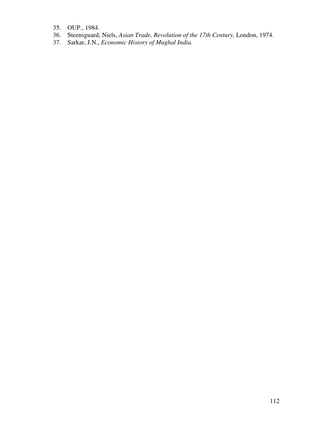- 35. OUP., 1984.
- 36. Steensguard, Niels, *Asian Trade, Revolution of the 17th Century,* London, 1974.
- 37. Sarkar, J.N., *Economic History of Mughal India.*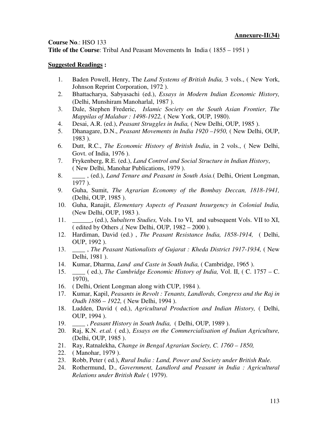## **Course No**.: HSO 133

**Title of the Course**: Tribal And Peasant Movements In India ( 1855 – 1951 )

### **Suggested Readings :**

- 1. Baden Powell, Henry, The *Land Systems of British India,* 3 vols., ( New York, Johnson Reprint Corporation, 1972 ).
- 2. Bhattacharya, Sabyasachi (ed.), *Essays in Modern Indian Economic History,* (Delhi, Munshiram Manoharlal, 1987 ).
- 3. Dale, Stephen Frederic, *Islamic Society on the South Asian Frontier, The Mappilas of Malabar : 1498-1922,* ( New York, OUP, 1980).
- 4. Desai, A.R. (ed.), *Peasant Struggles in India,* ( New Delhi, OUP, 1985 ).
- 5. Dhanagare, D.N., *Peasant Movements in India 1920 –1950,* ( New Delhi, OUP, 1983 ).
- 6. Dutt, R.C., *The Economic History of British India*, in 2 vols., ( New Delhi, Govt. of India, 1976 ).
- 7. Frykenberg, R.E. (ed.), *Land Control and Social Structure in Indian History*, ( New Delhi, Manohar Publications, 1979 ).
- 8. \_\_\_\_ , (ed.), *Land Tenure and Peasant in South Asia.*( Delhi, Orient Longman, 1977 ).
- 9. Guha, Sumit, *The Agrarian Economy of the Bombay Deccan, 1818-1941,* (Delhi, OUP, 1985 ).
- 10. Guha, Ranajit, *Elementary Aspects of Peasant Insurgency in Colonial India,* (New Delhi, OUP, 1983 ).
- 11. \_\_\_\_\_\_, (ed.), *Subaltern Studies,* Vols. I to VI, and subsequent Vols. VII to XI, ( edited by Others ,( New Delhi, OUP, 1982 – 2000 ).
- 12. Hardiman, David (ed.) , *The Peasant Resistance India, 1858-1914,* ( Delhi, OUP, 1992 ).
- 13. \_\_\_\_ , *The Peasant Nationalists of Gujarat : Kheda District 1917-1934,* ( New Delhi, 1981 ).
- 14. Kumar, Dharma, *Land and Caste in South India,* ( Cambridge, 1965 ).
- 15. \_\_\_\_ ( ed.), *The Cambridge Economic History of India,* Vol. II, ( C. 1757 C. 1970),
- 16. ( Delhi, Orient Longman along with CUP, 1984 ).
- 17. Kumar, Kapil, *Peasants in Revolt : Tenants, Landlords, Congress and the Raj in Oudh 1886 – 1922,* ( New Delhi, 1994 ).
- 18. Ludden, David ( ed.), *Agricultural Production and Indian History,* ( Delhi, OUP, 1994 ).
- 19. \_\_\_\_ , *Peasant History in South India,* ( Delhi, OUP, 1989 ).
- 20. Raj, K.N. *et.al.* ( ed.), *Essays on the Commercialisation of Indian Agriculture,* (Delhi, OUP, 1985 ).
- 21. Ray, Ratnalekha, *Change in Bengal Agrarian Society, C. 1760 1850,*
- 22. ( Manohar, 1979 ).
- 23. Robb, Peter ( ed.), *Rural India : Land, Power and Society under British Rule.*
- 24. Rothermund, D., *Government, Landlord and Peasant in India : Agricultural Relations under British Rule* ( 1979).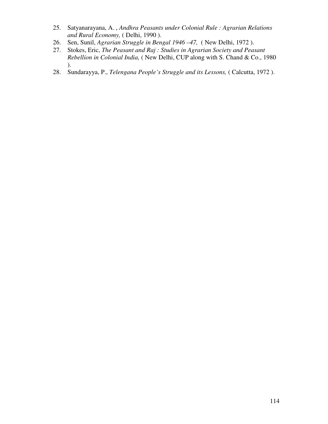- 25. Satyanarayana, A. , *Andhra Peasants under Colonial Rule : Agrarian Relations and Rural Economy,* ( Delhi, 1990 ).
- 26. Sen, Sunil, *Agrarian Struggle in Bengal 1946 –47,* ( New Delhi, 1972 ).
- 27. Stokes, Eric, *The Peasant and Raj : Studies in Agrarian Society and Peasant Rebellion in Colonial India,* ( New Delhi, CUP along with S. Chand & Co., 1980 ).
- 28. Sundarayya, P., *Telengana People's Struggle and its Lessons,* ( Calcutta, 1972 ).